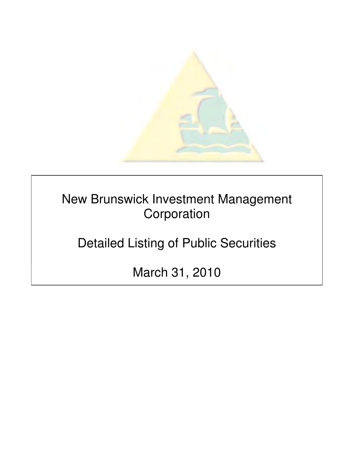

New Brunswick Investment Management Corporation

Detailed Listing of Public Securities

March 31, 2010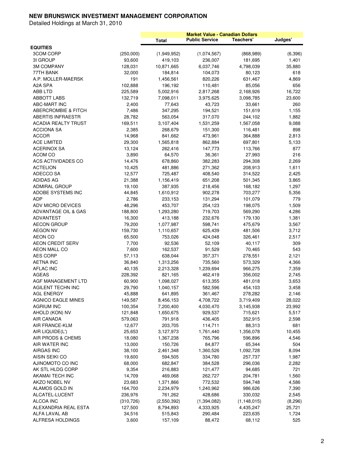| <b>EQUITIES</b>                   |                   | <b>Total</b>         | <b>Public Service</b> | Teachers'         | Judges'      |
|-----------------------------------|-------------------|----------------------|-----------------------|-------------------|--------------|
| <b>3COM CORP</b>                  | (250,000)         | (1,949,952)          | (1,074,567)           | (868, 989)        | (6, 396)     |
| 31 GROUP                          | 93,600            | 419,103              | 236,007               | 181,695           | 1,401        |
| <b>3M COMPANY</b>                 | 128,031           | 10,871,665           | 6,037,746             | 4,798,039         | 35,880       |
| 77TH BANK                         | 32,000            | 184,814              | 104,073               | 80,123            | 618          |
| A.P. MOLLER-MAERSK                | 191               | 1,456,561            | 820,226               | 631,467           | 4,869        |
| A2A SPA                           | 102,888           | 196,192              | 110,481               | 85,056            | 656          |
| ABB LTD                           | 225,589           | 5,002,916            | 2,817,268             | 2,168,926         | 16,722       |
| <b>ABBOTT LABS</b>                | 132,719           | 7,098,011            | 3,975,625             | 3,098,785         | 23,600       |
| ABC-MART INC                      | 2,400             | 77,643               | 43,723                | 33,661            | 260          |
| <b>ABERCROMBIE &amp; FITCH</b>    | 7,486             | 347,295              | 194,521               | 151,619           | 1,155        |
| <b>ABERTIS INFRAESTR</b>          | 28,782            | 563,054              | 317,070               | 244,102           | 1,882        |
| <b>ACADIA REALTY TRUST</b>        | 169,511           | 3,107,404            | 1,531,259             | 1,567,058         | 9,088        |
| <b>ACCIONA SA</b>                 | 2,385             | 268,679              | 151,300               | 116,481           | 898          |
| <b>ACCOR</b>                      | 14,968            | 841,662              | 473,961               | 364,888           | 2,813        |
| <b>ACE LIMITED</b>                | 29,300            | 1,565,818            | 862,884               | 697,801           | 5,133        |
| <b>ACERINOX SA</b>                | 13,124            | 262,416              | 147,773               | 113,766           | 877          |
| ACOM CO                           | 3,890             | 64,570               | 36,361                | 27,993            | 216          |
| ACS ACTIVIDADES CO                | 14,476            | 678,860              | 382,283               | 294,308           | 2,269        |
| <b>ACTELION</b>                   | 10,425            | 481,886              | 271,362               | 208,913           | 1,611        |
| ADECCO SA                         | 12,577            | 725,487              | 408,540               | 314,522           | 2,425        |
| <b>ADIDAS AG</b>                  | 21,388            | 1,156,419            | 651,208               | 501,345           | 3,865        |
| <b>ADMIRAL GROUP</b>              | 19,100            | 387,935              | 218,456               | 168,182           | 1,297        |
| ADOBE SYSTEMS INC                 | 44,845            | 1,610,912            | 902,278               | 703,277           | 5,356        |
| <b>ADP</b>                        | 2,786             | 233,153              | 131,294               | 101,079           | 779          |
| ADV MICRO DEVICES                 | 48,296            | 453,707              | 254,123               | 198,075           | 1,509        |
| ADVANTAGE OIL & GAS               | 188,800           | 1,293,280            | 719,703               | 569,290           | 4,286        |
| <b>ADVANTEST</b>                  | 16,300            | 413,188              | 232,676               | 179,130           | 1,381        |
| <b>AECON GROUP</b>                | 79,200            | 1,077,987            | 598,741               | 475,679           | 3,567        |
| <b>AEGON NV</b><br>AEON CO        | 159,730<br>65,500 | 1,110,657<br>753,026 | 625,439               | 481,506           | 3,712        |
| <b>AEON CREDIT SERV</b>           | 7,700             | 92,536               | 424,048<br>52,109     | 326,461<br>40,117 | 2,517<br>309 |
| AEON MALL CO                      | 7,600             | 162,537              | 91,529                | 70,465            | 543          |
| <b>AES CORP</b>                   | 57,113            | 638,044              | 357,371               | 278,551           | 2,121        |
| <b>AETNA INC</b>                  | 36,840            | 1,313,256            | 735,560               | 573,329           | 4,366        |
| <b>AFLAC INC</b>                  | 40,135            | 2,213,328            | 1,239,694             | 966,275           | 7,359        |
| <b>AGEAS</b>                      | 228,392           | 821,165              | 462,419               | 356,002           | 2,745        |
| AGF MANAGEMENT LTD                | 60,900            | 1,098,027            | 613,355               | 481,018           | 3,653        |
| AGILENT TECHN INC                 | 29,790            | 1,040,157            | 582,596               | 454,103           | 3,458        |
| <b>AGL ENERGY</b>                 | 45,888            | 641,895              | 361,467               | 278,282           | 2,146        |
| <b>AGNICO EAGLE MINES</b>         | 149,587           | 8,456,153            | 4,708,722             | 3,719,409         | 28,022       |
| <b>AGRIUM INC</b>                 | 100,354           | 7,200,400            | 4,030,470             | 3,145,938         | 23,992       |
| AHOLD (KON) NV                    | 121,848           | 1,650,675            | 929,537               | 715,621           | 5,517        |
| <b>AIR CANADA</b>                 | 579,063           | 791,918              | 436,405               | 352,915           | 2,598        |
| <b>AIR FRANCE-KLM</b>             | 12,677            | 203,705              | 114,711               | 88,313            | 681          |
| AIR LIQUIDE(L')                   | 25,653            | 3,127,973            | 1,761,440             | 1,356,078         | 10,455       |
| AIR PRODS & CHEMS                 | 18,080            | 1,367,238            | 765,796               | 596,896           | 4,546        |
| AIR WATER INC                     | 13,000            | 150,726              | 84,877                | 65,344            | 504          |
| <b>AIRGAS INC</b>                 | 38,100            | 2,461,348            | 1,360,526             | 1,092,728         | 8,094        |
| AISIN SEIKI CO                    | 19,600            | 594,505              | 334,780               | 257,737           | 1,987        |
| AJINOMOTO CO INC                  | 68,000            | 682,847              | 384,528               | 296,036           | 2,282        |
| AK STL HLDG CORP                  | 9,354             | 216,883              | 121,477               | 94,685            | 721          |
| AKAMAI TECH INC                   | 14,709            | 469,068              | 262,727               | 204,781           | 1,560        |
| AKZO NOBEL NV                     | 23,683            | 1,371,866            | 772,532               | 594,748           | 4,586        |
| ALAMOS GOLD IN                    | 164,700           | 2,234,979            | 1,240,962             | 986,626           | 7,390        |
| ALCATEL-LUCENT                    | 236,976           | 761,262              | 428,686               | 330,032           | 2,545        |
| ALCOA INC                         | (310, 726)        | (2,550,392)          | (1,394,082)           | (1, 148, 015)     | (8,296)      |
| ALEXANDRIA REAL ESTA              | 127,500           | 8,794,893            | 4,333,925             | 4,435,247         | 25,721       |
| ALFA LAVAL AB<br>ALFRESA HOLDINGS | 34,516<br>3,600   | 515,843<br>157,109   | 290,484<br>88,472     | 223,635<br>68,112 | 1,724<br>525 |
|                                   |                   |                      |                       |                   |              |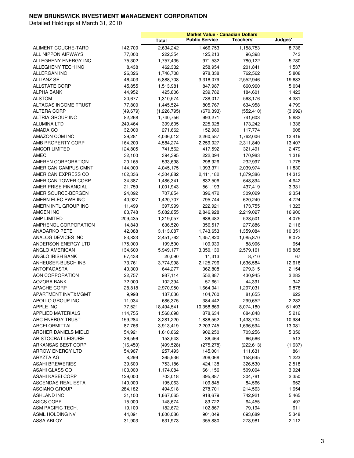|                             |           |               | <b>Market Value - Canadian Dollars</b> |            |         |
|-----------------------------|-----------|---------------|----------------------------------------|------------|---------|
|                             |           | <b>Total</b>  | <b>Public Service</b>                  | Teachers'  | Judges' |
| ALIMENT COUCHE-TARD         | 142,700   | 2,634,242     | 1,466,753                              | 1,158,753  | 8,736   |
| ALL NIPPON AIRWAYS          | 77,000    | 222,354       | 125,213                                | 96,398     | 743     |
| ALLEGHENY ENERGY INC        | 75,302    | 1,757,435     | 971,532                                | 780,122    | 5,780   |
| ALLEGHENY TECH INC          | 8,438     | 462,332       | 258,954                                | 201,841    | 1,537   |
| ALLERGAN INC                | 26,326    | 1,746,708     | 978,338                                | 762,562    | 5,808   |
| <b>ALLIANZ SE</b>           | 46,403    | 5,888,708     | 3,316,079                              | 2,552,946  | 19,683  |
| <b>ALLSTATE CORP</b>        | 45,855    | 1,513,981     | 847,987                                | 660,960    | 5,034   |
| ALPHA BANK                  | 44,952    | 425,806       | 239,782                                | 184,601    | 1,423   |
| <b>ALSTOM</b>               | 20,677    | 1,310,574     | 738,017                                | 568,176    | 4,381   |
| ALTAGAS INCOME TRUST        | 77,800    | 1,445,524     | 805,767                                | 634,958    | 4,799   |
| <b>ALTERA CORP</b>          | (49, 679) | (1, 226, 795) | (670, 393)                             | (552, 410) | (3,992) |
| ALTRIA GROUP INC            | 82,268    | 1,740,756     | 993,271                                | 741,603    | 5,883   |
| <b>ALUMINA LTD</b>          | 249,464   | 399,605       | 225,028                                | 173,242    | 1,336   |
| AMADA CO                    | 32,000    | 271,662       | 152,980                                | 117,774    | 908     |
| AMAZON COM INC              | 29,281    | 4,036,012     | 2,260,587                              | 1,762,006  | 13,419  |
| AMB PROPERTY CORP           | 164,200   | 4,584,274     | 2,259,027                              | 2,311,840  | 13,407  |
| <b>AMCOR LIMITED</b>        | 124,805   | 741,562       | 417,592                                | 321,491    | 2,479   |
| AMEC                        | 32,100    | 394,395       | 222,094                                | 170,983    | 1,318   |
| AMEREN CORPORATION          | 20,165    | 533,698       | 298,926                                | 232,997    | 1,775   |
| <b>AMERICAN CAMPUS CMNT</b> | 144,000   | 4,045,175     | 1,993,371                              | 2,039,974  | 11,830  |
| AMERICAN EXPRESS CO         | 102,336   | 4,304,882     | 2,411,182                              | 1,879,386  | 14,313  |
| AMERICAN TOWER CORP         | 34,387    | 1,486,341     | 832,506                                | 648,894    | 4,942   |
| <b>AMERIPRISE FINANCIAL</b> | 21,759    | 1,001,943     | 561,193                                | 437,419    | 3,331   |
| AMERISOURCE-BERGEN          | 24,092    | 707,854       | 396,472                                | 309,029    | 2,354   |
| AMERN ELEC PWR INC          | 40,927    | 1,420,707     | 795,744                                | 620,240    | 4,724   |
| AMERN INTL GROUP INC        | 11,499    | 397,999       | 222,921                                | 173,755    | 1,323   |
| AMGEN INC                   | 83,748    | 5,082,855     | 2,846,928                              | 2,219,027  | 16,900  |
| AMP LIMITED                 | 209,435   | 1,219,057     | 686,482                                | 528,501    | 4,075   |
| AMPHENOL CORPORATION        | 14,843    | 636,520       | 356,517                                | 277,886    | 2,116   |
| <b>ANADARKO PETE</b>        | 42,088    | 3,113,087     | 1,743,653                              | 1,359,084  | 10,351  |
| ANALOG DEVICES INC          | 83,823    | 2,451,762     | 1,357,820                              | 1,085,870  | 8,072   |
| ANDERSON ENERGY LTD         | 175,000   | 199,500       | 109,939                                | 88,906     | 654     |
| ANGLO AMERICAN              | 134,600   | 5,949,177     | 3,350,130                              | 2,579,161  | 19,885  |
| ANGLO IRISH BANK            | 67,438    | 20,090        | 11,313                                 | 8,710      | 67      |
| ANHEUSER-BUSCH INB          | 73,761    | 3,774,998     | 2,125,796                              | 1,636,584  | 12,618  |
| <b>ANTOFAGASTA</b>          | 40,300    | 644,277       | 362,808                                | 279,315    | 2,154   |
| AON CORPORATION             | 22,757    | 987,114       | 552,887                                | 430,945    | 3,282   |
| AOZORA BANK                 | 72,000    | 102,394       | 57,661                                 | 44,391     | 342     |
| <b>APACHE CORP</b>          | 28,818    | 2,970,950     | 1,664,041                              | 1,297,031  | 9,878   |
| APARTMENT INVT&MGMT         | 9,998     | 187,036       | 104,760                                | 81,655     | 622     |
| APOLLO GROUP INC            | 11,034    | 686,375       | 384,442                                | 299,652    | 2,282   |
| <b>APPLE INC</b>            | 77,521    | 18,494,541    | 10,358,869                             | 8,074,180  | 61,493  |
| <b>APPLIED MATERIALS</b>    | 114,755   | 1,568,698     | 878,634                                | 684,848    | 5,216   |
| ARC ENERGY TRUST            | 159,284   | 3,281,220     | 1,836,552                              | 1,433,734  | 10,934  |
| ARCELORMITTAL               | 87,766    | 3,913,419     | 2,203,745                              | 1,696,594  | 13,081  |
| ARCHER DANIELS MIDLD        | 54,921    | 1,610,862     | 902,250                                | 703,256    | 5,356   |
| <b>ARISTOCRAT LEISURE</b>   | 36,556    | 153,543       | 86,464                                 | 66,566     | 513     |
| ARKANSAS BEST CORP          | (16, 450) | (499, 528)    | (275, 278)                             | (222, 613) | (1,637) |
| ARROW ENERGY LTD            | 54,967    | 257,493       | 145,001                                | 111,631    | 861     |
| ARYZTA AG                   | 8,299     | 365,936       | 206,068                                | 158,645    | 1,223   |
| <b>ASAHI BREWERIES</b>      | 39,600    | 753,186       | 424,138                                | 326,530    | 2,518   |
| ASAHI GLASS CO              | 103,000   | 1,174,084     | 661,156                                | 509,004    | 3,924   |
| ASAHI KASEI CORP            | 129,000   | 703,018       | 395,887                                | 304,781    | 2,350   |
| <b>ASCENDAS REAL ESTA</b>   | 140,000   | 195,063       | 109,845                                | 84,566     | 652     |
| <b>ASCIANO GROUP</b>        | 284,182   | 494,918       | 278,701                                | 214,563    | 1,654   |
| <b>ASHLAND INC</b>          | 31,100    | 1,667,065     | 918,679                                | 742,921    | 5,465   |
| <b>ASICS CORP</b>           | 15,000    | 148,674       | 83,722                                 | 64,455     | 497     |
| ASM PACIFIC TECH.           | 19,100    | 182,672       | 102,867                                | 79,194     | 611     |
| ASML HOLDING NV             | 44,091    | 1,600,086     | 901,049                                | 693,689    | 5,348   |
| ASSA ABLOY                  | 31,903    | 631,973       | 355,880                                | 273,981    | 2,112   |
|                             |           |               |                                        |            |         |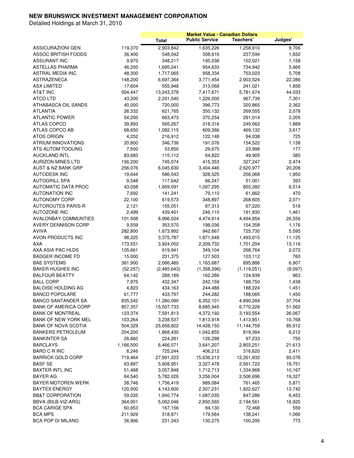|                               |           |              |                       | <b>Market Value - Canadian Dollars</b> |         |
|-------------------------------|-----------|--------------|-----------------------|----------------------------------------|---------|
|                               |           | <b>Total</b> | <b>Public Service</b> | Teachers'                              | Judges' |
| <b>ASSICURAZIONI GEN</b>      | 119,370   | 2,903,842    | 1,635,226             | 1,258,910                              | 9,706   |
| ASSOC BRITISH FOODS           | 36,400    | 548,042      | 308,616               | 237,594                                | 1,832   |
| <b>ASSURANT INC</b>           | 9,970     | 348,217      | 195,038               | 152,021                                | 1,158   |
| <b>ASTELLAS PHARMA</b>        | 46,200    | 1,695,241    | 954,633               | 734,942                                | 5,666   |
| ASTRAL MEDIA INC              | 48,300    | 1,717,065    | 958,334               | 753,023                                | 5,708   |
| <b>ASTRAZENECA</b>            | 148,200   | 6,697,364    | 3,771,454             | 2,903,524                              | 22,386  |
| <b>ASX LIMITED</b>            | 17,604    | 555,948      | 313,068               | 241,021                                | 1,858   |
| AT&T INC                      | 504,447   | 13,243,378   | 7,417,671             | 5,781,674                              | 44,033  |
| ATCO LTD                      | 43,200    | 2,201,040    | 1,226,000             | 967,739                                | 7,301   |
| ATHABASCA OIL SANDS           | 40,000    | 720,000      | 396,773               | 320,865                                | 2,362   |
| <b>ATLANTIA</b>               | 26,332    | 621,765      | 350,132               | 269,555                                | 2,078   |
| <b>ATLANTIC POWER</b>         | 54,200    | 663,473      | 370,254               | 291,014                                | 2,205   |
| ATLAS COPCO                   | 39,893    | 565,267      | 318,316               | 245,062                                | 1,889   |
| ATLAS COPCO AB                | 68,650    | 1,082,115    | 609,366               | 469,132                                | 3,617   |
|                               |           |              |                       |                                        |         |
| ATOS ORIGIN                   | 4,252     | 216,912      | 122,148               | 94,038                                 | 725     |
| ATRIUM INNOVATIONS            | 20,800    | 346,736      | 191,076               | 154,522                                | 1,138   |
| ATS AUTOM TOOLING             | 7,500     | 53,850       | 29,675                | 23,998                                 | 177     |
| <b>AUCKLAND INTL</b>          | 83,683    | 115,112      | 64,822                | 49,905                                 | 385     |
| <b>AURIZON MINES LTD</b>      | 156,200   | 745,074      | 415,353               | 327,247                                | 2,474   |
| <b>AUST &amp; NZ BANK GRP</b> | 256,076   | 6,045,630    | 3,404,446             | 2,620,977                              | 20,208  |
| <b>AUTODESK INC</b>           | 19,644    | 586,543      | 328,525               | 256,068                                | 1,950   |
| <b>AUTOGRILL SPA</b>          | 9,548     | 117,642      | 66,247                | 51,001                                 | 393     |
| <b>AUTOMATIC DATA PROC</b>    | 43,058    | 1,959,091    | 1,097,295             | 855,282                                | 6,514   |
| <b>AUTONATION INC</b>         | 7,692     | 141,241      | 79,110                | 61,662                                 | 470     |
| <b>AUTONOMY CORP</b>          | 22,100    | 619,573      | 348,897               | 268,605                                | 2,071   |
| <b>AUTOROUTES PARIS-R</b>     | 2,121     | 155,051      | 87,313                | 67,220                                 | 518     |
| <b>AUTOZONE INC</b>           | 2,499     | 439,401      | 246,110               | 191,830                                | 1,461   |
| <b>AVALONBAY COMMUNTIES</b>   | 101,508   | 8,996,024    | 4,474,614             | 4,494,854                              | 26,556  |
| AVERY DENNISON CORP           | 9,559     | 353,570      | 198,036               | 154,358                                | 1,176   |
| AVIVA                         | 282,800   | 1,673,992    | 942,667               | 725,730                                | 5,595   |
| AVON PRODUCTS INC             | 98,225    | 3,375,787    | 1,871,648             | 1,493,015                              | 11,125  |
| AXA                           | 173,551   | 3,924,052    | 2,209,732             | 1,701,204                              | 13,116  |
| AXA ASIA PAC HLDS             | 105,661   | 619,941      | 349,104               | 268,764                                | 2,072   |
| <b>BADGER INCOME FD</b>       | 15,000    | 231,375      | 127,503               | 103,112                                | 760     |
| <b>BAE SYSTEMS</b>            | 361,900   | 2,066,480    | 1,163,687             | 895,886                                | 6,907   |
| <b>BAKER HUGHES INC</b>       | (52, 257) | (2,485,643)  | (1,358,296)           | (1, 119, 251)                          | (8,097) |
| <b>BALFOUR BEATTY</b>         | 64,142    | 288,189      | 162,286               | 124,939                                | 963     |
| <b>BALL CORP</b>              | 7,975     | 432,347      | 242,159               | 188,750                                | 1,438   |
| <b>BALOISE HOLDING AG</b>     | 4,823     | 434,163      | 244,488               | 188,224                                | 1,451   |
| <b>BANCO POPOLARE</b>         | 61,777    | 433,797      | 244,282               | 188,065                                | 1,450   |
| <b>BANCO SANTANDER SA</b>     | 835,542   | 11,280,090   | 6,352,101             | 4,890,284                              | 37,704  |
| <b>BANK OF AMERICA CORP</b>   | 857,357   | 15,507,733   | 8,685,945             | 6,770,226                              | 51,562  |
| <b>BANK OF MONTREAL</b>       | 123,374   | 7,591,813    | 4,372,192             | 3,193,554                              | 26,067  |
| <b>BANK OF NEW YORK MEL</b>   | 103,264   | 3,238,537    | 1,813,918             | 1,413,851                              | 10,768  |
| <b>BANK OF NOVA SCOTIA</b>    | 504,329   | 25,658,822   | 14,428,150            | 11,144,759                             | 85,912  |
| BANKERS PETROLEUM             | 204,200   | 1,868,430    | 1,042,855             | 819,364                                | 6,212   |
| <b>BANKINTER SA</b>           | 26,660    | 224,281      | 126,298               | 97,233                                 | 750     |
| <b>BARCLAYS</b>               | 1,166,500 | 6,466,071    | 3,641,207             | 2,803,251                              | 21,613  |
| <b>BARD C R INC</b>           | 8,246     | 725,244      | 406,212               | 316,620                                | 2,411   |
| <b>BARRICK GOLD CORP</b>      | 719,464   | 27,991,223   | 15,636,213            | 12,261,932                             | 93,078  |
| <b>BASF SE</b>                | 93,897    | 5,908,951    | 3,327,478             | 2,561,722                              | 19,751  |
| <b>BAXTER INTL INC</b>        | 51,468    | 3,057,848    | 1,712,713             | 1,334,968                              | 10,167  |
|                               |           |              |                       |                                        |         |
| <b>BAYER AG</b>               | 84,540    | 5,782,026    | 3,256,004             | 2,506,696                              | 19,327  |
| BAYER MOTOREN WERK            | 38,746    | 1,756,419    | 989,084               | 761,465                                | 5,871   |
| <b>BAYTEX ENERGY</b>          | 120,000   | 4,143,600    | 2,307,231             | 1,822,627                              | 13,742  |
| <b>BB&amp;T CORPORATION</b>   | 59,035    | 1,940,774    | 1,087,035             | 847,286                                | 6,453   |
| BBVA (BILB-VIZ-ARG)           | 364,001   | 5,062,046    | 2,850,565             | 2,194,561                              | 16,920  |
| BCA CARIGE SPA                | 60,653    | 167,156      | 94,130                | 72,468                                 | 559     |
| <b>BCA MPS</b>                | 211,929   | 318,871      | 179,564               | 138,241                                | 1,066   |
| <b>BCA POP DI MILANO</b>      | 36,996    | 231,343      | 130,275               | 100,295                                | 773     |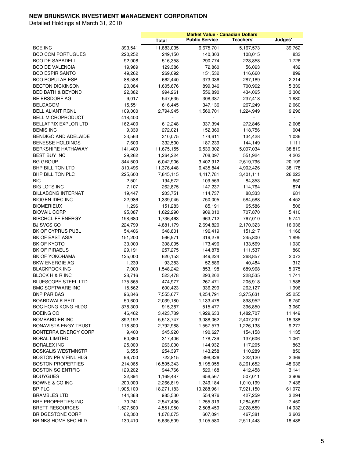| <b>Public Service</b><br>Teachers'<br>Total<br>11,883,035<br>6,675,701<br>5, 167, 573<br>39,762<br><b>BCE INC</b><br>393,541<br><b>BCO COM PORTUGUES</b><br>220,252<br>249,150<br>140,303<br>108,015<br>833<br><b>BCO DE SABADELL</b><br>92,008<br>516,358<br>290,774<br>223,858<br>1,726<br><b>BCO DE VALENCIA</b><br>19,989<br>72,860<br>56,093<br>432<br>129,386<br><b>BCO ESPIR SANTO</b><br>49,262<br>269,092<br>151,532<br>116,660<br>899<br><b>BCO POPULAR ESP</b><br>88,588<br>662,440<br>373,036<br>287,189<br>2,214<br><b>BECTON DICKINSON</b><br>20,084<br>1,605,676<br>899,346<br>700,992<br>5,339<br><b>BED BATH &amp; BEYOND</b><br>22,382<br>994,261<br>556,890<br>434,065<br>3,306<br><b>BEIERSDORF AG</b><br>9,017<br>1,830<br>547,635<br>308,387<br>237,418<br>15,551<br><b>BELGACOM</b><br>616,445<br>267,249<br>2,060<br>347,136<br>109,000<br><b>BELL ALIANT RGNL</b><br>2,794,945<br>1,560,701<br>1,224,949<br>9,296<br><b>BELL MICROPRODUCT</b><br>418,400<br>÷<br>BELLATRIX EXPLOR LTD<br>162,400<br>612,248<br>337,394<br>272,846<br>2,008<br><b>BEMIS INC</b><br>9,339<br>272,021<br>152,360<br>118,756<br>904<br>BENDIGO AND ADELAIDE<br>33,563<br>310,075<br>174,611<br>1,036<br>134,428<br><b>BENESSE HOLDINGS</b><br>7,600<br>332,500<br>187,239<br>144,149<br>1,111<br><b>BERKSHIRE HATHAWAY</b><br>141,400<br>11,675,155<br>6,539,302<br>5,097,034<br>38,819<br><b>BEST BUY INC</b><br>29,262<br>1,264,224<br>708,097<br>551,924<br>4,203<br><b>BG GROUP</b><br>344,500<br>6,042,906<br>3,402,912<br>2,619,796<br>20,199<br><b>BHP BILLITON LTD</b><br>310,496<br>11,376,448<br>6,435,844<br>4,902,426<br>38,178<br><b>BHP BILLITON PLC</b><br>225,600<br>4,417,781<br>3,401,111<br>26,223<br>7,845,115<br><b>BIC</b><br>2,501<br>194,572<br>109,569<br>84,353<br>650<br>7,107<br><b>BIG LOTS INC</b><br>262,875<br>147,237<br>114,764<br>874<br><b>BILLABONG INTERNAT</b><br>19,447<br>203,751<br>114,737<br>88,333<br>681<br><b>BIOGEN IDEC INC</b><br>22,986<br>1,339,045<br>750,005<br>584,588<br>4,452<br><b>BIOMERIEUX</b><br>1,296<br>85,191<br>506<br>151,283<br>65,586<br><b>BIOVAIL CORP</b><br>95,087<br>1,622,290<br>909,010<br>707,870<br>5,410<br><b>BIRCHCLIFF ENERGY</b><br>198,680<br>1,736,463<br>963,712<br>767,010<br>5,741<br><b>BJ SVCS CO</b><br>224,799<br>4,881,179<br>2,170,323<br>16,036<br>2,694,820<br>BK OF CYPRUS PUBL<br>54,406<br>348,801<br>196,419<br>151,217<br>1,166<br>BK OF EAST ASIA<br>151,200<br>566,971<br>245,800<br>1,895<br>319,276<br>BK OF KYOTO<br>33,000<br>308,095<br>133,569<br>1,030<br>173,496<br><b>BK OF PIRAEUS</b><br>29,191<br>257,275<br>144,878<br>860<br>111,537<br>BK OF YOKOHAMA<br>125,000<br>2,073<br>620,153<br>349,224<br>268,857<br>312<br><b>BKW ENERGIE AG</b><br>1,239<br>93,383<br>52,586<br>40,484<br>7,000<br><b>BLACKROCK INC</b><br>1,548,242<br>853,198<br>689,968<br>5,075<br><b>BLOCK H &amp; R INC</b><br>28,716<br>1,741<br>523,478<br>293,202<br>228,535<br><b>BLUESCOPE STEEL LTD</b><br>175,865<br>474,977<br>1,588<br>267,471<br>205,918<br>1,996<br><b>BMC SOFTWARE INC</b><br>15,562<br>336,299<br>262,127<br>600,423<br><b>BNP PARIBAS</b><br>96,846<br>7,555,677<br>4,254,791<br>3,275,631<br>25,255<br><b>BOARDWALK REIT</b><br>50,600<br>6,750<br>2,039,180<br>1,133,478<br>898,952<br><b>BOC HONG KONG HLDG</b><br>378,300<br>515,477<br>915,387<br>396,850<br>3,060<br><b>BOEING CO</b><br>46,462<br>3,423,789<br>1,929,633<br>1,482,707<br>11,449<br><b>BOMBARDIER INC</b><br>892,192<br>3,088,062<br>18,388<br>5,513,747<br>2,407,297<br><b>BONAVISTA ENGY TRUST</b><br>118,800<br>2,792,988<br>1,557,573<br>1,226,138<br>9,277<br>9,400<br>345,920<br>190,627<br>BONTERRA ENERGY CORP<br>154,158<br>1,135<br>60,860<br>317,406<br>178,739<br>137,606<br><b>BORAL LIMITED</b><br>1,061<br><b>BORALEX INC</b><br>25,000<br>263,000<br>144,932<br>117,205<br>863<br><b>BOSKALIS WESTMNSTR</b><br>6,555<br>254,397<br>110,289<br>850<br>143,258<br>96,700<br><b>BOSTON PRIV FINL HLG</b><br>722,815<br>398,326<br>322,120<br>2,369<br><b>BOSTON PROPERTIES</b><br>16,505,343<br>48,636<br>214,065<br>8,195,055<br>8,261,652<br><b>BOSTON SCIENTIFIC</b><br>129,202<br>944,766<br>529,168<br>412,458<br>3,141<br><b>BOUYGUES</b><br>22,894<br>658,567<br>507,011<br>3,909<br>1,169,487<br>BOWNE & CO INC<br>200,000<br>2,266,819<br>1,249,184<br>1,010,199<br>7,436<br>BP PLC<br>1,905,100<br>61,072<br>18,271,183<br>10,288,961<br>7,921,150<br>144,368<br>427,259<br>3,294<br>BRAMBLES LTD<br>985,530<br>554,976<br>BRE PROPERTIES INC<br>70,241<br>7,450<br>2,547,436<br>1,255,319<br>1,284,667<br><b>BRETT RESOURCES</b><br>1,527,500<br>14,932<br>4,551,950<br>2,508,459<br>2,028,559<br><b>BRIDGESTONE CORP</b><br>62,300<br>1,078,075<br>607,091<br>467,381<br>3,603 |                     |         |           |           | <b>Market Value - Canadian Dollars</b> |         |
|---------------------------------------------------------------------------------------------------------------------------------------------------------------------------------------------------------------------------------------------------------------------------------------------------------------------------------------------------------------------------------------------------------------------------------------------------------------------------------------------------------------------------------------------------------------------------------------------------------------------------------------------------------------------------------------------------------------------------------------------------------------------------------------------------------------------------------------------------------------------------------------------------------------------------------------------------------------------------------------------------------------------------------------------------------------------------------------------------------------------------------------------------------------------------------------------------------------------------------------------------------------------------------------------------------------------------------------------------------------------------------------------------------------------------------------------------------------------------------------------------------------------------------------------------------------------------------------------------------------------------------------------------------------------------------------------------------------------------------------------------------------------------------------------------------------------------------------------------------------------------------------------------------------------------------------------------------------------------------------------------------------------------------------------------------------------------------------------------------------------------------------------------------------------------------------------------------------------------------------------------------------------------------------------------------------------------------------------------------------------------------------------------------------------------------------------------------------------------------------------------------------------------------------------------------------------------------------------------------------------------------------------------------------------------------------------------------------------------------------------------------------------------------------------------------------------------------------------------------------------------------------------------------------------------------------------------------------------------------------------------------------------------------------------------------------------------------------------------------------------------------------------------------------------------------------------------------------------------------------------------------------------------------------------------------------------------------------------------------------------------------------------------------------------------------------------------------------------------------------------------------------------------------------------------------------------------------------------------------------------------------------------------------------------------------------------------------------------------------------------------------------------------------------------------------------------------------------------------------------------------------------------------------------------------------------------------------------------------------------------------------------------------------------------------------------------------------------------------------------------------------------------------------------------------------------------------------------------------------------------------------------------------------------------------------------------------------------------------------------------------------------------------------------------------------------------------------------------------------------------------------------------------------------------------------------------------------------------------------------------------------------------------------------------------------------------------------------------------------------------------------------------------------------------------------|---------------------|---------|-----------|-----------|----------------------------------------|---------|
|                                                                                                                                                                                                                                                                                                                                                                                                                                                                                                                                                                                                                                                                                                                                                                                                                                                                                                                                                                                                                                                                                                                                                                                                                                                                                                                                                                                                                                                                                                                                                                                                                                                                                                                                                                                                                                                                                                                                                                                                                                                                                                                                                                                                                                                                                                                                                                                                                                                                                                                                                                                                                                                                                                                                                                                                                                                                                                                                                                                                                                                                                                                                                                                                                                                                                                                                                                                                                                                                                                                                                                                                                                                                                                                                                                                                                                                                                                                                                                                                                                                                                                                                                                                                                                                                                                                                                                                                                                                                                                                                                                                                                                                                                                                                                                                                         |                     |         |           |           |                                        | Judges' |
|                                                                                                                                                                                                                                                                                                                                                                                                                                                                                                                                                                                                                                                                                                                                                                                                                                                                                                                                                                                                                                                                                                                                                                                                                                                                                                                                                                                                                                                                                                                                                                                                                                                                                                                                                                                                                                                                                                                                                                                                                                                                                                                                                                                                                                                                                                                                                                                                                                                                                                                                                                                                                                                                                                                                                                                                                                                                                                                                                                                                                                                                                                                                                                                                                                                                                                                                                                                                                                                                                                                                                                                                                                                                                                                                                                                                                                                                                                                                                                                                                                                                                                                                                                                                                                                                                                                                                                                                                                                                                                                                                                                                                                                                                                                                                                                                         |                     |         |           |           |                                        |         |
|                                                                                                                                                                                                                                                                                                                                                                                                                                                                                                                                                                                                                                                                                                                                                                                                                                                                                                                                                                                                                                                                                                                                                                                                                                                                                                                                                                                                                                                                                                                                                                                                                                                                                                                                                                                                                                                                                                                                                                                                                                                                                                                                                                                                                                                                                                                                                                                                                                                                                                                                                                                                                                                                                                                                                                                                                                                                                                                                                                                                                                                                                                                                                                                                                                                                                                                                                                                                                                                                                                                                                                                                                                                                                                                                                                                                                                                                                                                                                                                                                                                                                                                                                                                                                                                                                                                                                                                                                                                                                                                                                                                                                                                                                                                                                                                                         |                     |         |           |           |                                        |         |
|                                                                                                                                                                                                                                                                                                                                                                                                                                                                                                                                                                                                                                                                                                                                                                                                                                                                                                                                                                                                                                                                                                                                                                                                                                                                                                                                                                                                                                                                                                                                                                                                                                                                                                                                                                                                                                                                                                                                                                                                                                                                                                                                                                                                                                                                                                                                                                                                                                                                                                                                                                                                                                                                                                                                                                                                                                                                                                                                                                                                                                                                                                                                                                                                                                                                                                                                                                                                                                                                                                                                                                                                                                                                                                                                                                                                                                                                                                                                                                                                                                                                                                                                                                                                                                                                                                                                                                                                                                                                                                                                                                                                                                                                                                                                                                                                         |                     |         |           |           |                                        |         |
|                                                                                                                                                                                                                                                                                                                                                                                                                                                                                                                                                                                                                                                                                                                                                                                                                                                                                                                                                                                                                                                                                                                                                                                                                                                                                                                                                                                                                                                                                                                                                                                                                                                                                                                                                                                                                                                                                                                                                                                                                                                                                                                                                                                                                                                                                                                                                                                                                                                                                                                                                                                                                                                                                                                                                                                                                                                                                                                                                                                                                                                                                                                                                                                                                                                                                                                                                                                                                                                                                                                                                                                                                                                                                                                                                                                                                                                                                                                                                                                                                                                                                                                                                                                                                                                                                                                                                                                                                                                                                                                                                                                                                                                                                                                                                                                                         |                     |         |           |           |                                        |         |
|                                                                                                                                                                                                                                                                                                                                                                                                                                                                                                                                                                                                                                                                                                                                                                                                                                                                                                                                                                                                                                                                                                                                                                                                                                                                                                                                                                                                                                                                                                                                                                                                                                                                                                                                                                                                                                                                                                                                                                                                                                                                                                                                                                                                                                                                                                                                                                                                                                                                                                                                                                                                                                                                                                                                                                                                                                                                                                                                                                                                                                                                                                                                                                                                                                                                                                                                                                                                                                                                                                                                                                                                                                                                                                                                                                                                                                                                                                                                                                                                                                                                                                                                                                                                                                                                                                                                                                                                                                                                                                                                                                                                                                                                                                                                                                                                         |                     |         |           |           |                                        |         |
|                                                                                                                                                                                                                                                                                                                                                                                                                                                                                                                                                                                                                                                                                                                                                                                                                                                                                                                                                                                                                                                                                                                                                                                                                                                                                                                                                                                                                                                                                                                                                                                                                                                                                                                                                                                                                                                                                                                                                                                                                                                                                                                                                                                                                                                                                                                                                                                                                                                                                                                                                                                                                                                                                                                                                                                                                                                                                                                                                                                                                                                                                                                                                                                                                                                                                                                                                                                                                                                                                                                                                                                                                                                                                                                                                                                                                                                                                                                                                                                                                                                                                                                                                                                                                                                                                                                                                                                                                                                                                                                                                                                                                                                                                                                                                                                                         |                     |         |           |           |                                        |         |
|                                                                                                                                                                                                                                                                                                                                                                                                                                                                                                                                                                                                                                                                                                                                                                                                                                                                                                                                                                                                                                                                                                                                                                                                                                                                                                                                                                                                                                                                                                                                                                                                                                                                                                                                                                                                                                                                                                                                                                                                                                                                                                                                                                                                                                                                                                                                                                                                                                                                                                                                                                                                                                                                                                                                                                                                                                                                                                                                                                                                                                                                                                                                                                                                                                                                                                                                                                                                                                                                                                                                                                                                                                                                                                                                                                                                                                                                                                                                                                                                                                                                                                                                                                                                                                                                                                                                                                                                                                                                                                                                                                                                                                                                                                                                                                                                         |                     |         |           |           |                                        |         |
|                                                                                                                                                                                                                                                                                                                                                                                                                                                                                                                                                                                                                                                                                                                                                                                                                                                                                                                                                                                                                                                                                                                                                                                                                                                                                                                                                                                                                                                                                                                                                                                                                                                                                                                                                                                                                                                                                                                                                                                                                                                                                                                                                                                                                                                                                                                                                                                                                                                                                                                                                                                                                                                                                                                                                                                                                                                                                                                                                                                                                                                                                                                                                                                                                                                                                                                                                                                                                                                                                                                                                                                                                                                                                                                                                                                                                                                                                                                                                                                                                                                                                                                                                                                                                                                                                                                                                                                                                                                                                                                                                                                                                                                                                                                                                                                                         |                     |         |           |           |                                        |         |
|                                                                                                                                                                                                                                                                                                                                                                                                                                                                                                                                                                                                                                                                                                                                                                                                                                                                                                                                                                                                                                                                                                                                                                                                                                                                                                                                                                                                                                                                                                                                                                                                                                                                                                                                                                                                                                                                                                                                                                                                                                                                                                                                                                                                                                                                                                                                                                                                                                                                                                                                                                                                                                                                                                                                                                                                                                                                                                                                                                                                                                                                                                                                                                                                                                                                                                                                                                                                                                                                                                                                                                                                                                                                                                                                                                                                                                                                                                                                                                                                                                                                                                                                                                                                                                                                                                                                                                                                                                                                                                                                                                                                                                                                                                                                                                                                         |                     |         |           |           |                                        |         |
|                                                                                                                                                                                                                                                                                                                                                                                                                                                                                                                                                                                                                                                                                                                                                                                                                                                                                                                                                                                                                                                                                                                                                                                                                                                                                                                                                                                                                                                                                                                                                                                                                                                                                                                                                                                                                                                                                                                                                                                                                                                                                                                                                                                                                                                                                                                                                                                                                                                                                                                                                                                                                                                                                                                                                                                                                                                                                                                                                                                                                                                                                                                                                                                                                                                                                                                                                                                                                                                                                                                                                                                                                                                                                                                                                                                                                                                                                                                                                                                                                                                                                                                                                                                                                                                                                                                                                                                                                                                                                                                                                                                                                                                                                                                                                                                                         |                     |         |           |           |                                        |         |
|                                                                                                                                                                                                                                                                                                                                                                                                                                                                                                                                                                                                                                                                                                                                                                                                                                                                                                                                                                                                                                                                                                                                                                                                                                                                                                                                                                                                                                                                                                                                                                                                                                                                                                                                                                                                                                                                                                                                                                                                                                                                                                                                                                                                                                                                                                                                                                                                                                                                                                                                                                                                                                                                                                                                                                                                                                                                                                                                                                                                                                                                                                                                                                                                                                                                                                                                                                                                                                                                                                                                                                                                                                                                                                                                                                                                                                                                                                                                                                                                                                                                                                                                                                                                                                                                                                                                                                                                                                                                                                                                                                                                                                                                                                                                                                                                         |                     |         |           |           |                                        |         |
|                                                                                                                                                                                                                                                                                                                                                                                                                                                                                                                                                                                                                                                                                                                                                                                                                                                                                                                                                                                                                                                                                                                                                                                                                                                                                                                                                                                                                                                                                                                                                                                                                                                                                                                                                                                                                                                                                                                                                                                                                                                                                                                                                                                                                                                                                                                                                                                                                                                                                                                                                                                                                                                                                                                                                                                                                                                                                                                                                                                                                                                                                                                                                                                                                                                                                                                                                                                                                                                                                                                                                                                                                                                                                                                                                                                                                                                                                                                                                                                                                                                                                                                                                                                                                                                                                                                                                                                                                                                                                                                                                                                                                                                                                                                                                                                                         |                     |         |           |           |                                        |         |
|                                                                                                                                                                                                                                                                                                                                                                                                                                                                                                                                                                                                                                                                                                                                                                                                                                                                                                                                                                                                                                                                                                                                                                                                                                                                                                                                                                                                                                                                                                                                                                                                                                                                                                                                                                                                                                                                                                                                                                                                                                                                                                                                                                                                                                                                                                                                                                                                                                                                                                                                                                                                                                                                                                                                                                                                                                                                                                                                                                                                                                                                                                                                                                                                                                                                                                                                                                                                                                                                                                                                                                                                                                                                                                                                                                                                                                                                                                                                                                                                                                                                                                                                                                                                                                                                                                                                                                                                                                                                                                                                                                                                                                                                                                                                                                                                         |                     |         |           |           |                                        |         |
|                                                                                                                                                                                                                                                                                                                                                                                                                                                                                                                                                                                                                                                                                                                                                                                                                                                                                                                                                                                                                                                                                                                                                                                                                                                                                                                                                                                                                                                                                                                                                                                                                                                                                                                                                                                                                                                                                                                                                                                                                                                                                                                                                                                                                                                                                                                                                                                                                                                                                                                                                                                                                                                                                                                                                                                                                                                                                                                                                                                                                                                                                                                                                                                                                                                                                                                                                                                                                                                                                                                                                                                                                                                                                                                                                                                                                                                                                                                                                                                                                                                                                                                                                                                                                                                                                                                                                                                                                                                                                                                                                                                                                                                                                                                                                                                                         |                     |         |           |           |                                        |         |
|                                                                                                                                                                                                                                                                                                                                                                                                                                                                                                                                                                                                                                                                                                                                                                                                                                                                                                                                                                                                                                                                                                                                                                                                                                                                                                                                                                                                                                                                                                                                                                                                                                                                                                                                                                                                                                                                                                                                                                                                                                                                                                                                                                                                                                                                                                                                                                                                                                                                                                                                                                                                                                                                                                                                                                                                                                                                                                                                                                                                                                                                                                                                                                                                                                                                                                                                                                                                                                                                                                                                                                                                                                                                                                                                                                                                                                                                                                                                                                                                                                                                                                                                                                                                                                                                                                                                                                                                                                                                                                                                                                                                                                                                                                                                                                                                         |                     |         |           |           |                                        |         |
|                                                                                                                                                                                                                                                                                                                                                                                                                                                                                                                                                                                                                                                                                                                                                                                                                                                                                                                                                                                                                                                                                                                                                                                                                                                                                                                                                                                                                                                                                                                                                                                                                                                                                                                                                                                                                                                                                                                                                                                                                                                                                                                                                                                                                                                                                                                                                                                                                                                                                                                                                                                                                                                                                                                                                                                                                                                                                                                                                                                                                                                                                                                                                                                                                                                                                                                                                                                                                                                                                                                                                                                                                                                                                                                                                                                                                                                                                                                                                                                                                                                                                                                                                                                                                                                                                                                                                                                                                                                                                                                                                                                                                                                                                                                                                                                                         |                     |         |           |           |                                        |         |
|                                                                                                                                                                                                                                                                                                                                                                                                                                                                                                                                                                                                                                                                                                                                                                                                                                                                                                                                                                                                                                                                                                                                                                                                                                                                                                                                                                                                                                                                                                                                                                                                                                                                                                                                                                                                                                                                                                                                                                                                                                                                                                                                                                                                                                                                                                                                                                                                                                                                                                                                                                                                                                                                                                                                                                                                                                                                                                                                                                                                                                                                                                                                                                                                                                                                                                                                                                                                                                                                                                                                                                                                                                                                                                                                                                                                                                                                                                                                                                                                                                                                                                                                                                                                                                                                                                                                                                                                                                                                                                                                                                                                                                                                                                                                                                                                         |                     |         |           |           |                                        |         |
|                                                                                                                                                                                                                                                                                                                                                                                                                                                                                                                                                                                                                                                                                                                                                                                                                                                                                                                                                                                                                                                                                                                                                                                                                                                                                                                                                                                                                                                                                                                                                                                                                                                                                                                                                                                                                                                                                                                                                                                                                                                                                                                                                                                                                                                                                                                                                                                                                                                                                                                                                                                                                                                                                                                                                                                                                                                                                                                                                                                                                                                                                                                                                                                                                                                                                                                                                                                                                                                                                                                                                                                                                                                                                                                                                                                                                                                                                                                                                                                                                                                                                                                                                                                                                                                                                                                                                                                                                                                                                                                                                                                                                                                                                                                                                                                                         |                     |         |           |           |                                        |         |
|                                                                                                                                                                                                                                                                                                                                                                                                                                                                                                                                                                                                                                                                                                                                                                                                                                                                                                                                                                                                                                                                                                                                                                                                                                                                                                                                                                                                                                                                                                                                                                                                                                                                                                                                                                                                                                                                                                                                                                                                                                                                                                                                                                                                                                                                                                                                                                                                                                                                                                                                                                                                                                                                                                                                                                                                                                                                                                                                                                                                                                                                                                                                                                                                                                                                                                                                                                                                                                                                                                                                                                                                                                                                                                                                                                                                                                                                                                                                                                                                                                                                                                                                                                                                                                                                                                                                                                                                                                                                                                                                                                                                                                                                                                                                                                                                         |                     |         |           |           |                                        |         |
|                                                                                                                                                                                                                                                                                                                                                                                                                                                                                                                                                                                                                                                                                                                                                                                                                                                                                                                                                                                                                                                                                                                                                                                                                                                                                                                                                                                                                                                                                                                                                                                                                                                                                                                                                                                                                                                                                                                                                                                                                                                                                                                                                                                                                                                                                                                                                                                                                                                                                                                                                                                                                                                                                                                                                                                                                                                                                                                                                                                                                                                                                                                                                                                                                                                                                                                                                                                                                                                                                                                                                                                                                                                                                                                                                                                                                                                                                                                                                                                                                                                                                                                                                                                                                                                                                                                                                                                                                                                                                                                                                                                                                                                                                                                                                                                                         |                     |         |           |           |                                        |         |
|                                                                                                                                                                                                                                                                                                                                                                                                                                                                                                                                                                                                                                                                                                                                                                                                                                                                                                                                                                                                                                                                                                                                                                                                                                                                                                                                                                                                                                                                                                                                                                                                                                                                                                                                                                                                                                                                                                                                                                                                                                                                                                                                                                                                                                                                                                                                                                                                                                                                                                                                                                                                                                                                                                                                                                                                                                                                                                                                                                                                                                                                                                                                                                                                                                                                                                                                                                                                                                                                                                                                                                                                                                                                                                                                                                                                                                                                                                                                                                                                                                                                                                                                                                                                                                                                                                                                                                                                                                                                                                                                                                                                                                                                                                                                                                                                         |                     |         |           |           |                                        |         |
|                                                                                                                                                                                                                                                                                                                                                                                                                                                                                                                                                                                                                                                                                                                                                                                                                                                                                                                                                                                                                                                                                                                                                                                                                                                                                                                                                                                                                                                                                                                                                                                                                                                                                                                                                                                                                                                                                                                                                                                                                                                                                                                                                                                                                                                                                                                                                                                                                                                                                                                                                                                                                                                                                                                                                                                                                                                                                                                                                                                                                                                                                                                                                                                                                                                                                                                                                                                                                                                                                                                                                                                                                                                                                                                                                                                                                                                                                                                                                                                                                                                                                                                                                                                                                                                                                                                                                                                                                                                                                                                                                                                                                                                                                                                                                                                                         |                     |         |           |           |                                        |         |
|                                                                                                                                                                                                                                                                                                                                                                                                                                                                                                                                                                                                                                                                                                                                                                                                                                                                                                                                                                                                                                                                                                                                                                                                                                                                                                                                                                                                                                                                                                                                                                                                                                                                                                                                                                                                                                                                                                                                                                                                                                                                                                                                                                                                                                                                                                                                                                                                                                                                                                                                                                                                                                                                                                                                                                                                                                                                                                                                                                                                                                                                                                                                                                                                                                                                                                                                                                                                                                                                                                                                                                                                                                                                                                                                                                                                                                                                                                                                                                                                                                                                                                                                                                                                                                                                                                                                                                                                                                                                                                                                                                                                                                                                                                                                                                                                         |                     |         |           |           |                                        |         |
|                                                                                                                                                                                                                                                                                                                                                                                                                                                                                                                                                                                                                                                                                                                                                                                                                                                                                                                                                                                                                                                                                                                                                                                                                                                                                                                                                                                                                                                                                                                                                                                                                                                                                                                                                                                                                                                                                                                                                                                                                                                                                                                                                                                                                                                                                                                                                                                                                                                                                                                                                                                                                                                                                                                                                                                                                                                                                                                                                                                                                                                                                                                                                                                                                                                                                                                                                                                                                                                                                                                                                                                                                                                                                                                                                                                                                                                                                                                                                                                                                                                                                                                                                                                                                                                                                                                                                                                                                                                                                                                                                                                                                                                                                                                                                                                                         |                     |         |           |           |                                        |         |
|                                                                                                                                                                                                                                                                                                                                                                                                                                                                                                                                                                                                                                                                                                                                                                                                                                                                                                                                                                                                                                                                                                                                                                                                                                                                                                                                                                                                                                                                                                                                                                                                                                                                                                                                                                                                                                                                                                                                                                                                                                                                                                                                                                                                                                                                                                                                                                                                                                                                                                                                                                                                                                                                                                                                                                                                                                                                                                                                                                                                                                                                                                                                                                                                                                                                                                                                                                                                                                                                                                                                                                                                                                                                                                                                                                                                                                                                                                                                                                                                                                                                                                                                                                                                                                                                                                                                                                                                                                                                                                                                                                                                                                                                                                                                                                                                         |                     |         |           |           |                                        |         |
|                                                                                                                                                                                                                                                                                                                                                                                                                                                                                                                                                                                                                                                                                                                                                                                                                                                                                                                                                                                                                                                                                                                                                                                                                                                                                                                                                                                                                                                                                                                                                                                                                                                                                                                                                                                                                                                                                                                                                                                                                                                                                                                                                                                                                                                                                                                                                                                                                                                                                                                                                                                                                                                                                                                                                                                                                                                                                                                                                                                                                                                                                                                                                                                                                                                                                                                                                                                                                                                                                                                                                                                                                                                                                                                                                                                                                                                                                                                                                                                                                                                                                                                                                                                                                                                                                                                                                                                                                                                                                                                                                                                                                                                                                                                                                                                                         |                     |         |           |           |                                        |         |
|                                                                                                                                                                                                                                                                                                                                                                                                                                                                                                                                                                                                                                                                                                                                                                                                                                                                                                                                                                                                                                                                                                                                                                                                                                                                                                                                                                                                                                                                                                                                                                                                                                                                                                                                                                                                                                                                                                                                                                                                                                                                                                                                                                                                                                                                                                                                                                                                                                                                                                                                                                                                                                                                                                                                                                                                                                                                                                                                                                                                                                                                                                                                                                                                                                                                                                                                                                                                                                                                                                                                                                                                                                                                                                                                                                                                                                                                                                                                                                                                                                                                                                                                                                                                                                                                                                                                                                                                                                                                                                                                                                                                                                                                                                                                                                                                         |                     |         |           |           |                                        |         |
|                                                                                                                                                                                                                                                                                                                                                                                                                                                                                                                                                                                                                                                                                                                                                                                                                                                                                                                                                                                                                                                                                                                                                                                                                                                                                                                                                                                                                                                                                                                                                                                                                                                                                                                                                                                                                                                                                                                                                                                                                                                                                                                                                                                                                                                                                                                                                                                                                                                                                                                                                                                                                                                                                                                                                                                                                                                                                                                                                                                                                                                                                                                                                                                                                                                                                                                                                                                                                                                                                                                                                                                                                                                                                                                                                                                                                                                                                                                                                                                                                                                                                                                                                                                                                                                                                                                                                                                                                                                                                                                                                                                                                                                                                                                                                                                                         |                     |         |           |           |                                        |         |
|                                                                                                                                                                                                                                                                                                                                                                                                                                                                                                                                                                                                                                                                                                                                                                                                                                                                                                                                                                                                                                                                                                                                                                                                                                                                                                                                                                                                                                                                                                                                                                                                                                                                                                                                                                                                                                                                                                                                                                                                                                                                                                                                                                                                                                                                                                                                                                                                                                                                                                                                                                                                                                                                                                                                                                                                                                                                                                                                                                                                                                                                                                                                                                                                                                                                                                                                                                                                                                                                                                                                                                                                                                                                                                                                                                                                                                                                                                                                                                                                                                                                                                                                                                                                                                                                                                                                                                                                                                                                                                                                                                                                                                                                                                                                                                                                         |                     |         |           |           |                                        |         |
|                                                                                                                                                                                                                                                                                                                                                                                                                                                                                                                                                                                                                                                                                                                                                                                                                                                                                                                                                                                                                                                                                                                                                                                                                                                                                                                                                                                                                                                                                                                                                                                                                                                                                                                                                                                                                                                                                                                                                                                                                                                                                                                                                                                                                                                                                                                                                                                                                                                                                                                                                                                                                                                                                                                                                                                                                                                                                                                                                                                                                                                                                                                                                                                                                                                                                                                                                                                                                                                                                                                                                                                                                                                                                                                                                                                                                                                                                                                                                                                                                                                                                                                                                                                                                                                                                                                                                                                                                                                                                                                                                                                                                                                                                                                                                                                                         |                     |         |           |           |                                        |         |
|                                                                                                                                                                                                                                                                                                                                                                                                                                                                                                                                                                                                                                                                                                                                                                                                                                                                                                                                                                                                                                                                                                                                                                                                                                                                                                                                                                                                                                                                                                                                                                                                                                                                                                                                                                                                                                                                                                                                                                                                                                                                                                                                                                                                                                                                                                                                                                                                                                                                                                                                                                                                                                                                                                                                                                                                                                                                                                                                                                                                                                                                                                                                                                                                                                                                                                                                                                                                                                                                                                                                                                                                                                                                                                                                                                                                                                                                                                                                                                                                                                                                                                                                                                                                                                                                                                                                                                                                                                                                                                                                                                                                                                                                                                                                                                                                         |                     |         |           |           |                                        |         |
|                                                                                                                                                                                                                                                                                                                                                                                                                                                                                                                                                                                                                                                                                                                                                                                                                                                                                                                                                                                                                                                                                                                                                                                                                                                                                                                                                                                                                                                                                                                                                                                                                                                                                                                                                                                                                                                                                                                                                                                                                                                                                                                                                                                                                                                                                                                                                                                                                                                                                                                                                                                                                                                                                                                                                                                                                                                                                                                                                                                                                                                                                                                                                                                                                                                                                                                                                                                                                                                                                                                                                                                                                                                                                                                                                                                                                                                                                                                                                                                                                                                                                                                                                                                                                                                                                                                                                                                                                                                                                                                                                                                                                                                                                                                                                                                                         |                     |         |           |           |                                        |         |
|                                                                                                                                                                                                                                                                                                                                                                                                                                                                                                                                                                                                                                                                                                                                                                                                                                                                                                                                                                                                                                                                                                                                                                                                                                                                                                                                                                                                                                                                                                                                                                                                                                                                                                                                                                                                                                                                                                                                                                                                                                                                                                                                                                                                                                                                                                                                                                                                                                                                                                                                                                                                                                                                                                                                                                                                                                                                                                                                                                                                                                                                                                                                                                                                                                                                                                                                                                                                                                                                                                                                                                                                                                                                                                                                                                                                                                                                                                                                                                                                                                                                                                                                                                                                                                                                                                                                                                                                                                                                                                                                                                                                                                                                                                                                                                                                         |                     |         |           |           |                                        |         |
|                                                                                                                                                                                                                                                                                                                                                                                                                                                                                                                                                                                                                                                                                                                                                                                                                                                                                                                                                                                                                                                                                                                                                                                                                                                                                                                                                                                                                                                                                                                                                                                                                                                                                                                                                                                                                                                                                                                                                                                                                                                                                                                                                                                                                                                                                                                                                                                                                                                                                                                                                                                                                                                                                                                                                                                                                                                                                                                                                                                                                                                                                                                                                                                                                                                                                                                                                                                                                                                                                                                                                                                                                                                                                                                                                                                                                                                                                                                                                                                                                                                                                                                                                                                                                                                                                                                                                                                                                                                                                                                                                                                                                                                                                                                                                                                                         |                     |         |           |           |                                        |         |
|                                                                                                                                                                                                                                                                                                                                                                                                                                                                                                                                                                                                                                                                                                                                                                                                                                                                                                                                                                                                                                                                                                                                                                                                                                                                                                                                                                                                                                                                                                                                                                                                                                                                                                                                                                                                                                                                                                                                                                                                                                                                                                                                                                                                                                                                                                                                                                                                                                                                                                                                                                                                                                                                                                                                                                                                                                                                                                                                                                                                                                                                                                                                                                                                                                                                                                                                                                                                                                                                                                                                                                                                                                                                                                                                                                                                                                                                                                                                                                                                                                                                                                                                                                                                                                                                                                                                                                                                                                                                                                                                                                                                                                                                                                                                                                                                         |                     |         |           |           |                                        |         |
|                                                                                                                                                                                                                                                                                                                                                                                                                                                                                                                                                                                                                                                                                                                                                                                                                                                                                                                                                                                                                                                                                                                                                                                                                                                                                                                                                                                                                                                                                                                                                                                                                                                                                                                                                                                                                                                                                                                                                                                                                                                                                                                                                                                                                                                                                                                                                                                                                                                                                                                                                                                                                                                                                                                                                                                                                                                                                                                                                                                                                                                                                                                                                                                                                                                                                                                                                                                                                                                                                                                                                                                                                                                                                                                                                                                                                                                                                                                                                                                                                                                                                                                                                                                                                                                                                                                                                                                                                                                                                                                                                                                                                                                                                                                                                                                                         |                     |         |           |           |                                        |         |
|                                                                                                                                                                                                                                                                                                                                                                                                                                                                                                                                                                                                                                                                                                                                                                                                                                                                                                                                                                                                                                                                                                                                                                                                                                                                                                                                                                                                                                                                                                                                                                                                                                                                                                                                                                                                                                                                                                                                                                                                                                                                                                                                                                                                                                                                                                                                                                                                                                                                                                                                                                                                                                                                                                                                                                                                                                                                                                                                                                                                                                                                                                                                                                                                                                                                                                                                                                                                                                                                                                                                                                                                                                                                                                                                                                                                                                                                                                                                                                                                                                                                                                                                                                                                                                                                                                                                                                                                                                                                                                                                                                                                                                                                                                                                                                                                         |                     |         |           |           |                                        |         |
|                                                                                                                                                                                                                                                                                                                                                                                                                                                                                                                                                                                                                                                                                                                                                                                                                                                                                                                                                                                                                                                                                                                                                                                                                                                                                                                                                                                                                                                                                                                                                                                                                                                                                                                                                                                                                                                                                                                                                                                                                                                                                                                                                                                                                                                                                                                                                                                                                                                                                                                                                                                                                                                                                                                                                                                                                                                                                                                                                                                                                                                                                                                                                                                                                                                                                                                                                                                                                                                                                                                                                                                                                                                                                                                                                                                                                                                                                                                                                                                                                                                                                                                                                                                                                                                                                                                                                                                                                                                                                                                                                                                                                                                                                                                                                                                                         |                     |         |           |           |                                        |         |
|                                                                                                                                                                                                                                                                                                                                                                                                                                                                                                                                                                                                                                                                                                                                                                                                                                                                                                                                                                                                                                                                                                                                                                                                                                                                                                                                                                                                                                                                                                                                                                                                                                                                                                                                                                                                                                                                                                                                                                                                                                                                                                                                                                                                                                                                                                                                                                                                                                                                                                                                                                                                                                                                                                                                                                                                                                                                                                                                                                                                                                                                                                                                                                                                                                                                                                                                                                                                                                                                                                                                                                                                                                                                                                                                                                                                                                                                                                                                                                                                                                                                                                                                                                                                                                                                                                                                                                                                                                                                                                                                                                                                                                                                                                                                                                                                         |                     |         |           |           |                                        |         |
|                                                                                                                                                                                                                                                                                                                                                                                                                                                                                                                                                                                                                                                                                                                                                                                                                                                                                                                                                                                                                                                                                                                                                                                                                                                                                                                                                                                                                                                                                                                                                                                                                                                                                                                                                                                                                                                                                                                                                                                                                                                                                                                                                                                                                                                                                                                                                                                                                                                                                                                                                                                                                                                                                                                                                                                                                                                                                                                                                                                                                                                                                                                                                                                                                                                                                                                                                                                                                                                                                                                                                                                                                                                                                                                                                                                                                                                                                                                                                                                                                                                                                                                                                                                                                                                                                                                                                                                                                                                                                                                                                                                                                                                                                                                                                                                                         |                     |         |           |           |                                        |         |
|                                                                                                                                                                                                                                                                                                                                                                                                                                                                                                                                                                                                                                                                                                                                                                                                                                                                                                                                                                                                                                                                                                                                                                                                                                                                                                                                                                                                                                                                                                                                                                                                                                                                                                                                                                                                                                                                                                                                                                                                                                                                                                                                                                                                                                                                                                                                                                                                                                                                                                                                                                                                                                                                                                                                                                                                                                                                                                                                                                                                                                                                                                                                                                                                                                                                                                                                                                                                                                                                                                                                                                                                                                                                                                                                                                                                                                                                                                                                                                                                                                                                                                                                                                                                                                                                                                                                                                                                                                                                                                                                                                                                                                                                                                                                                                                                         |                     |         |           |           |                                        |         |
|                                                                                                                                                                                                                                                                                                                                                                                                                                                                                                                                                                                                                                                                                                                                                                                                                                                                                                                                                                                                                                                                                                                                                                                                                                                                                                                                                                                                                                                                                                                                                                                                                                                                                                                                                                                                                                                                                                                                                                                                                                                                                                                                                                                                                                                                                                                                                                                                                                                                                                                                                                                                                                                                                                                                                                                                                                                                                                                                                                                                                                                                                                                                                                                                                                                                                                                                                                                                                                                                                                                                                                                                                                                                                                                                                                                                                                                                                                                                                                                                                                                                                                                                                                                                                                                                                                                                                                                                                                                                                                                                                                                                                                                                                                                                                                                                         |                     |         |           |           |                                        |         |
|                                                                                                                                                                                                                                                                                                                                                                                                                                                                                                                                                                                                                                                                                                                                                                                                                                                                                                                                                                                                                                                                                                                                                                                                                                                                                                                                                                                                                                                                                                                                                                                                                                                                                                                                                                                                                                                                                                                                                                                                                                                                                                                                                                                                                                                                                                                                                                                                                                                                                                                                                                                                                                                                                                                                                                                                                                                                                                                                                                                                                                                                                                                                                                                                                                                                                                                                                                                                                                                                                                                                                                                                                                                                                                                                                                                                                                                                                                                                                                                                                                                                                                                                                                                                                                                                                                                                                                                                                                                                                                                                                                                                                                                                                                                                                                                                         |                     |         |           |           |                                        |         |
|                                                                                                                                                                                                                                                                                                                                                                                                                                                                                                                                                                                                                                                                                                                                                                                                                                                                                                                                                                                                                                                                                                                                                                                                                                                                                                                                                                                                                                                                                                                                                                                                                                                                                                                                                                                                                                                                                                                                                                                                                                                                                                                                                                                                                                                                                                                                                                                                                                                                                                                                                                                                                                                                                                                                                                                                                                                                                                                                                                                                                                                                                                                                                                                                                                                                                                                                                                                                                                                                                                                                                                                                                                                                                                                                                                                                                                                                                                                                                                                                                                                                                                                                                                                                                                                                                                                                                                                                                                                                                                                                                                                                                                                                                                                                                                                                         |                     |         |           |           |                                        |         |
|                                                                                                                                                                                                                                                                                                                                                                                                                                                                                                                                                                                                                                                                                                                                                                                                                                                                                                                                                                                                                                                                                                                                                                                                                                                                                                                                                                                                                                                                                                                                                                                                                                                                                                                                                                                                                                                                                                                                                                                                                                                                                                                                                                                                                                                                                                                                                                                                                                                                                                                                                                                                                                                                                                                                                                                                                                                                                                                                                                                                                                                                                                                                                                                                                                                                                                                                                                                                                                                                                                                                                                                                                                                                                                                                                                                                                                                                                                                                                                                                                                                                                                                                                                                                                                                                                                                                                                                                                                                                                                                                                                                                                                                                                                                                                                                                         |                     |         |           |           |                                        |         |
|                                                                                                                                                                                                                                                                                                                                                                                                                                                                                                                                                                                                                                                                                                                                                                                                                                                                                                                                                                                                                                                                                                                                                                                                                                                                                                                                                                                                                                                                                                                                                                                                                                                                                                                                                                                                                                                                                                                                                                                                                                                                                                                                                                                                                                                                                                                                                                                                                                                                                                                                                                                                                                                                                                                                                                                                                                                                                                                                                                                                                                                                                                                                                                                                                                                                                                                                                                                                                                                                                                                                                                                                                                                                                                                                                                                                                                                                                                                                                                                                                                                                                                                                                                                                                                                                                                                                                                                                                                                                                                                                                                                                                                                                                                                                                                                                         |                     |         |           |           |                                        |         |
|                                                                                                                                                                                                                                                                                                                                                                                                                                                                                                                                                                                                                                                                                                                                                                                                                                                                                                                                                                                                                                                                                                                                                                                                                                                                                                                                                                                                                                                                                                                                                                                                                                                                                                                                                                                                                                                                                                                                                                                                                                                                                                                                                                                                                                                                                                                                                                                                                                                                                                                                                                                                                                                                                                                                                                                                                                                                                                                                                                                                                                                                                                                                                                                                                                                                                                                                                                                                                                                                                                                                                                                                                                                                                                                                                                                                                                                                                                                                                                                                                                                                                                                                                                                                                                                                                                                                                                                                                                                                                                                                                                                                                                                                                                                                                                                                         |                     |         |           |           |                                        |         |
|                                                                                                                                                                                                                                                                                                                                                                                                                                                                                                                                                                                                                                                                                                                                                                                                                                                                                                                                                                                                                                                                                                                                                                                                                                                                                                                                                                                                                                                                                                                                                                                                                                                                                                                                                                                                                                                                                                                                                                                                                                                                                                                                                                                                                                                                                                                                                                                                                                                                                                                                                                                                                                                                                                                                                                                                                                                                                                                                                                                                                                                                                                                                                                                                                                                                                                                                                                                                                                                                                                                                                                                                                                                                                                                                                                                                                                                                                                                                                                                                                                                                                                                                                                                                                                                                                                                                                                                                                                                                                                                                                                                                                                                                                                                                                                                                         |                     |         |           |           |                                        |         |
|                                                                                                                                                                                                                                                                                                                                                                                                                                                                                                                                                                                                                                                                                                                                                                                                                                                                                                                                                                                                                                                                                                                                                                                                                                                                                                                                                                                                                                                                                                                                                                                                                                                                                                                                                                                                                                                                                                                                                                                                                                                                                                                                                                                                                                                                                                                                                                                                                                                                                                                                                                                                                                                                                                                                                                                                                                                                                                                                                                                                                                                                                                                                                                                                                                                                                                                                                                                                                                                                                                                                                                                                                                                                                                                                                                                                                                                                                                                                                                                                                                                                                                                                                                                                                                                                                                                                                                                                                                                                                                                                                                                                                                                                                                                                                                                                         |                     |         |           |           |                                        |         |
|                                                                                                                                                                                                                                                                                                                                                                                                                                                                                                                                                                                                                                                                                                                                                                                                                                                                                                                                                                                                                                                                                                                                                                                                                                                                                                                                                                                                                                                                                                                                                                                                                                                                                                                                                                                                                                                                                                                                                                                                                                                                                                                                                                                                                                                                                                                                                                                                                                                                                                                                                                                                                                                                                                                                                                                                                                                                                                                                                                                                                                                                                                                                                                                                                                                                                                                                                                                                                                                                                                                                                                                                                                                                                                                                                                                                                                                                                                                                                                                                                                                                                                                                                                                                                                                                                                                                                                                                                                                                                                                                                                                                                                                                                                                                                                                                         |                     |         |           |           |                                        |         |
|                                                                                                                                                                                                                                                                                                                                                                                                                                                                                                                                                                                                                                                                                                                                                                                                                                                                                                                                                                                                                                                                                                                                                                                                                                                                                                                                                                                                                                                                                                                                                                                                                                                                                                                                                                                                                                                                                                                                                                                                                                                                                                                                                                                                                                                                                                                                                                                                                                                                                                                                                                                                                                                                                                                                                                                                                                                                                                                                                                                                                                                                                                                                                                                                                                                                                                                                                                                                                                                                                                                                                                                                                                                                                                                                                                                                                                                                                                                                                                                                                                                                                                                                                                                                                                                                                                                                                                                                                                                                                                                                                                                                                                                                                                                                                                                                         |                     |         |           |           |                                        |         |
|                                                                                                                                                                                                                                                                                                                                                                                                                                                                                                                                                                                                                                                                                                                                                                                                                                                                                                                                                                                                                                                                                                                                                                                                                                                                                                                                                                                                                                                                                                                                                                                                                                                                                                                                                                                                                                                                                                                                                                                                                                                                                                                                                                                                                                                                                                                                                                                                                                                                                                                                                                                                                                                                                                                                                                                                                                                                                                                                                                                                                                                                                                                                                                                                                                                                                                                                                                                                                                                                                                                                                                                                                                                                                                                                                                                                                                                                                                                                                                                                                                                                                                                                                                                                                                                                                                                                                                                                                                                                                                                                                                                                                                                                                                                                                                                                         |                     |         |           |           |                                        |         |
|                                                                                                                                                                                                                                                                                                                                                                                                                                                                                                                                                                                                                                                                                                                                                                                                                                                                                                                                                                                                                                                                                                                                                                                                                                                                                                                                                                                                                                                                                                                                                                                                                                                                                                                                                                                                                                                                                                                                                                                                                                                                                                                                                                                                                                                                                                                                                                                                                                                                                                                                                                                                                                                                                                                                                                                                                                                                                                                                                                                                                                                                                                                                                                                                                                                                                                                                                                                                                                                                                                                                                                                                                                                                                                                                                                                                                                                                                                                                                                                                                                                                                                                                                                                                                                                                                                                                                                                                                                                                                                                                                                                                                                                                                                                                                                                                         |                     |         |           |           |                                        |         |
|                                                                                                                                                                                                                                                                                                                                                                                                                                                                                                                                                                                                                                                                                                                                                                                                                                                                                                                                                                                                                                                                                                                                                                                                                                                                                                                                                                                                                                                                                                                                                                                                                                                                                                                                                                                                                                                                                                                                                                                                                                                                                                                                                                                                                                                                                                                                                                                                                                                                                                                                                                                                                                                                                                                                                                                                                                                                                                                                                                                                                                                                                                                                                                                                                                                                                                                                                                                                                                                                                                                                                                                                                                                                                                                                                                                                                                                                                                                                                                                                                                                                                                                                                                                                                                                                                                                                                                                                                                                                                                                                                                                                                                                                                                                                                                                                         |                     |         |           |           |                                        |         |
|                                                                                                                                                                                                                                                                                                                                                                                                                                                                                                                                                                                                                                                                                                                                                                                                                                                                                                                                                                                                                                                                                                                                                                                                                                                                                                                                                                                                                                                                                                                                                                                                                                                                                                                                                                                                                                                                                                                                                                                                                                                                                                                                                                                                                                                                                                                                                                                                                                                                                                                                                                                                                                                                                                                                                                                                                                                                                                                                                                                                                                                                                                                                                                                                                                                                                                                                                                                                                                                                                                                                                                                                                                                                                                                                                                                                                                                                                                                                                                                                                                                                                                                                                                                                                                                                                                                                                                                                                                                                                                                                                                                                                                                                                                                                                                                                         |                     |         |           |           |                                        |         |
|                                                                                                                                                                                                                                                                                                                                                                                                                                                                                                                                                                                                                                                                                                                                                                                                                                                                                                                                                                                                                                                                                                                                                                                                                                                                                                                                                                                                                                                                                                                                                                                                                                                                                                                                                                                                                                                                                                                                                                                                                                                                                                                                                                                                                                                                                                                                                                                                                                                                                                                                                                                                                                                                                                                                                                                                                                                                                                                                                                                                                                                                                                                                                                                                                                                                                                                                                                                                                                                                                                                                                                                                                                                                                                                                                                                                                                                                                                                                                                                                                                                                                                                                                                                                                                                                                                                                                                                                                                                                                                                                                                                                                                                                                                                                                                                                         |                     |         |           |           |                                        |         |
|                                                                                                                                                                                                                                                                                                                                                                                                                                                                                                                                                                                                                                                                                                                                                                                                                                                                                                                                                                                                                                                                                                                                                                                                                                                                                                                                                                                                                                                                                                                                                                                                                                                                                                                                                                                                                                                                                                                                                                                                                                                                                                                                                                                                                                                                                                                                                                                                                                                                                                                                                                                                                                                                                                                                                                                                                                                                                                                                                                                                                                                                                                                                                                                                                                                                                                                                                                                                                                                                                                                                                                                                                                                                                                                                                                                                                                                                                                                                                                                                                                                                                                                                                                                                                                                                                                                                                                                                                                                                                                                                                                                                                                                                                                                                                                                                         |                     |         |           |           |                                        |         |
|                                                                                                                                                                                                                                                                                                                                                                                                                                                                                                                                                                                                                                                                                                                                                                                                                                                                                                                                                                                                                                                                                                                                                                                                                                                                                                                                                                                                                                                                                                                                                                                                                                                                                                                                                                                                                                                                                                                                                                                                                                                                                                                                                                                                                                                                                                                                                                                                                                                                                                                                                                                                                                                                                                                                                                                                                                                                                                                                                                                                                                                                                                                                                                                                                                                                                                                                                                                                                                                                                                                                                                                                                                                                                                                                                                                                                                                                                                                                                                                                                                                                                                                                                                                                                                                                                                                                                                                                                                                                                                                                                                                                                                                                                                                                                                                                         |                     |         |           |           |                                        |         |
|                                                                                                                                                                                                                                                                                                                                                                                                                                                                                                                                                                                                                                                                                                                                                                                                                                                                                                                                                                                                                                                                                                                                                                                                                                                                                                                                                                                                                                                                                                                                                                                                                                                                                                                                                                                                                                                                                                                                                                                                                                                                                                                                                                                                                                                                                                                                                                                                                                                                                                                                                                                                                                                                                                                                                                                                                                                                                                                                                                                                                                                                                                                                                                                                                                                                                                                                                                                                                                                                                                                                                                                                                                                                                                                                                                                                                                                                                                                                                                                                                                                                                                                                                                                                                                                                                                                                                                                                                                                                                                                                                                                                                                                                                                                                                                                                         |                     |         |           |           |                                        |         |
|                                                                                                                                                                                                                                                                                                                                                                                                                                                                                                                                                                                                                                                                                                                                                                                                                                                                                                                                                                                                                                                                                                                                                                                                                                                                                                                                                                                                                                                                                                                                                                                                                                                                                                                                                                                                                                                                                                                                                                                                                                                                                                                                                                                                                                                                                                                                                                                                                                                                                                                                                                                                                                                                                                                                                                                                                                                                                                                                                                                                                                                                                                                                                                                                                                                                                                                                                                                                                                                                                                                                                                                                                                                                                                                                                                                                                                                                                                                                                                                                                                                                                                                                                                                                                                                                                                                                                                                                                                                                                                                                                                                                                                                                                                                                                                                                         |                     |         |           |           |                                        |         |
|                                                                                                                                                                                                                                                                                                                                                                                                                                                                                                                                                                                                                                                                                                                                                                                                                                                                                                                                                                                                                                                                                                                                                                                                                                                                                                                                                                                                                                                                                                                                                                                                                                                                                                                                                                                                                                                                                                                                                                                                                                                                                                                                                                                                                                                                                                                                                                                                                                                                                                                                                                                                                                                                                                                                                                                                                                                                                                                                                                                                                                                                                                                                                                                                                                                                                                                                                                                                                                                                                                                                                                                                                                                                                                                                                                                                                                                                                                                                                                                                                                                                                                                                                                                                                                                                                                                                                                                                                                                                                                                                                                                                                                                                                                                                                                                                         |                     |         |           |           |                                        |         |
|                                                                                                                                                                                                                                                                                                                                                                                                                                                                                                                                                                                                                                                                                                                                                                                                                                                                                                                                                                                                                                                                                                                                                                                                                                                                                                                                                                                                                                                                                                                                                                                                                                                                                                                                                                                                                                                                                                                                                                                                                                                                                                                                                                                                                                                                                                                                                                                                                                                                                                                                                                                                                                                                                                                                                                                                                                                                                                                                                                                                                                                                                                                                                                                                                                                                                                                                                                                                                                                                                                                                                                                                                                                                                                                                                                                                                                                                                                                                                                                                                                                                                                                                                                                                                                                                                                                                                                                                                                                                                                                                                                                                                                                                                                                                                                                                         | BRINKS HOME SEC HLD | 130,410 | 5,635,509 | 3,105,580 | 2,511,443                              | 18,486  |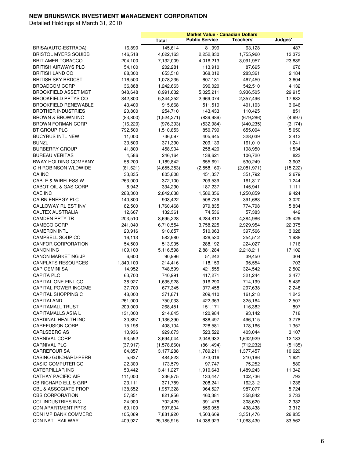|                                 |           |              |                       | <b>Market Value - Canadian Dollars</b> |           |
|---------------------------------|-----------|--------------|-----------------------|----------------------------------------|-----------|
|                                 |           | <b>Total</b> | <b>Public Service</b> | Teachers'                              | Judges'   |
| BRISA(AUTO-ESTRADA)             | 16,890    | 145,614      | 81,999                | 63,128                                 | 487       |
| <b>BRISTOL MYERS SQUIBB</b>     | 146,518   | 4,022,163    | 2,252,830             | 1,755,960                              | 13,373    |
| BRIT AMER TOBACCO               | 204,100   | 7,132,009    | 4,016,213             | 3,091,957                              | 23,839    |
| <b>BRITISH AIRWAYS PLC</b>      | 54,100    | 202,281      | 113,910               | 87,695                                 | 676       |
| <b>BRITISH LAND CO</b>          | 88,300    | 653,518      | 368,012               | 283,321                                | 2,184     |
| <b>BRITISH SKY BRDCST</b>       | 116,500   | 1,078,235    | 607,181               | 467,450                                | 3,604     |
| <b>BROADCOM CORP</b>            | 36,888    | 1,242,663    | 696,020               | 542,510                                | 4,132     |
| <b>BROOKFIELD ASSET MGT</b>     | 348,648   | 8,991,632    | 5,025,211             | 3,936,505                              | 29,915    |
| <b>BROOKFIELD PPTYS CO</b>      |           |              |                       |                                        |           |
|                                 | 342,800   | 5,344,252    | 2,969,074             | 2,357,496                              | 17,682    |
| <b>BROOKFIELD RENEWABLE</b>     | 43,400    | 915,668      | 511,519               | 401,103                                | 3,046     |
| <b>BROTHER INDUSTRIES</b>       | 20,800    | 254,710      | 143,433               | 110,425                                | 851       |
| BROWN & BROWN INC               | (83, 800) | (1,524,271)  | (839, 989)            | (679, 286)                             | (4,997)   |
| <b>BROWN FORMAN CORP</b>        | (16, 220) | (976, 393)   | (532, 984)            | (440, 235)                             | (3, 174)  |
| BT GROUP PLC                    | 792,500   | 1,510,853    | 850,799               | 655,004                                | 5,050     |
| <b>BUCYRUS INTL NEW</b>         | 11,000    | 736,097      | 405,645               | 328,039                                | 2,413     |
| <b>BUNZL</b>                    | 33,500    | 371,390      | 209,139               | 161,010                                | 1,241     |
| <b>BURBERRY GROUP</b>           | 41,800    | 458,904      | 258,420               | 198,950                                | 1,534     |
| <b>BUREAU VERITAS</b>           | 4,586     | 246,164      | 138,621               | 106,720                                | 823       |
| <b>BWAY HOLDING COMPANY</b>     | 58,200    | 1,189,842    | 655,691               | 530,249                                | 3,903     |
| C H ROBINSON WLDWIDE            | (81, 621) | (4,655,353)  | (2,558,160)           | (2,081,971)                            | (15, 222) |
| CA INC                          | 33,835    | 805,808      | 451,337               | 351,792                                | 2,679     |
| <b>CABLE &amp; WIRELESS W</b>   | 263,000   | 372,100      | 209,539               | 161,317                                | 1,244     |
| CABOT OIL & GAS CORP            | 8,942     | 334,290      | 187,237               | 145,941                                | 1,111     |
| <b>CAE INC</b>                  | 288,300   | 2,842,638    | 1,582,356             | 1,250,859                              | 9,424     |
| <b>CAIRN ENERGY PLC</b>         | 140,800   | 903,422      | 508,739               | 391,663                                | 3,020     |
| CALLOWAY RL EST INV             | 82,500    | 1,760,468    | 979,835               | 774,798                                | 5,834     |
| <b>CALTEX AUSTRALIA</b>         | 12,667    | 132,361      | 74,536                | 57,383                                 | 442       |
| <b>CAMDEN PPTY TR</b>           | 203,510   | 8,695,228    | 4,284,812             | 4,384,986                              | 25,429    |
| CAMECO CORP                     | 241,040   | 6,710,554    | 3,758,225             | 2,929,954                              | 22,375    |
| <b>CAMERON INTL</b>             | 20,916    | 910,657      | 510,063               | 397,566                                | 3,028     |
| <b>CAMPBELL SOUP CO</b>         | 16,113    | 582,980      | 326,530               | 254,512                                | 1,938     |
| CANFOR CORPORATION              | 54,500    | 513,935      | 288,192               | 224,027                                | 1,716     |
| <b>CANON INC</b>                | 109,100   | 5,116,598    | 2,881,284             | 2,218,211                              | 17,102    |
| <b>CANON MARKETING JP</b>       | 6,600     | 90,996       | 51,242                | 39,450                                 | 304       |
| <b>CANPLATS RESOURCES</b>       | 1,340,100 | 214,416      | 118,159               | 95,554                                 | 703       |
| <b>CAP GEMINI SA</b>            | 14,952    | 748,599      | 421,555               | 324,542                                | 2,502     |
| <b>CAPITA PLC</b>               | 63,700    | 740,991      | 417,271               | 321,244                                | 2,477     |
| CAPITAL ONE FINL CO             | 38,927    | 1,635,928    | 916,290               | 714,199                                | 5,439     |
| <b>CAPITAL POWER INCOME</b>     | 37,700    | 677,345      | 377,458               | 297,638                                | 2,248     |
| <b>CAPITAL SHOPPING C</b>       | 48,000    | 371,871      | 209,410               | 161,218                                | 1,243     |
| CAPITALAND                      | 261,000   | 750,033      | 422,363               | 325,164                                | 2,507     |
| <b>CAPITAMALL TRUST</b>         | 209,000   | 268,451      | 151,171               | 116,382                                | 897       |
| CAPITAMALLS ASIA L              | 131,000   | 214,845      | 120,984               | 93,142                                 | 718       |
| CARDINAL HEALTH INC             | 30,897    | 1,136,390    | 636,497               | 496,115                                | 3,778     |
| <b>CAREFUSION CORP</b>          | 15,198    | 408,104      | 228,581               | 178,166                                | 1,357     |
| CARLSBERG AS                    | 10,936    | 929,673      | 523,522               | 403,044                                | 3,107     |
| CARNIVAL CORP                   | 93,552    | 3,694,044    | 2,048,932             | 1,632,929                              | 12,183    |
| CARNIVAL PLC                    | (37, 917) | (1,578,860)  | (861, 494)            | (712, 232)                             | (5, 135)  |
| <b>CARREFOUR SA</b>             | 64,857    | 3,177,288    | 1,789,211             | 1,377,457                              | 10,620    |
| <b>CASINO GUICHARD-PERR</b>     | 5,637     | 484,823      | 273,016               | 210,186                                | 1,621     |
| CASIO COMPUTER CO               | 22,300    | 173,579      | 97,747                | 75,252                                 | 580       |
| <b>CATERPILLAR INC</b>          | 53,442    | 3,411,227    | 1,910,643             | 1,489,243                              | 11,342    |
| <b>CATHAY PACIFIC AIR</b>       | 111,000   | 236,975      | 133,447               | 102,736                                | 792       |
| <b>CB RICHARD ELLIS GRP</b>     | 23,111    | 371,789      | 208,241               | 162,312                                | 1,236     |
| <b>CBL &amp; ASSOCIATE PROP</b> | 138,652   | 1,957,328    | 964,527               | 987,077                                | 5,724     |
| <b>CBS CORPORATION</b>          | 57,851    | 821,956      | 460,381               | 358,842                                | 2,733     |
| <b>CCL INDUSTRIES INC</b>       | 24,900    | 702,429      | 391,478               | 308,620                                | 2,332     |
| <b>CDN APARTMENT PPTS</b>       | 69,100    | 997,804      | 556,055               | 438,438                                | 3,312     |
| CDN IMP BANK COMMERC            | 105,069   |              | 4,503,609             | 3,351,476                              | 26,835    |
|                                 |           | 7,881,920    |                       |                                        |           |
| CDN NATL RAILWAY                | 409,927   | 25,185,915   | 14,038,923            | 11,063,430                             | 83,562    |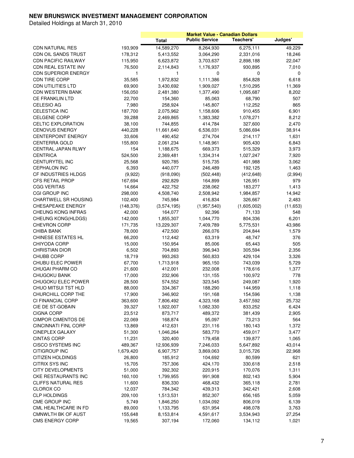|                             |            |              | <b>Market Value - Canadian Dollars</b> |             |           |
|-----------------------------|------------|--------------|----------------------------------------|-------------|-----------|
|                             |            | <b>Total</b> | <b>Public Service</b>                  | Teachers'   | Judges'   |
| <b>CDN NATURAL RES</b>      | 193,909    | 14,589,270   | 8,264,930                              | 6,275,111   | 49,229    |
| CDN OIL SANDS TRUST         | 178,312    | 5,413,552    | 3,064,290                              | 2,331,016   | 18,246    |
| <b>CDN PACIFIC RAILWAY</b>  | 115,950    | 6,623,872    | 3,703,637                              | 2,898,188   | 22,047    |
| CDN REAL ESTATE INV         | 76,500     | 2,114,843    | 1,176,937                              | 930,895     | 7,010     |
| <b>CDN SUPERIOR ENERGY</b>  | 1          | 1            | 0                                      | 0           | 0         |
| <b>CDN TIRE CORP</b>        | 35,585     | 1,972,832    | 1,111,386                              | 854,828     | 6,618     |
| <b>CDN UTILITIES LTD</b>    | 69,900     | 3,430,692    | 1,909,027                              | 1,510,295   | 11,369    |
| <b>CDN WESTERN BANK</b>     | 156,050    | 2,481,380    | 1,377,490                              | 1,095,687   | 8,202     |
| <b>CE FRANKLIN LTD</b>      | 22,700     | 154,360      | 85,063                                 | 68,790      | 507       |
| CELESIO AG                  | 7,980      | 258,924      | 145,807                                | 112,252     | 865       |
| CELESTICA INC               | 187,700    | 2,075,962    | 1,158,606                              | 910,455     | 6,901     |
| <b>CELGENE CORP</b>         | 39,288     | 2,469,865    | 1,383,382                              | 1,078,271   | 8,212     |
| CELTIC EXPLORATION          | 38,100     | 744,855      | 414,784                                | 327,600     | 2,470     |
| <b>CENOVUS ENERGY</b>       |            |              |                                        |             |           |
|                             | 440,228    | 11,661,640   | 6,536,031                              | 5,086,694   | 38,914    |
| <b>CENTERPOINT ENERGY</b>   | 33,606     | 490,452      | 274,704                                | 214,117     | 1,631     |
| <b>CENTERRA GOLD</b>        | 155,800    | 2,061,234    | 1,148,961                              | 905,430     | 6,843     |
| <b>CENTRAL JAPAN RLWY</b>   | 154        | 1,188,675    | 669,373                                | 515,329     | 3,973     |
| <b>CENTRICA</b>             | 524,500    | 2,369,481    | 1,334,314                              | 1,027,247   | 7,920     |
| <b>CENTURYTEL INC</b>       | 25,568     | 920,785      | 515,735                                | 401,988     | 3,062     |
| <b>CEPHALON INC</b>         | 6,393      | 440,077      | 246,489                                | 192,125     | 1,463     |
| CF INDUSTRIES HLDGS         | (9,922)    | (918,090)    | (502, 448)                             | (412, 648)  | (2,994)   |
| <b>CFS RETAIL PROP</b>      | 167,694    | 292,829      | 164,899                                | 126,951     | 979       |
| <b>CGG VERITAS</b>          | 14,664     | 422,752      | 238,062                                | 183,277     | 1,413     |
| CGI GROUP INC               | 298,000    | 4,508,740    | 2,508,942                              | 1,984,857   | 14,942    |
| <b>CHARTWELL SR HOUSING</b> | 102,400    | 745,984      | 416,834                                | 326,667     | 2,483     |
| <b>CHESAPEAKE ENERGY</b>    | (148, 376) | (3,574,195)  | (1,957,540)                            | (1,605,002) | (11, 653) |
| CHEUNG KONG INFRAS          | 42,000     | 164,077      | 92,396                                 | 71,133      | 548       |
| <b>CHEUNG KONG(HLDGS)</b>   | 142,000    | 1,855,307    | 1,044,770                              | 804,336     | 6,201     |
| <b>CHEVRON CORP</b>         | 171,735    | 13,229,307   | 7,409,789                              | 5,775,531   | 43,986    |
| <b>CHIBA BANK</b>           | 78,000     | 472,500      | 266,076                                | 204,844     | 1,579     |
| CHINESE ESTATES HL          | 66,200     | 112,442      | 63,319                                 | 48,747      | 376       |
| CHIYODA CORP                | 15,000     | 150,954      | 85,006                                 | 65,443      | 505       |
| <b>CHRISTIAN DIOR</b>       | 6,502      | 704,893      | 396,943                                | 305,594     | 2,356     |
| <b>CHUBB CORP</b>           | 18,719     | 993,263      | 560,833                                | 429,104     | 3,326     |
| CHUBU ELEC POWER            | 67,700     | 1,713,918    | 965,150                                | 743,039     | 5,729     |
| <b>CHUGAI PHARM CO</b>      | 21,600     | 412,001      | 232,008                                | 178,616     | 1,377     |
| <b>CHUGOKU BANK</b>         | 17,000     | 232,906      | 131,155                                | 100,972     | 778       |
| CHUGOKU ELEC POWER          | 28,500     | 574,552      | 323,545                                | 249,087     | 1,920     |
| CHUO MITSUI TST HLD         | 88,000     | 334,367      | 188,290                                | 144,959     | 1,118     |
| CHURCHILL CORP THE          | 17,900     | 346,902      | 191,168                                | 154,596     | 1,138     |
| CI FINANCIAL CORP           | 363,600    | 7,806,492    | 4,323,168                              | 3,457,592   | 25,732    |
| CIE DE ST-GOBAIN            | 39,327     | 1,922,007    | 1,082,330                              | 833,252     | 6,424     |
| <b>CIGNA CORP</b>           | 23,512     | 873,717      | 489,372                                | 381,439     | 2,905     |
| <b>CIMPOR CIMENTOS DE</b>   | 22,069     | 168,874      | 95,097                                 | 73,213      | 564       |
| <b>CINCINNATI FINL CORP</b> | 13,869     | 412,631      | 231,116                                | 180,143     | 1,372     |
| <b>CINEPLEX GALAXY</b>      | 51,300     | 1,046,264    | 583,770                                | 459,017     | 3,477     |
| <b>CINTAS CORP</b>          | 11,231     | 320,400      | 179,458                                | 139,877     | 1,065     |
| <b>CISCO SYSTEMS INC</b>    | 489,367    | 12,936,939   | 7,246,033                              | 5,647,892   | 43,014    |
| CITIGROUP INC               | 1,679,420  | 6,907,757    | 3,869,063                              | 3,015,726   | 22,968    |
| <b>CITIZEN HOLDINGS</b>     | 26,800     | 185,912      | 104,692                                | 80,599      | 621       |
| CITRIX SYS INC              | 15,705     | 757,306      | 424,170                                | 330,618     | 2,518     |
| <b>CITY DEVELOPMENTS</b>    | 51,000     | 392,302      | 220,915                                | 170,076     | 1,311     |
| CKE RESTAURANTS INC         | 160,100    | 1,799,955    | 991,908                                | 802,143     | 5,904     |
| <b>CLIFFS NATURAL RES</b>   | 11,600     | 836,330      | 468,432                                | 365,118     | 2,781     |
| <b>CLOROX CO</b>            |            |              |                                        |             |           |
| <b>CLP HOLDINGS</b>         | 12,037     | 784,342      | 439,313                                | 342,421     | 2,608     |
|                             | 209,100    | 1,513,531    | 852,307                                | 656,165     | 5,059     |
| CME GROUP INC               | 5,749      | 1,846,250    | 1,034,092                              | 806,019     | 6,139     |
| CML HEALTHCARE IN FD        | 89,000     | 1,133,795    | 631,954                                | 498,078     | 3,763     |
| <b>CMNWLTH BK OF AUST</b>   | 155,648    | 8,153,814    | 4,591,617                              | 3,534,943   | 27,254    |
| <b>CMS ENERGY CORP</b>      | 19,565     | 307,194      | 172,060                                | 134,112     | 1,021     |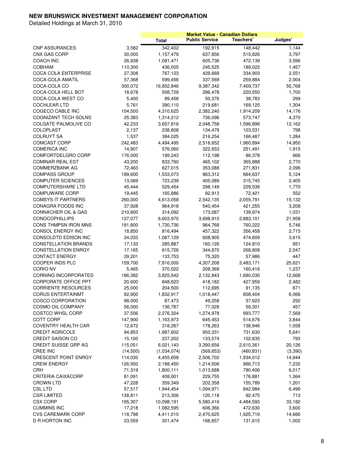|                                |          |              |                       | <b>Market Value - Canadian Dollars</b> |          |
|--------------------------------|----------|--------------|-----------------------|----------------------------------------|----------|
|                                |          | <b>Total</b> | <b>Public Service</b> | Teachers'                              | Judges'  |
| <b>CNP ASSURANCES</b>          | 3,582    | 342,402      | 192,815               | 148,442                                | 1.144    |
| <b>CNX GAS CORP</b>            | 30,000   | 1,157,479    | 637,856               | 515,826                                | 3,797    |
| <b>COACH INC</b>               | 26,938   | 1,081,471    | 605,736               | 472,139                                | 3,596    |
| <b>COBHAM</b>                  | 110,300  | 436,005      | 245,525               | 189,022                                | 1,457    |
| <b>COCA COLA ENTERPRISE</b>    | 27,308   | 767,123      | 429,669               | 334,903                                | 2,551    |
| COCA-COLA AMATIL               | 57,368   | 599,456      | 337,569               | 259,884                                | 2,004    |
| COCA-COLA CO                   | 300,072  | 16,852,846   | 9,387,342             | 7,409,737                              | 55,768   |
| COCA-COLA HELL BOT             | 18,678   | 508,729      | 286,478               | 220,550                                | 1,700    |
| COCA-COLA WEST CO              | 5,400    | 89,458       | 50,376                | 38,783                                 | 299      |
| <b>COCHLEAR LTD</b>            | 5,761    | 390,110      | 219,681               | 169,125                                | 1,304    |
| COGECO CABLE INC               | 104,500  | 4,310,625    | 2,382,240             | 1,914,209                              | 14,176   |
|                                |          |              |                       |                                        |          |
| COGNIZANT TECH SOLNS           | 25,383   | 1,314,212    | 736,096               | 573,747                                | 4,370    |
| COLGATE PALMOLIVE CO           | 42,233   | 3,657,816    | 2,048,758             | 1,596,896                              | 12,162   |
| <b>COLOPLAST</b>               | 2,137    | 238,808      | 134,479               | 103,531                                | 798      |
| <b>COLRUYT SA</b>              | 1,537    | 384,025      | 216,254               | 166,487                                | 1,284    |
| <b>COMCAST CORP</b>            | 242,483  | 4,494,495    | 2,518,652             | 1,960,894                              | 14,950   |
| <b>COMERICA INC</b>            | 14,907   | 576,060      | 322,653               | 251,491                                | 1,915    |
| COMFORTDELGRO CORP             | 176,000  | 199,243      | 112,198               | 86,378                                 | 666      |
| <b>COMINAR REAL EST</b>        | 43,200   | 833,760      | 465,102               | 365,888                                | 2,770    |
| COMMERZBANK AG                 | 72,463   | 627,015      | 353,088               | 271,831                                | 2,096    |
| <b>COMPASS GROUP</b>           | 189,600  | 1,533,073    | 863,312               | 664,637                                | 5,124    |
| <b>COMPUTER SCIENCES</b>       | 13,069   | 723,239      | 405,089               | 315,745                                | 2,405    |
| <b>COMPUTERSHARE LTD</b>       | 45,444   | 529,454      | 298,149               | 229,536                                | 1,770    |
| <b>COMPUWARE CORP</b>          | 19,445   | 165,886      | 92,913                | 72,421                                 | 552      |
| <b>COMSYS IT PARTNERS</b>      | 260,000  | 4,613,058    | 2,542,135             | 2,055,791                              | 15,132   |
| CONAGRA FOODS INC              | 37,928   | 964,918      | 540,454               | 421,255                                | 3,208    |
| <b>CONNACHER OIL &amp; GAS</b> | 210,800  | 314,092      | 173,087               | 139,974                                | 1,031    |
| <b>CONOCOPHILLIPS</b>          | 127,077  | 6,603,970    | 3,698,910             | 2,883,101                              | 21,958   |
| CONS THMPSN IRON MNS           | 181,800  | 1,730,736    | 964,768               | 760,222                                | 5,746    |
| CONSOL ENERGY INC              | 18,850   | 816,494      | 457,322               | 356,458                                | 2,715    |
| CONSOLDTD EDISON INC           | 24,033   | 1,087,129    | 608,905               | 474,609                                | 3,615    |
| <b>CONSTELLATION BRANDS</b>    | 17,133   | 285,887      | 160,126               | 124,810                                | 951      |
| <b>CONSTELLATION ENRGY</b>     | 17,165   | 615,726      | 344,870               | 268,808                                | 2,047    |
| <b>CONTACT ENERGY</b>          | 29,201   | 133,753      | 75,320                | 57,986                                 | 447      |
| COOPER INDS PLC                | 159,700  | 7,816,000    | 4,307,208             | 3,483,171                              | 25,621   |
| <b>CORIO NV</b>                | 5,465    | 370,022      | 208,369               | 160,416                                | 1,237    |
| <b>CORNING INCORPORATED</b>    | 186,382  | 3,825,542    | 2,132,843             | 1,680,030                              | 12,668   |
| <b>CORPORATE OFFICE PPT</b>    | 20,600   | 848,623      | 418,182               | 427,959                                | 2,482    |
| <b>CORRIENTE RESOURCES</b>     | 25,000   | 204,500      | 112,695               | 91,135                                 | 671      |
| <b>CORUS ENTERTAINMT</b>       |          |              |                       | 808,404                                |          |
|                                | 92,900   | 1,832,917    | 1,018,447             |                                        | 6,066    |
| <b>COSCO CORPORATION</b>       | 98,000   | 87,473       | 49,258                | 37,923                                 | 292      |
| COSMO OIL COMPANY              | 56,000   | 136,787      | 77,028                | 59,301                                 | 457      |
| <b>COSTCO WHSL CORP</b>        | 37,506   | 2,276,324    | 1,274,978             | 993,777                                | 7,569    |
| COTT CORP                      | 147,900  | 1,163,973    | 645,453               | 514,676                                | 3,844    |
| COVENTRY HEALTH CAR            | 12,672   | 318,267      | 178,263               | 138,946                                | 1,058    |
| <b>CREDIT AGRICOLE</b>         | 94,853   | 1,687,602    | 950,331               | 731,630                                | 5,641    |
| <b>CREDIT SAISON CO</b>        | 15,100   | 237,202      | 133,574               | 102,835                                | 793      |
| <b>CREDIT SUISSE GRP AG</b>    | 115,051  | 6,021,143    | 3,390,656             | 2,610,361                              | 20,126   |
| <b>CREE INC</b>                | (14,500) | (1,034,074)  | (569, 853)            | (460, 831)                             | (3, 390) |
| <b>CRESCENT POINT ENRGY</b>    | 114,030  | 4,455,658    | 2,506,702             | 1,934,012                              | 14,944   |
| <b>CREW ENERGY</b>             | 126,500  | 2,188,450    | 1,214,506             | 966,713                                | 7,232    |
| CRH                            | 71,319   | 1,800,111    | 1,013,688             | 780,406                                | 6,017    |
| CRITERIA CAIXACORP             | 81,091   | 408,001      | 229,755               | 176,881                                | 1,364    |
| <b>CROWN LTD</b>               | 47,228   | 359,349      | 202,358               | 155,789                                | 1,201    |
| <b>CSL LTD</b>                 | 57,517   | 1,944,454    | 1,094,971             | 842,984                                | 6,499    |
| <b>CSR LIMITED</b>             | 138,811  | 213,306      | 120,118               | 92,475                                 | 713      |
| <b>CSX CORP</b>                | 195,307  | 10,098,191   | 5,580,416             | 4,484,593                              | 33,182   |
| <b>CUMMINS INC</b>             | 17,218   | 1,082,595    | 606,366               | 472,630                                | 3,600    |
| <b>CVS CAREMARK CORP</b>       | 118,798  | 4,411,010    | 2,470,625             | 1,925,719                              | 14,666   |
| D R HORTON INC                 | 23,559   | 301,474      | 168,857               | 131,615                                | 1,002    |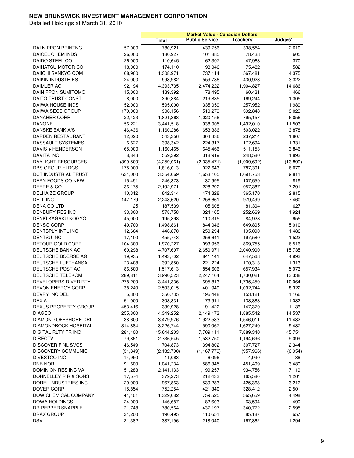|                             |                   |                    |                       | <b>Market Value - Canadian Dollars</b> |                |
|-----------------------------|-------------------|--------------------|-----------------------|----------------------------------------|----------------|
|                             |                   | <b>Total</b>       | <b>Public Service</b> | Teachers'                              | Judges'        |
| DAI NIPPON PRINTNG          | 57,000            | 780,921            | 439,756               | 338,554                                | 2,610          |
| DAICEL CHEM INDS            | 26,000            | 180,927            | 101,885               | 78,438                                 | 605            |
| DAIDO STEEL CO              | 26,000            | 110,645            | 62,307                | 47,968                                 | 370            |
| DAIHATSU MOTOR CO           | 18,000            | 174,110            | 98,046                | 75,482                                 | 582            |
| DAIICHI SANKYO COM          | 68,900            | 1,308,971          | 737,114               | 567,481                                | 4,375          |
| <b>DAIKIN INDUSTRIES</b>    | 24,000            | 993,982            | 559,736               | 430,923                                | 3,322          |
| DAIMLER AG                  | 92,194            | 4,393,735          | 2,474,222             | 1,904,827                              | 14,686         |
| DAINIPPON SUMITOMO          | 15,000            | 139,392            | 78,495                | 60,431                                 | 466            |
| DAITO TRUST CONST           |                   |                    |                       |                                        |                |
| <b>DAIWA HOUSE INDS</b>     | 8,000             | 390,384            | 219,835               | 169,244                                | 1,305          |
| DAIWA SECS GROUP            | 52,000            | 595,000<br>906,156 | 335,059               | 257,952                                | 1,989          |
| <b>DANAHER CORP</b>         | 170,000<br>22,423 |                    | 510,279               | 392,848                                | 3,029<br>6,056 |
| <b>DANONE</b>               | 56,221            | 1,821,368          | 1,020,156             | 795,157                                | 11,503         |
| <b>DANSKE BANK A/S</b>      |                   | 3,441,518          | 1,938,005             | 1,492,010                              |                |
|                             | 46,436            | 1,160,286          | 653,386               | 503,022                                | 3,878          |
| DARDEN RESTAURANT           | 12,020            | 543,356            | 304,336               | 237,214                                | 1,807          |
| DASSAULT SYSTEMES           | 6,627             | 398,342            | 224,317               | 172,694                                | 1,331          |
| DAVIS + HENDERSON           | 65,000            | 1,160,465          | 645,466               | 511,153                                | 3,846          |
| <b>DAVITA INC</b>           | 8,843             | 569,392            | 318,919               | 248,580                                | 1,893          |
| DAYLIGHT RESOURCES          | (399, 500)        | (4,259,061)        | (2,335,471)           | (1,909,692)                            | (13, 899)      |
| DBS GROUP HLDGS             | 175,000           | 1,816,013          | 1,022,643             | 787,301                                | 6,070          |
| DCT INDUSTRIAL TRUST        | 634,000           | 3,354,669          | 1,653,105             | 1,691,753                              | 9,811          |
| DEAN FOODS CO NEW           | 15,491            | 246,373            | 137,995               | 107,559                                | 819            |
| DEERE & CO                  | 36,175            | 2,192,971          | 1,228,292             | 957,387                                | 7,291          |
| <b>DELHAIZE GROUP</b>       | 10,312            | 842,314            | 474,328               | 365,170                                | 2,815          |
| DELL INC                    | 147,179           | 2,243,620          | 1,256,661             | 979,499                                | 7,460          |
| DENA CO LTD                 | 25                | 187,539            | 105,608               | 81,304                                 | 627            |
| DENBURY RES INC             | 33,800            | 578,758            | 324,165               | 252,669                                | 1,924          |
| DENKI KAGAKU KOGYO          | 45,000            | 195,898            | 110,315               | 84,928                                 | 655            |
| <b>DENSO CORP</b>           | 49,700            | 1,498,861          | 844,046               | 649,805                                | 5,010          |
| DENTSPLY INTL INC           | 12,604            | 446,870            | 250,294               | 195,090                                | 1,486          |
| <b>DENTSU INC</b>           | 17,100            | 455,743            | 256,641               | 197,580                                | 1,523          |
| DETOUR GOLD CORP            | 104,300           | 1,970,227          | 1,093,956             | 869,755                                | 6,516          |
| DEUTSCHE BANK AG            | 60,298            | 4,707,607          | 2,650,971             | 2,040,900                              | 15,735         |
| DEUTSCHE BOERSE AG          | 19,935            | 1,493,702          | 841,141               | 647,568                                | 4,993          |
| DEUTSCHE LUFTHANSA          | 23,408            | 392,850            | 221,224               | 170,313                                | 1,313          |
| DEUTSCHE POST AG            | 86,500            | 1,517,613          | 854,606               | 657,934                                | 5,073          |
| DEUTSCHE TELEKOM            | 289,811           | 3,990,523          | 2,247,164             | 1,730,021                              | 13,338         |
| DEVELOPERS DIVER RTY        | 278,200           | 3,441,336          | 1,695,813             | 1,735,459                              | 10,064         |
| <b>DEVON ENERGY CORP</b>    | 38,240            | 2,503,015          | 1,401,949             | 1,092,744                              | 8,322          |
| DEVRY INC DEL               | 5,300             | 350,735            | 196,448               | 153,121                                | 1,166          |
| <b>DEXIA</b>                | 51,000            | 308,831            | 173,911               | 133,888                                | 1,032          |
| <b>DEXUS PROPERTY GROUP</b> | 453,416           | 339,928            | 191,422               | 147,370                                | 1,136          |
| <b>DIAGEO</b>               | 255,800           | 4,349,252          | 2,449,173             | 1,885,542                              | 14,537         |
| DIAMOND OFFSHORE DRL        | 38,600            | 3,479,976          | 1,922,533             | 1,546,011                              | 11,432         |
| DIAMONDROCK HOSPITAL        | 314,884           | 3,226,744          | 1,590,067             | 1,627,240                              | 9,437          |
| DIGITAL RLTY TR INC         | 284,100           | 15,644,203         | 7,709,111             | 7,889,340                              | 45,751         |
| <b>DIRECTV</b>              | 79,861            | 2,736,545          | 1,532,750             | 1,194,696                              | 9,099          |
| <b>DISCOVER FINL SVCS</b>   | 46,549            | 704,873            | 394,802               | 307,727                                | 2,344          |
| DISCOVERY COMMUNIC          | (31, 849)         | (2, 132, 700)      | (1, 167, 779)         | (957, 966)                             | (6,954)        |
| DIVESTCO INC                | 14,950            | 11,063             | 6,096                 | 4,930                                  | 36             |
| DNB NOR                     | 91,600            | 1,041,234          | 586,345               | 451,409                                | 3,480          |
| DOMINION RES INC VA         | 51,283            | 2,141,133          | 1,199,257             | 934,756                                | 7,119          |
| DONNELLEY R R & SONS        | 17,574            | 379,273            | 212,433               | 165,580                                | 1,261          |
| DOREL INDUSTRIES INC        | 29,900            | 967,863            | 539,283               | 425,368                                | 3,212          |
| DOVER CORP                  | 15,854            | 752,254            | 421,340               | 328,412                                | 2,501          |
| DOW CHEMICAL COMPANY        | 44,101            | 1,329,682          | 759,525               | 565,659                                | 4,498          |
| DOWA HOLDINGS               | 24,000            | 146,687            | 82,603                | 63,594                                 | 490            |
| DR PEPPER SNAPPLE           | 21,748            | 780,564            | 437,197               | 340,772                                | 2,595          |
| <b>DRAX GROUP</b>           | 34,200            | 196,495            | 110,651               | 85,187                                 | 657            |
| <b>DSV</b>                  | 21,382            | 387,196            | 218,040               | 167,862                                | 1,294          |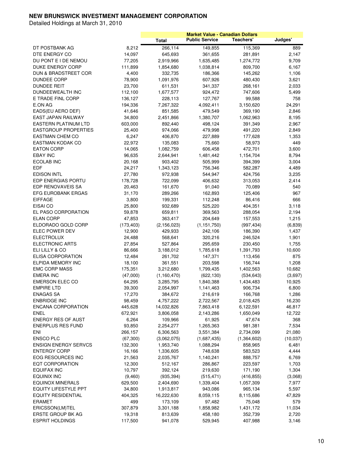|                                 |            |               |                       | <b>Market Value - Canadian Dollars</b> |          |
|---------------------------------|------------|---------------|-----------------------|----------------------------------------|----------|
|                                 |            | <b>Total</b>  | <b>Public Service</b> | Teachers'                              | Judges'  |
| DT POSTBANK AG                  | 8,212      | 266,114       | 149,855               | 115,369                                | 889      |
| DTE ENERGY CO                   | 14,097     | 645,693       | 361,655               | 281,891                                | 2,147    |
| DU PONT E I DE NEMOU            | 77,205     | 2,919,966     | 1,635,485             | 1,274,772                              | 9,709    |
| DUKE ENERGY CORP                | 111,899    | 1,854,680     | 1,038,814             | 809,700                                | 6,167    |
| <b>DUN &amp; BRADSTREET COR</b> | 4,400      | 332,735       | 186,366               | 145,262                                | 1,106    |
| <b>DUNDEE CORP</b>              | 78,900     | 1,091,976     | 607,926               | 480,430                                | 3,621    |
| <b>DUNDEE REIT</b>              | 23,700     | 611,531       | 341,337               | 268,161                                | 2,033    |
| DUNDEEWEALTH INC                | 112,100    | 1,677,577     | 924,472               | 747,606                                | 5,499    |
| E TRADE FINL CORP               | 136,127    | 228,113       | 127,767               | 99,588                                 | 758      |
| E.ON AG                         | 194,336    | 7,267,322     | 4,092,411             | 3,150,620                              | 24,291   |
| EADS(EU AERO DEF)               | 41,646     | 851,585       | 479,549               | 369,190                                | 2,846    |
| EAST JAPAN RAILWAY              | 34,800     | 2,451,866     | 1,380,707             |                                        | 8,195    |
| <b>EASTERN PLATINUM LTD</b>     | 603,000    | 892,440       | 498,124               | 1,062,963                              | 2,967    |
|                                 |            |               |                       | 391,349                                |          |
| <b>EASTGROUP PROPERTIES</b>     | 25,400     | 974,066       | 479,998               | 491,220                                | 2,849    |
| EASTMAN CHEM CO                 | 6,247      | 406,870       | 227,889               | 177,628                                | 1,353    |
| EASTMAN KODAK CO                | 22,972     | 135,083       | 75,660                | 58,973                                 | 449      |
| <b>EATON CORP</b>               | 14,065     | 1,082,759     | 606,458               | 472,701                                | 3,600    |
| <b>EBAY INC</b>                 | 96,635     | 2,644,941     | 1,481,442             | 1,154,704                              | 8,794    |
| ECOLAB INC                      | 20,168     | 903,402       | 505,999               | 394,399                                | 3,004    |
| EDF                             | 24,217     | 1,343,123     | 756,346               | 582,287                                | 4,489    |
| <b>EDISON INTL</b>              | 27,780     | 972,938       | 544,947               | 424,756                                | 3,235    |
| <b>EDP ENERGIAS PORTU</b>       | 178,728    | 722,099       | 406,632               | 313,053                                | 2,414    |
| EDP RENOVAVEIS SA               | 20,463     | 161,670       | 91,040                | 70,089                                 | 540      |
| <b>EFG EUROBANK ERGAS</b>       | 31,170     | 289,266       | 162,893               | 125,406                                | 967      |
| <b>EIFFAGE</b>                  | 3,800      | 199,331       | 112,248               | 86,416                                 | 666      |
| EISAI CO                        | 25,800     | 932,689       | 525,220               | 404,351                                | 3,118    |
| EL PASO CORPORATION             | 59,878     | 659,811       | 369,563               | 288,054                                | 2,194    |
| <b>ELAN CORP</b>                | 47,853     | 363,417       | 204,649               | 157,553                                | 1,215    |
| ELDORADO GOLD CORP              | (173, 403) | (2, 156, 023) | (1, 151, 750)         | (997, 434)                             | (6, 839) |
| ELEC POWER DEV                  | 12,900     | 429,933       | 242,106               | 186,390                                | 1,437    |
| <b>ELECTROLUX</b>               | 24,488     | 568,641       | 320,216               | 246,524                                | 1,901    |
| ELECTRONIC ARTS                 | 27,854     | 527,864       | 295,659               | 230,450                                | 1,755    |
| ELI LILLY & CO                  | 86,666     | 3,188,012     | 1,785,618             | 1,391,793                              | 10,600   |
| ELISA CORPORATION               | 12,484     | 261,702       | 147,371               | 113,456                                | 875      |
| ELPIDA MEMORY INC               | 18,100     | 361,551       | 203,598               | 156,744                                | 1,208    |
| <b>EMC CORP MASS</b>            | 175,351    | 3,212,680     | 1,799,435             | 1,402,563                              | 10,682   |
| <b>EMERA INC</b>                | (47,000)   | (1, 160, 470) | (622, 130)            | (534, 643)                             | (3,697)  |
| <b>EMERSON ELEC CO</b>          | 64,295     | 3,285,795     | 1,840,388             | 1,434,483                              | 10,925   |
| <b>EMPIRE LTD</b>               | 39,300     | 2,054,997     | 1,141,463             | 906,734                                | 6,800    |
| <b>ENAGAS SA</b>                | 17,270     | 384,672       | 216,619               | 166,768                                | 1,286    |
| <b>ENBRIDGE INC</b>             | 98,459     | 4,757,222     | 2,722,567             | 2,018,425                              | 16,230   |
| ENCANA CORPORATION              | 445,628    | 14,032,826    | 7,863,418             | 6,122,591                              | 46,817   |
| <b>ENEL</b>                     | 672,921    | 3,806,058     | 2,143,286             | 1,650,049                              | 12,722   |
| <b>ENERGY RES OF AUST</b>       | 6,264      | 109,966       | 61,925                | 47,674                                 | 368      |
| <b>ENERPLUS RES FUND</b>        | 93,850     | 2,254,277     | 1,265,363             | 981,381                                | 7,534    |
| ENI                             | 266,157    | 6,306,563     | 3,551,384             | 2,734,099                              | 21,080   |
| <b>ENSCO PLC</b>                | (67, 300)  | (3,062,075)   | (1,687,435)           | (1,364,602)                            | (10,037) |
| <b>ENSIGN ENERGY SERVCS</b>     | 132,300    | 1,953,740     | 1,088,294             | 858,965                                | 6,481    |
| <b>ENTERGY CORP</b>             | 16,166     | 1,336,605     | 748,638               | 583,523                                | 4,444    |
| EOG RESOURCES INC               | 21,563     | 2,035,767     | 1,140,241             | 888,757                                | 6,769    |
| <b>EQT CORPORATION</b>          | 12,300     | 512,167       | 286,867               | 223,597                                | 1,703    |
| <b>EQUIFAX INC</b>              | 10,797     |               |                       |                                        |          |
|                                 |            | 392,124       | 219,630               | 171,190                                | 1,304    |
| <b>EQUINIX INC</b>              | (9,460)    | (935, 394)    | (515, 471)            | (416, 855)                             | (3,068)  |
| <b>EQUINOX MINERALS</b>         | 629,500    | 2,404,690     | 1,339,404             | 1,057,309                              | 7,977    |
| <b>EQUITY LIFESTYLE PPT</b>     | 34,800     | 1,913,817     | 943,086               | 965,134                                | 5,597    |
| <b>EQUITY RESIDENTIAL</b>       | 404,325    | 16,222,630    | 8,059,115             | 8,115,686                              | 47,829   |
| <b>ERAMET</b>                   | 499        | 173,109       | 97,482                | 75,048                                 | 579      |
| ERICSSON(LM)TEL                 | 307,879    | 3,301,188     | 1,858,982             | 1,431,172                              | 11,034   |
| ERSTE GROUP BK AG               | 19,318     | 813,639       | 458,180               | 352,739                                | 2,720    |
| <b>ESPRIT HOLDINGS</b>          | 117,500    | 941,078       | 529,945               | 407,988                                | 3,146    |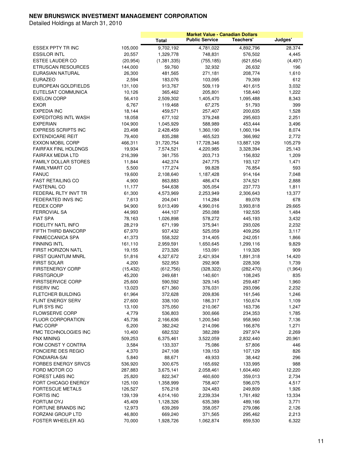| <b>Public Service</b><br>Teachers'<br><b>Total</b><br>9,702,192<br>28,374<br>ESSEX PPTY TR INC<br>105,000<br>4,781,022<br>4,892,796<br><b>ESSILOR INTL</b><br>20,557<br>1,329,778<br>748,831<br>576,502<br>4,445<br>ESTEE LAUDER CO<br>(20, 954)<br>(755, 185)<br>(621, 654)<br>(1,381,335)<br>(4, 497)<br><b>ETRUSCAN RESOURCES</b><br>144,000<br>59,760<br>32,932<br>26,632<br>196<br>EURASIAN NATURAL<br>26,300<br>481,565<br>271,181<br>208,774<br>1,610<br>2,594<br><b>EURAZEO</b><br>183,076<br>103,095<br>79,369<br>612<br>131,100<br>3,032<br>EUROPEAN GOLDFIELDS<br>913,767<br>509,119<br>401,615<br>EUTELSAT COMMUNICA<br>10,126<br>365,462<br>205,801<br>158,440<br>1,222<br><b>EXELON CORP</b><br>56,410<br>2,509,302<br>1,405,470<br>1,095,488<br>8,343<br><b>EXOR</b><br>6,767<br>119,468<br>67,275<br>51,793<br>399<br><b>EXPEDIA INC</b><br>18,144<br>459,571<br>257,407<br>200,635<br>1,528<br>2,251<br><b>EXPEDITORS INTL WASH</b><br>18,058<br>677,102<br>379,248<br>295,603<br><b>EXPERIAN</b><br>104,900<br>1,045,929<br>588,989<br>453,444<br>3,496<br><b>EXPRESS SCRIPTS INC</b><br>23,498<br>2,428,459<br>1,360,190<br>1,060,194<br>8,074<br><b>EXTENDICARE REIT</b><br>79,400<br>366,992<br>2,772<br>835,288<br>465,523<br><b>EXXON MOBIL CORP</b><br>466,311<br>31,720,754<br>17,728,346<br>13,887,129<br>105,279<br><b>FAIRFAX FINL HOLDNGS</b><br>19,934<br>7,574,521<br>4,220,985<br>3,328,394<br>25,143<br><b>FAIRFAX MEDIA LTD</b><br>216,399<br>203,713<br>1,209<br>361,755<br>156,832<br><b>FAMILY DOLLAR STORES</b><br>11,844<br>442,374<br>247,775<br>193,127<br>1,471<br>177,274<br><b>FAMILYMART CO</b><br>5,500<br>99,828<br>76,854<br>593<br>19,600<br><b>FANUC</b><br>2,108,640<br>1,187,428<br>914,164<br>7,048<br>4,900<br><b>FAST RETAILING CO</b><br>863,883<br>486,474<br>374,521<br>2,888<br>11,177<br><b>FASTENAL CO</b><br>544,638<br>305,054<br>237,773<br>1,811<br>61,300<br>FEDERAL RLTY INVT TR<br>4,573,969<br>2,253,949<br>2,306,643<br>13,377<br>FEDERATED INVS INC<br>7,613<br>204,041<br>114,284<br>89,078<br>678<br><b>FEDEX CORP</b><br>94,900<br>29,665<br>9,013,499<br>4,990,016<br>3,993,818<br><b>FERROVIAL SA</b><br>44,993<br>444,107<br>250,088<br>192,535<br>1,484<br><b>FIAT SPA</b><br>78,163<br>1,026,898<br>578,272<br>445,193<br>3,432<br>FIDELITY NATL INFO<br>28,219<br>671,199<br>375,941<br>293,026<br>2,232<br>FIFTH THIRD BANCORP<br>67,970<br>937,432<br>525,059<br>409,256<br>3,117<br><b>FINMECCANICA SPA</b><br>41,373<br>558,322<br>314,405<br>242,051<br>1,866<br><b>FINNING INTL</b><br>161,110<br>2,959,591<br>1,650,645<br>1,299,116<br>9,829<br>FIRST HORIZON NATL<br>19,155<br>273,326<br>153,091<br>119,326<br>909<br>FIRST QUANTUM MNRL<br>51,816<br>4,327,672<br>2,421,934<br>1,891,318<br>14,420<br><b>FIRST SOLAR</b><br>4,200<br>522,953<br>292,908<br>228,306<br>1,739<br><b>FIRSTENERGY CORP</b><br>(15, 432)<br>(612, 756)<br>(282, 470)<br>(1,964)<br>(328, 322)<br><b>FIRSTGROUP</b><br>45,200<br>249,681<br>108,245<br>835<br>140,601<br>FIRSTSERVICE CORP<br>25,600<br>590,592<br>329,145<br>259,487<br>1,960<br><b>FISERV INC</b><br>2,232<br>13,023<br>671,360<br>376,031<br>293,096<br><b>FLETCHER BUILDING</b><br>61,964<br>372,628<br>209,836<br>161,546<br>1,246<br>FLINT ENERGY SERV<br>27,600<br>338,100<br>150,674<br>186,317<br>1,109<br><b>FLIR SYS INC</b><br>13,100<br>375,050<br>210,067<br>163,736<br>1,247<br><b>FLOWSERVE CORP</b><br>4,779<br>536,803<br>300,666<br>234,353<br>1,785<br><b>FLUOR CORPORATION</b><br>45,736<br>2,166,636<br>1,200,540<br>958,960<br>7,136<br><b>FMC CORP</b><br>6,200<br>382,242<br>1,271<br>214,096<br>166,876<br>FMC TECHNOLOGIES INC<br>10,400<br>2,269<br>682,532<br>382,289<br>297,974<br>FNX MINING<br>509,253<br>6,375,461<br>3,522,059<br>2,832,440<br>20,961<br>FOM CONST Y CONTRA<br>3,584<br>133,337<br>75,086<br>57,806<br>446<br>FONCIERE DES REGIO<br>4,370<br>247,108<br>139,153<br>826<br>107,129<br><b>FONDIARIA-SAI</b><br>5,840<br>88,671<br>49,933<br>296<br>38,442<br>300,675<br>988<br><b>FORBES ENERGY SRVCS</b><br>536,920<br>165,692<br>133,995<br>FORD MOTOR CO<br>287,883<br>3,675,141<br>2,058,461<br>1,604,460<br>12,220<br>FOREST LABS INC<br>25,820<br>2,734<br>822,347<br>460,600<br>359,013<br>FORT CHICAGO ENERGY<br>125,100<br>1,358,999<br>758,407<br>596,075<br>4,517<br><b>FORTESCUE METALS</b><br>126,527<br>576,218<br>324,483<br>249,809<br>1,926<br><b>FORTIS INC</b><br>139,139<br>2,239,334<br>1,761,492<br>13,334<br>4,014,160<br>FORTUM OYJ<br>45,409<br>1,128,326<br>635,389<br>489,166<br>3,771 |  | <b>Market Value - Canadian Dollars</b> |         |
|--------------------------------------------------------------------------------------------------------------------------------------------------------------------------------------------------------------------------------------------------------------------------------------------------------------------------------------------------------------------------------------------------------------------------------------------------------------------------------------------------------------------------------------------------------------------------------------------------------------------------------------------------------------------------------------------------------------------------------------------------------------------------------------------------------------------------------------------------------------------------------------------------------------------------------------------------------------------------------------------------------------------------------------------------------------------------------------------------------------------------------------------------------------------------------------------------------------------------------------------------------------------------------------------------------------------------------------------------------------------------------------------------------------------------------------------------------------------------------------------------------------------------------------------------------------------------------------------------------------------------------------------------------------------------------------------------------------------------------------------------------------------------------------------------------------------------------------------------------------------------------------------------------------------------------------------------------------------------------------------------------------------------------------------------------------------------------------------------------------------------------------------------------------------------------------------------------------------------------------------------------------------------------------------------------------------------------------------------------------------------------------------------------------------------------------------------------------------------------------------------------------------------------------------------------------------------------------------------------------------------------------------------------------------------------------------------------------------------------------------------------------------------------------------------------------------------------------------------------------------------------------------------------------------------------------------------------------------------------------------------------------------------------------------------------------------------------------------------------------------------------------------------------------------------------------------------------------------------------------------------------------------------------------------------------------------------------------------------------------------------------------------------------------------------------------------------------------------------------------------------------------------------------------------------------------------------------------------------------------------------------------------------------------------------------------------------------------------------------------------------------------------------------------------------------------------------------------------------------------------------------------------------------------------------------------------------------------------------------------------------------------------------------------------------------------------------------------------------------------------------------------------------------------------------------------------------------------------------------------------------------------------------------------------------------------------------------------------------------------------------------------------------------------------------------------------------------------------------------------------------------------------------------------------------------------------------------------------------------|--|----------------------------------------|---------|
|                                                                                                                                                                                                                                                                                                                                                                                                                                                                                                                                                                                                                                                                                                                                                                                                                                                                                                                                                                                                                                                                                                                                                                                                                                                                                                                                                                                                                                                                                                                                                                                                                                                                                                                                                                                                                                                                                                                                                                                                                                                                                                                                                                                                                                                                                                                                                                                                                                                                                                                                                                                                                                                                                                                                                                                                                                                                                                                                                                                                                                                                                                                                                                                                                                                                                                                                                                                                                                                                                                                                                                                                                                                                                                                                                                                                                                                                                                                                                                                                                                                                                                                                                                                                                                                                                                                                                                                                                                                                                                                                                                                                        |  |                                        | Judges' |
|                                                                                                                                                                                                                                                                                                                                                                                                                                                                                                                                                                                                                                                                                                                                                                                                                                                                                                                                                                                                                                                                                                                                                                                                                                                                                                                                                                                                                                                                                                                                                                                                                                                                                                                                                                                                                                                                                                                                                                                                                                                                                                                                                                                                                                                                                                                                                                                                                                                                                                                                                                                                                                                                                                                                                                                                                                                                                                                                                                                                                                                                                                                                                                                                                                                                                                                                                                                                                                                                                                                                                                                                                                                                                                                                                                                                                                                                                                                                                                                                                                                                                                                                                                                                                                                                                                                                                                                                                                                                                                                                                                                                        |  |                                        |         |
|                                                                                                                                                                                                                                                                                                                                                                                                                                                                                                                                                                                                                                                                                                                                                                                                                                                                                                                                                                                                                                                                                                                                                                                                                                                                                                                                                                                                                                                                                                                                                                                                                                                                                                                                                                                                                                                                                                                                                                                                                                                                                                                                                                                                                                                                                                                                                                                                                                                                                                                                                                                                                                                                                                                                                                                                                                                                                                                                                                                                                                                                                                                                                                                                                                                                                                                                                                                                                                                                                                                                                                                                                                                                                                                                                                                                                                                                                                                                                                                                                                                                                                                                                                                                                                                                                                                                                                                                                                                                                                                                                                                                        |  |                                        |         |
|                                                                                                                                                                                                                                                                                                                                                                                                                                                                                                                                                                                                                                                                                                                                                                                                                                                                                                                                                                                                                                                                                                                                                                                                                                                                                                                                                                                                                                                                                                                                                                                                                                                                                                                                                                                                                                                                                                                                                                                                                                                                                                                                                                                                                                                                                                                                                                                                                                                                                                                                                                                                                                                                                                                                                                                                                                                                                                                                                                                                                                                                                                                                                                                                                                                                                                                                                                                                                                                                                                                                                                                                                                                                                                                                                                                                                                                                                                                                                                                                                                                                                                                                                                                                                                                                                                                                                                                                                                                                                                                                                                                                        |  |                                        |         |
|                                                                                                                                                                                                                                                                                                                                                                                                                                                                                                                                                                                                                                                                                                                                                                                                                                                                                                                                                                                                                                                                                                                                                                                                                                                                                                                                                                                                                                                                                                                                                                                                                                                                                                                                                                                                                                                                                                                                                                                                                                                                                                                                                                                                                                                                                                                                                                                                                                                                                                                                                                                                                                                                                                                                                                                                                                                                                                                                                                                                                                                                                                                                                                                                                                                                                                                                                                                                                                                                                                                                                                                                                                                                                                                                                                                                                                                                                                                                                                                                                                                                                                                                                                                                                                                                                                                                                                                                                                                                                                                                                                                                        |  |                                        |         |
|                                                                                                                                                                                                                                                                                                                                                                                                                                                                                                                                                                                                                                                                                                                                                                                                                                                                                                                                                                                                                                                                                                                                                                                                                                                                                                                                                                                                                                                                                                                                                                                                                                                                                                                                                                                                                                                                                                                                                                                                                                                                                                                                                                                                                                                                                                                                                                                                                                                                                                                                                                                                                                                                                                                                                                                                                                                                                                                                                                                                                                                                                                                                                                                                                                                                                                                                                                                                                                                                                                                                                                                                                                                                                                                                                                                                                                                                                                                                                                                                                                                                                                                                                                                                                                                                                                                                                                                                                                                                                                                                                                                                        |  |                                        |         |
|                                                                                                                                                                                                                                                                                                                                                                                                                                                                                                                                                                                                                                                                                                                                                                                                                                                                                                                                                                                                                                                                                                                                                                                                                                                                                                                                                                                                                                                                                                                                                                                                                                                                                                                                                                                                                                                                                                                                                                                                                                                                                                                                                                                                                                                                                                                                                                                                                                                                                                                                                                                                                                                                                                                                                                                                                                                                                                                                                                                                                                                                                                                                                                                                                                                                                                                                                                                                                                                                                                                                                                                                                                                                                                                                                                                                                                                                                                                                                                                                                                                                                                                                                                                                                                                                                                                                                                                                                                                                                                                                                                                                        |  |                                        |         |
|                                                                                                                                                                                                                                                                                                                                                                                                                                                                                                                                                                                                                                                                                                                                                                                                                                                                                                                                                                                                                                                                                                                                                                                                                                                                                                                                                                                                                                                                                                                                                                                                                                                                                                                                                                                                                                                                                                                                                                                                                                                                                                                                                                                                                                                                                                                                                                                                                                                                                                                                                                                                                                                                                                                                                                                                                                                                                                                                                                                                                                                                                                                                                                                                                                                                                                                                                                                                                                                                                                                                                                                                                                                                                                                                                                                                                                                                                                                                                                                                                                                                                                                                                                                                                                                                                                                                                                                                                                                                                                                                                                                                        |  |                                        |         |
|                                                                                                                                                                                                                                                                                                                                                                                                                                                                                                                                                                                                                                                                                                                                                                                                                                                                                                                                                                                                                                                                                                                                                                                                                                                                                                                                                                                                                                                                                                                                                                                                                                                                                                                                                                                                                                                                                                                                                                                                                                                                                                                                                                                                                                                                                                                                                                                                                                                                                                                                                                                                                                                                                                                                                                                                                                                                                                                                                                                                                                                                                                                                                                                                                                                                                                                                                                                                                                                                                                                                                                                                                                                                                                                                                                                                                                                                                                                                                                                                                                                                                                                                                                                                                                                                                                                                                                                                                                                                                                                                                                                                        |  |                                        |         |
|                                                                                                                                                                                                                                                                                                                                                                                                                                                                                                                                                                                                                                                                                                                                                                                                                                                                                                                                                                                                                                                                                                                                                                                                                                                                                                                                                                                                                                                                                                                                                                                                                                                                                                                                                                                                                                                                                                                                                                                                                                                                                                                                                                                                                                                                                                                                                                                                                                                                                                                                                                                                                                                                                                                                                                                                                                                                                                                                                                                                                                                                                                                                                                                                                                                                                                                                                                                                                                                                                                                                                                                                                                                                                                                                                                                                                                                                                                                                                                                                                                                                                                                                                                                                                                                                                                                                                                                                                                                                                                                                                                                                        |  |                                        |         |
|                                                                                                                                                                                                                                                                                                                                                                                                                                                                                                                                                                                                                                                                                                                                                                                                                                                                                                                                                                                                                                                                                                                                                                                                                                                                                                                                                                                                                                                                                                                                                                                                                                                                                                                                                                                                                                                                                                                                                                                                                                                                                                                                                                                                                                                                                                                                                                                                                                                                                                                                                                                                                                                                                                                                                                                                                                                                                                                                                                                                                                                                                                                                                                                                                                                                                                                                                                                                                                                                                                                                                                                                                                                                                                                                                                                                                                                                                                                                                                                                                                                                                                                                                                                                                                                                                                                                                                                                                                                                                                                                                                                                        |  |                                        |         |
|                                                                                                                                                                                                                                                                                                                                                                                                                                                                                                                                                                                                                                                                                                                                                                                                                                                                                                                                                                                                                                                                                                                                                                                                                                                                                                                                                                                                                                                                                                                                                                                                                                                                                                                                                                                                                                                                                                                                                                                                                                                                                                                                                                                                                                                                                                                                                                                                                                                                                                                                                                                                                                                                                                                                                                                                                                                                                                                                                                                                                                                                                                                                                                                                                                                                                                                                                                                                                                                                                                                                                                                                                                                                                                                                                                                                                                                                                                                                                                                                                                                                                                                                                                                                                                                                                                                                                                                                                                                                                                                                                                                                        |  |                                        |         |
|                                                                                                                                                                                                                                                                                                                                                                                                                                                                                                                                                                                                                                                                                                                                                                                                                                                                                                                                                                                                                                                                                                                                                                                                                                                                                                                                                                                                                                                                                                                                                                                                                                                                                                                                                                                                                                                                                                                                                                                                                                                                                                                                                                                                                                                                                                                                                                                                                                                                                                                                                                                                                                                                                                                                                                                                                                                                                                                                                                                                                                                                                                                                                                                                                                                                                                                                                                                                                                                                                                                                                                                                                                                                                                                                                                                                                                                                                                                                                                                                                                                                                                                                                                                                                                                                                                                                                                                                                                                                                                                                                                                                        |  |                                        |         |
|                                                                                                                                                                                                                                                                                                                                                                                                                                                                                                                                                                                                                                                                                                                                                                                                                                                                                                                                                                                                                                                                                                                                                                                                                                                                                                                                                                                                                                                                                                                                                                                                                                                                                                                                                                                                                                                                                                                                                                                                                                                                                                                                                                                                                                                                                                                                                                                                                                                                                                                                                                                                                                                                                                                                                                                                                                                                                                                                                                                                                                                                                                                                                                                                                                                                                                                                                                                                                                                                                                                                                                                                                                                                                                                                                                                                                                                                                                                                                                                                                                                                                                                                                                                                                                                                                                                                                                                                                                                                                                                                                                                                        |  |                                        |         |
|                                                                                                                                                                                                                                                                                                                                                                                                                                                                                                                                                                                                                                                                                                                                                                                                                                                                                                                                                                                                                                                                                                                                                                                                                                                                                                                                                                                                                                                                                                                                                                                                                                                                                                                                                                                                                                                                                                                                                                                                                                                                                                                                                                                                                                                                                                                                                                                                                                                                                                                                                                                                                                                                                                                                                                                                                                                                                                                                                                                                                                                                                                                                                                                                                                                                                                                                                                                                                                                                                                                                                                                                                                                                                                                                                                                                                                                                                                                                                                                                                                                                                                                                                                                                                                                                                                                                                                                                                                                                                                                                                                                                        |  |                                        |         |
|                                                                                                                                                                                                                                                                                                                                                                                                                                                                                                                                                                                                                                                                                                                                                                                                                                                                                                                                                                                                                                                                                                                                                                                                                                                                                                                                                                                                                                                                                                                                                                                                                                                                                                                                                                                                                                                                                                                                                                                                                                                                                                                                                                                                                                                                                                                                                                                                                                                                                                                                                                                                                                                                                                                                                                                                                                                                                                                                                                                                                                                                                                                                                                                                                                                                                                                                                                                                                                                                                                                                                                                                                                                                                                                                                                                                                                                                                                                                                                                                                                                                                                                                                                                                                                                                                                                                                                                                                                                                                                                                                                                                        |  |                                        |         |
|                                                                                                                                                                                                                                                                                                                                                                                                                                                                                                                                                                                                                                                                                                                                                                                                                                                                                                                                                                                                                                                                                                                                                                                                                                                                                                                                                                                                                                                                                                                                                                                                                                                                                                                                                                                                                                                                                                                                                                                                                                                                                                                                                                                                                                                                                                                                                                                                                                                                                                                                                                                                                                                                                                                                                                                                                                                                                                                                                                                                                                                                                                                                                                                                                                                                                                                                                                                                                                                                                                                                                                                                                                                                                                                                                                                                                                                                                                                                                                                                                                                                                                                                                                                                                                                                                                                                                                                                                                                                                                                                                                                                        |  |                                        |         |
|                                                                                                                                                                                                                                                                                                                                                                                                                                                                                                                                                                                                                                                                                                                                                                                                                                                                                                                                                                                                                                                                                                                                                                                                                                                                                                                                                                                                                                                                                                                                                                                                                                                                                                                                                                                                                                                                                                                                                                                                                                                                                                                                                                                                                                                                                                                                                                                                                                                                                                                                                                                                                                                                                                                                                                                                                                                                                                                                                                                                                                                                                                                                                                                                                                                                                                                                                                                                                                                                                                                                                                                                                                                                                                                                                                                                                                                                                                                                                                                                                                                                                                                                                                                                                                                                                                                                                                                                                                                                                                                                                                                                        |  |                                        |         |
|                                                                                                                                                                                                                                                                                                                                                                                                                                                                                                                                                                                                                                                                                                                                                                                                                                                                                                                                                                                                                                                                                                                                                                                                                                                                                                                                                                                                                                                                                                                                                                                                                                                                                                                                                                                                                                                                                                                                                                                                                                                                                                                                                                                                                                                                                                                                                                                                                                                                                                                                                                                                                                                                                                                                                                                                                                                                                                                                                                                                                                                                                                                                                                                                                                                                                                                                                                                                                                                                                                                                                                                                                                                                                                                                                                                                                                                                                                                                                                                                                                                                                                                                                                                                                                                                                                                                                                                                                                                                                                                                                                                                        |  |                                        |         |
|                                                                                                                                                                                                                                                                                                                                                                                                                                                                                                                                                                                                                                                                                                                                                                                                                                                                                                                                                                                                                                                                                                                                                                                                                                                                                                                                                                                                                                                                                                                                                                                                                                                                                                                                                                                                                                                                                                                                                                                                                                                                                                                                                                                                                                                                                                                                                                                                                                                                                                                                                                                                                                                                                                                                                                                                                                                                                                                                                                                                                                                                                                                                                                                                                                                                                                                                                                                                                                                                                                                                                                                                                                                                                                                                                                                                                                                                                                                                                                                                                                                                                                                                                                                                                                                                                                                                                                                                                                                                                                                                                                                                        |  |                                        |         |
|                                                                                                                                                                                                                                                                                                                                                                                                                                                                                                                                                                                                                                                                                                                                                                                                                                                                                                                                                                                                                                                                                                                                                                                                                                                                                                                                                                                                                                                                                                                                                                                                                                                                                                                                                                                                                                                                                                                                                                                                                                                                                                                                                                                                                                                                                                                                                                                                                                                                                                                                                                                                                                                                                                                                                                                                                                                                                                                                                                                                                                                                                                                                                                                                                                                                                                                                                                                                                                                                                                                                                                                                                                                                                                                                                                                                                                                                                                                                                                                                                                                                                                                                                                                                                                                                                                                                                                                                                                                                                                                                                                                                        |  |                                        |         |
|                                                                                                                                                                                                                                                                                                                                                                                                                                                                                                                                                                                                                                                                                                                                                                                                                                                                                                                                                                                                                                                                                                                                                                                                                                                                                                                                                                                                                                                                                                                                                                                                                                                                                                                                                                                                                                                                                                                                                                                                                                                                                                                                                                                                                                                                                                                                                                                                                                                                                                                                                                                                                                                                                                                                                                                                                                                                                                                                                                                                                                                                                                                                                                                                                                                                                                                                                                                                                                                                                                                                                                                                                                                                                                                                                                                                                                                                                                                                                                                                                                                                                                                                                                                                                                                                                                                                                                                                                                                                                                                                                                                                        |  |                                        |         |
|                                                                                                                                                                                                                                                                                                                                                                                                                                                                                                                                                                                                                                                                                                                                                                                                                                                                                                                                                                                                                                                                                                                                                                                                                                                                                                                                                                                                                                                                                                                                                                                                                                                                                                                                                                                                                                                                                                                                                                                                                                                                                                                                                                                                                                                                                                                                                                                                                                                                                                                                                                                                                                                                                                                                                                                                                                                                                                                                                                                                                                                                                                                                                                                                                                                                                                                                                                                                                                                                                                                                                                                                                                                                                                                                                                                                                                                                                                                                                                                                                                                                                                                                                                                                                                                                                                                                                                                                                                                                                                                                                                                                        |  |                                        |         |
|                                                                                                                                                                                                                                                                                                                                                                                                                                                                                                                                                                                                                                                                                                                                                                                                                                                                                                                                                                                                                                                                                                                                                                                                                                                                                                                                                                                                                                                                                                                                                                                                                                                                                                                                                                                                                                                                                                                                                                                                                                                                                                                                                                                                                                                                                                                                                                                                                                                                                                                                                                                                                                                                                                                                                                                                                                                                                                                                                                                                                                                                                                                                                                                                                                                                                                                                                                                                                                                                                                                                                                                                                                                                                                                                                                                                                                                                                                                                                                                                                                                                                                                                                                                                                                                                                                                                                                                                                                                                                                                                                                                                        |  |                                        |         |
|                                                                                                                                                                                                                                                                                                                                                                                                                                                                                                                                                                                                                                                                                                                                                                                                                                                                                                                                                                                                                                                                                                                                                                                                                                                                                                                                                                                                                                                                                                                                                                                                                                                                                                                                                                                                                                                                                                                                                                                                                                                                                                                                                                                                                                                                                                                                                                                                                                                                                                                                                                                                                                                                                                                                                                                                                                                                                                                                                                                                                                                                                                                                                                                                                                                                                                                                                                                                                                                                                                                                                                                                                                                                                                                                                                                                                                                                                                                                                                                                                                                                                                                                                                                                                                                                                                                                                                                                                                                                                                                                                                                                        |  |                                        |         |
|                                                                                                                                                                                                                                                                                                                                                                                                                                                                                                                                                                                                                                                                                                                                                                                                                                                                                                                                                                                                                                                                                                                                                                                                                                                                                                                                                                                                                                                                                                                                                                                                                                                                                                                                                                                                                                                                                                                                                                                                                                                                                                                                                                                                                                                                                                                                                                                                                                                                                                                                                                                                                                                                                                                                                                                                                                                                                                                                                                                                                                                                                                                                                                                                                                                                                                                                                                                                                                                                                                                                                                                                                                                                                                                                                                                                                                                                                                                                                                                                                                                                                                                                                                                                                                                                                                                                                                                                                                                                                                                                                                                                        |  |                                        |         |
|                                                                                                                                                                                                                                                                                                                                                                                                                                                                                                                                                                                                                                                                                                                                                                                                                                                                                                                                                                                                                                                                                                                                                                                                                                                                                                                                                                                                                                                                                                                                                                                                                                                                                                                                                                                                                                                                                                                                                                                                                                                                                                                                                                                                                                                                                                                                                                                                                                                                                                                                                                                                                                                                                                                                                                                                                                                                                                                                                                                                                                                                                                                                                                                                                                                                                                                                                                                                                                                                                                                                                                                                                                                                                                                                                                                                                                                                                                                                                                                                                                                                                                                                                                                                                                                                                                                                                                                                                                                                                                                                                                                                        |  |                                        |         |
|                                                                                                                                                                                                                                                                                                                                                                                                                                                                                                                                                                                                                                                                                                                                                                                                                                                                                                                                                                                                                                                                                                                                                                                                                                                                                                                                                                                                                                                                                                                                                                                                                                                                                                                                                                                                                                                                                                                                                                                                                                                                                                                                                                                                                                                                                                                                                                                                                                                                                                                                                                                                                                                                                                                                                                                                                                                                                                                                                                                                                                                                                                                                                                                                                                                                                                                                                                                                                                                                                                                                                                                                                                                                                                                                                                                                                                                                                                                                                                                                                                                                                                                                                                                                                                                                                                                                                                                                                                                                                                                                                                                                        |  |                                        |         |
|                                                                                                                                                                                                                                                                                                                                                                                                                                                                                                                                                                                                                                                                                                                                                                                                                                                                                                                                                                                                                                                                                                                                                                                                                                                                                                                                                                                                                                                                                                                                                                                                                                                                                                                                                                                                                                                                                                                                                                                                                                                                                                                                                                                                                                                                                                                                                                                                                                                                                                                                                                                                                                                                                                                                                                                                                                                                                                                                                                                                                                                                                                                                                                                                                                                                                                                                                                                                                                                                                                                                                                                                                                                                                                                                                                                                                                                                                                                                                                                                                                                                                                                                                                                                                                                                                                                                                                                                                                                                                                                                                                                                        |  |                                        |         |
|                                                                                                                                                                                                                                                                                                                                                                                                                                                                                                                                                                                                                                                                                                                                                                                                                                                                                                                                                                                                                                                                                                                                                                                                                                                                                                                                                                                                                                                                                                                                                                                                                                                                                                                                                                                                                                                                                                                                                                                                                                                                                                                                                                                                                                                                                                                                                                                                                                                                                                                                                                                                                                                                                                                                                                                                                                                                                                                                                                                                                                                                                                                                                                                                                                                                                                                                                                                                                                                                                                                                                                                                                                                                                                                                                                                                                                                                                                                                                                                                                                                                                                                                                                                                                                                                                                                                                                                                                                                                                                                                                                                                        |  |                                        |         |
|                                                                                                                                                                                                                                                                                                                                                                                                                                                                                                                                                                                                                                                                                                                                                                                                                                                                                                                                                                                                                                                                                                                                                                                                                                                                                                                                                                                                                                                                                                                                                                                                                                                                                                                                                                                                                                                                                                                                                                                                                                                                                                                                                                                                                                                                                                                                                                                                                                                                                                                                                                                                                                                                                                                                                                                                                                                                                                                                                                                                                                                                                                                                                                                                                                                                                                                                                                                                                                                                                                                                                                                                                                                                                                                                                                                                                                                                                                                                                                                                                                                                                                                                                                                                                                                                                                                                                                                                                                                                                                                                                                                                        |  |                                        |         |
|                                                                                                                                                                                                                                                                                                                                                                                                                                                                                                                                                                                                                                                                                                                                                                                                                                                                                                                                                                                                                                                                                                                                                                                                                                                                                                                                                                                                                                                                                                                                                                                                                                                                                                                                                                                                                                                                                                                                                                                                                                                                                                                                                                                                                                                                                                                                                                                                                                                                                                                                                                                                                                                                                                                                                                                                                                                                                                                                                                                                                                                                                                                                                                                                                                                                                                                                                                                                                                                                                                                                                                                                                                                                                                                                                                                                                                                                                                                                                                                                                                                                                                                                                                                                                                                                                                                                                                                                                                                                                                                                                                                                        |  |                                        |         |
|                                                                                                                                                                                                                                                                                                                                                                                                                                                                                                                                                                                                                                                                                                                                                                                                                                                                                                                                                                                                                                                                                                                                                                                                                                                                                                                                                                                                                                                                                                                                                                                                                                                                                                                                                                                                                                                                                                                                                                                                                                                                                                                                                                                                                                                                                                                                                                                                                                                                                                                                                                                                                                                                                                                                                                                                                                                                                                                                                                                                                                                                                                                                                                                                                                                                                                                                                                                                                                                                                                                                                                                                                                                                                                                                                                                                                                                                                                                                                                                                                                                                                                                                                                                                                                                                                                                                                                                                                                                                                                                                                                                                        |  |                                        |         |
|                                                                                                                                                                                                                                                                                                                                                                                                                                                                                                                                                                                                                                                                                                                                                                                                                                                                                                                                                                                                                                                                                                                                                                                                                                                                                                                                                                                                                                                                                                                                                                                                                                                                                                                                                                                                                                                                                                                                                                                                                                                                                                                                                                                                                                                                                                                                                                                                                                                                                                                                                                                                                                                                                                                                                                                                                                                                                                                                                                                                                                                                                                                                                                                                                                                                                                                                                                                                                                                                                                                                                                                                                                                                                                                                                                                                                                                                                                                                                                                                                                                                                                                                                                                                                                                                                                                                                                                                                                                                                                                                                                                                        |  |                                        |         |
|                                                                                                                                                                                                                                                                                                                                                                                                                                                                                                                                                                                                                                                                                                                                                                                                                                                                                                                                                                                                                                                                                                                                                                                                                                                                                                                                                                                                                                                                                                                                                                                                                                                                                                                                                                                                                                                                                                                                                                                                                                                                                                                                                                                                                                                                                                                                                                                                                                                                                                                                                                                                                                                                                                                                                                                                                                                                                                                                                                                                                                                                                                                                                                                                                                                                                                                                                                                                                                                                                                                                                                                                                                                                                                                                                                                                                                                                                                                                                                                                                                                                                                                                                                                                                                                                                                                                                                                                                                                                                                                                                                                                        |  |                                        |         |
|                                                                                                                                                                                                                                                                                                                                                                                                                                                                                                                                                                                                                                                                                                                                                                                                                                                                                                                                                                                                                                                                                                                                                                                                                                                                                                                                                                                                                                                                                                                                                                                                                                                                                                                                                                                                                                                                                                                                                                                                                                                                                                                                                                                                                                                                                                                                                                                                                                                                                                                                                                                                                                                                                                                                                                                                                                                                                                                                                                                                                                                                                                                                                                                                                                                                                                                                                                                                                                                                                                                                                                                                                                                                                                                                                                                                                                                                                                                                                                                                                                                                                                                                                                                                                                                                                                                                                                                                                                                                                                                                                                                                        |  |                                        |         |
|                                                                                                                                                                                                                                                                                                                                                                                                                                                                                                                                                                                                                                                                                                                                                                                                                                                                                                                                                                                                                                                                                                                                                                                                                                                                                                                                                                                                                                                                                                                                                                                                                                                                                                                                                                                                                                                                                                                                                                                                                                                                                                                                                                                                                                                                                                                                                                                                                                                                                                                                                                                                                                                                                                                                                                                                                                                                                                                                                                                                                                                                                                                                                                                                                                                                                                                                                                                                                                                                                                                                                                                                                                                                                                                                                                                                                                                                                                                                                                                                                                                                                                                                                                                                                                                                                                                                                                                                                                                                                                                                                                                                        |  |                                        |         |
|                                                                                                                                                                                                                                                                                                                                                                                                                                                                                                                                                                                                                                                                                                                                                                                                                                                                                                                                                                                                                                                                                                                                                                                                                                                                                                                                                                                                                                                                                                                                                                                                                                                                                                                                                                                                                                                                                                                                                                                                                                                                                                                                                                                                                                                                                                                                                                                                                                                                                                                                                                                                                                                                                                                                                                                                                                                                                                                                                                                                                                                                                                                                                                                                                                                                                                                                                                                                                                                                                                                                                                                                                                                                                                                                                                                                                                                                                                                                                                                                                                                                                                                                                                                                                                                                                                                                                                                                                                                                                                                                                                                                        |  |                                        |         |
|                                                                                                                                                                                                                                                                                                                                                                                                                                                                                                                                                                                                                                                                                                                                                                                                                                                                                                                                                                                                                                                                                                                                                                                                                                                                                                                                                                                                                                                                                                                                                                                                                                                                                                                                                                                                                                                                                                                                                                                                                                                                                                                                                                                                                                                                                                                                                                                                                                                                                                                                                                                                                                                                                                                                                                                                                                                                                                                                                                                                                                                                                                                                                                                                                                                                                                                                                                                                                                                                                                                                                                                                                                                                                                                                                                                                                                                                                                                                                                                                                                                                                                                                                                                                                                                                                                                                                                                                                                                                                                                                                                                                        |  |                                        |         |
|                                                                                                                                                                                                                                                                                                                                                                                                                                                                                                                                                                                                                                                                                                                                                                                                                                                                                                                                                                                                                                                                                                                                                                                                                                                                                                                                                                                                                                                                                                                                                                                                                                                                                                                                                                                                                                                                                                                                                                                                                                                                                                                                                                                                                                                                                                                                                                                                                                                                                                                                                                                                                                                                                                                                                                                                                                                                                                                                                                                                                                                                                                                                                                                                                                                                                                                                                                                                                                                                                                                                                                                                                                                                                                                                                                                                                                                                                                                                                                                                                                                                                                                                                                                                                                                                                                                                                                                                                                                                                                                                                                                                        |  |                                        |         |
|                                                                                                                                                                                                                                                                                                                                                                                                                                                                                                                                                                                                                                                                                                                                                                                                                                                                                                                                                                                                                                                                                                                                                                                                                                                                                                                                                                                                                                                                                                                                                                                                                                                                                                                                                                                                                                                                                                                                                                                                                                                                                                                                                                                                                                                                                                                                                                                                                                                                                                                                                                                                                                                                                                                                                                                                                                                                                                                                                                                                                                                                                                                                                                                                                                                                                                                                                                                                                                                                                                                                                                                                                                                                                                                                                                                                                                                                                                                                                                                                                                                                                                                                                                                                                                                                                                                                                                                                                                                                                                                                                                                                        |  |                                        |         |
|                                                                                                                                                                                                                                                                                                                                                                                                                                                                                                                                                                                                                                                                                                                                                                                                                                                                                                                                                                                                                                                                                                                                                                                                                                                                                                                                                                                                                                                                                                                                                                                                                                                                                                                                                                                                                                                                                                                                                                                                                                                                                                                                                                                                                                                                                                                                                                                                                                                                                                                                                                                                                                                                                                                                                                                                                                                                                                                                                                                                                                                                                                                                                                                                                                                                                                                                                                                                                                                                                                                                                                                                                                                                                                                                                                                                                                                                                                                                                                                                                                                                                                                                                                                                                                                                                                                                                                                                                                                                                                                                                                                                        |  |                                        |         |
|                                                                                                                                                                                                                                                                                                                                                                                                                                                                                                                                                                                                                                                                                                                                                                                                                                                                                                                                                                                                                                                                                                                                                                                                                                                                                                                                                                                                                                                                                                                                                                                                                                                                                                                                                                                                                                                                                                                                                                                                                                                                                                                                                                                                                                                                                                                                                                                                                                                                                                                                                                                                                                                                                                                                                                                                                                                                                                                                                                                                                                                                                                                                                                                                                                                                                                                                                                                                                                                                                                                                                                                                                                                                                                                                                                                                                                                                                                                                                                                                                                                                                                                                                                                                                                                                                                                                                                                                                                                                                                                                                                                                        |  |                                        |         |
|                                                                                                                                                                                                                                                                                                                                                                                                                                                                                                                                                                                                                                                                                                                                                                                                                                                                                                                                                                                                                                                                                                                                                                                                                                                                                                                                                                                                                                                                                                                                                                                                                                                                                                                                                                                                                                                                                                                                                                                                                                                                                                                                                                                                                                                                                                                                                                                                                                                                                                                                                                                                                                                                                                                                                                                                                                                                                                                                                                                                                                                                                                                                                                                                                                                                                                                                                                                                                                                                                                                                                                                                                                                                                                                                                                                                                                                                                                                                                                                                                                                                                                                                                                                                                                                                                                                                                                                                                                                                                                                                                                                                        |  |                                        |         |
|                                                                                                                                                                                                                                                                                                                                                                                                                                                                                                                                                                                                                                                                                                                                                                                                                                                                                                                                                                                                                                                                                                                                                                                                                                                                                                                                                                                                                                                                                                                                                                                                                                                                                                                                                                                                                                                                                                                                                                                                                                                                                                                                                                                                                                                                                                                                                                                                                                                                                                                                                                                                                                                                                                                                                                                                                                                                                                                                                                                                                                                                                                                                                                                                                                                                                                                                                                                                                                                                                                                                                                                                                                                                                                                                                                                                                                                                                                                                                                                                                                                                                                                                                                                                                                                                                                                                                                                                                                                                                                                                                                                                        |  |                                        |         |
|                                                                                                                                                                                                                                                                                                                                                                                                                                                                                                                                                                                                                                                                                                                                                                                                                                                                                                                                                                                                                                                                                                                                                                                                                                                                                                                                                                                                                                                                                                                                                                                                                                                                                                                                                                                                                                                                                                                                                                                                                                                                                                                                                                                                                                                                                                                                                                                                                                                                                                                                                                                                                                                                                                                                                                                                                                                                                                                                                                                                                                                                                                                                                                                                                                                                                                                                                                                                                                                                                                                                                                                                                                                                                                                                                                                                                                                                                                                                                                                                                                                                                                                                                                                                                                                                                                                                                                                                                                                                                                                                                                                                        |  |                                        |         |
|                                                                                                                                                                                                                                                                                                                                                                                                                                                                                                                                                                                                                                                                                                                                                                                                                                                                                                                                                                                                                                                                                                                                                                                                                                                                                                                                                                                                                                                                                                                                                                                                                                                                                                                                                                                                                                                                                                                                                                                                                                                                                                                                                                                                                                                                                                                                                                                                                                                                                                                                                                                                                                                                                                                                                                                                                                                                                                                                                                                                                                                                                                                                                                                                                                                                                                                                                                                                                                                                                                                                                                                                                                                                                                                                                                                                                                                                                                                                                                                                                                                                                                                                                                                                                                                                                                                                                                                                                                                                                                                                                                                                        |  |                                        |         |
|                                                                                                                                                                                                                                                                                                                                                                                                                                                                                                                                                                                                                                                                                                                                                                                                                                                                                                                                                                                                                                                                                                                                                                                                                                                                                                                                                                                                                                                                                                                                                                                                                                                                                                                                                                                                                                                                                                                                                                                                                                                                                                                                                                                                                                                                                                                                                                                                                                                                                                                                                                                                                                                                                                                                                                                                                                                                                                                                                                                                                                                                                                                                                                                                                                                                                                                                                                                                                                                                                                                                                                                                                                                                                                                                                                                                                                                                                                                                                                                                                                                                                                                                                                                                                                                                                                                                                                                                                                                                                                                                                                                                        |  |                                        |         |
|                                                                                                                                                                                                                                                                                                                                                                                                                                                                                                                                                                                                                                                                                                                                                                                                                                                                                                                                                                                                                                                                                                                                                                                                                                                                                                                                                                                                                                                                                                                                                                                                                                                                                                                                                                                                                                                                                                                                                                                                                                                                                                                                                                                                                                                                                                                                                                                                                                                                                                                                                                                                                                                                                                                                                                                                                                                                                                                                                                                                                                                                                                                                                                                                                                                                                                                                                                                                                                                                                                                                                                                                                                                                                                                                                                                                                                                                                                                                                                                                                                                                                                                                                                                                                                                                                                                                                                                                                                                                                                                                                                                                        |  |                                        |         |
|                                                                                                                                                                                                                                                                                                                                                                                                                                                                                                                                                                                                                                                                                                                                                                                                                                                                                                                                                                                                                                                                                                                                                                                                                                                                                                                                                                                                                                                                                                                                                                                                                                                                                                                                                                                                                                                                                                                                                                                                                                                                                                                                                                                                                                                                                                                                                                                                                                                                                                                                                                                                                                                                                                                                                                                                                                                                                                                                                                                                                                                                                                                                                                                                                                                                                                                                                                                                                                                                                                                                                                                                                                                                                                                                                                                                                                                                                                                                                                                                                                                                                                                                                                                                                                                                                                                                                                                                                                                                                                                                                                                                        |  |                                        |         |
|                                                                                                                                                                                                                                                                                                                                                                                                                                                                                                                                                                                                                                                                                                                                                                                                                                                                                                                                                                                                                                                                                                                                                                                                                                                                                                                                                                                                                                                                                                                                                                                                                                                                                                                                                                                                                                                                                                                                                                                                                                                                                                                                                                                                                                                                                                                                                                                                                                                                                                                                                                                                                                                                                                                                                                                                                                                                                                                                                                                                                                                                                                                                                                                                                                                                                                                                                                                                                                                                                                                                                                                                                                                                                                                                                                                                                                                                                                                                                                                                                                                                                                                                                                                                                                                                                                                                                                                                                                                                                                                                                                                                        |  |                                        |         |
|                                                                                                                                                                                                                                                                                                                                                                                                                                                                                                                                                                                                                                                                                                                                                                                                                                                                                                                                                                                                                                                                                                                                                                                                                                                                                                                                                                                                                                                                                                                                                                                                                                                                                                                                                                                                                                                                                                                                                                                                                                                                                                                                                                                                                                                                                                                                                                                                                                                                                                                                                                                                                                                                                                                                                                                                                                                                                                                                                                                                                                                                                                                                                                                                                                                                                                                                                                                                                                                                                                                                                                                                                                                                                                                                                                                                                                                                                                                                                                                                                                                                                                                                                                                                                                                                                                                                                                                                                                                                                                                                                                                                        |  |                                        |         |
|                                                                                                                                                                                                                                                                                                                                                                                                                                                                                                                                                                                                                                                                                                                                                                                                                                                                                                                                                                                                                                                                                                                                                                                                                                                                                                                                                                                                                                                                                                                                                                                                                                                                                                                                                                                                                                                                                                                                                                                                                                                                                                                                                                                                                                                                                                                                                                                                                                                                                                                                                                                                                                                                                                                                                                                                                                                                                                                                                                                                                                                                                                                                                                                                                                                                                                                                                                                                                                                                                                                                                                                                                                                                                                                                                                                                                                                                                                                                                                                                                                                                                                                                                                                                                                                                                                                                                                                                                                                                                                                                                                                                        |  |                                        |         |
|                                                                                                                                                                                                                                                                                                                                                                                                                                                                                                                                                                                                                                                                                                                                                                                                                                                                                                                                                                                                                                                                                                                                                                                                                                                                                                                                                                                                                                                                                                                                                                                                                                                                                                                                                                                                                                                                                                                                                                                                                                                                                                                                                                                                                                                                                                                                                                                                                                                                                                                                                                                                                                                                                                                                                                                                                                                                                                                                                                                                                                                                                                                                                                                                                                                                                                                                                                                                                                                                                                                                                                                                                                                                                                                                                                                                                                                                                                                                                                                                                                                                                                                                                                                                                                                                                                                                                                                                                                                                                                                                                                                                        |  |                                        |         |
|                                                                                                                                                                                                                                                                                                                                                                                                                                                                                                                                                                                                                                                                                                                                                                                                                                                                                                                                                                                                                                                                                                                                                                                                                                                                                                                                                                                                                                                                                                                                                                                                                                                                                                                                                                                                                                                                                                                                                                                                                                                                                                                                                                                                                                                                                                                                                                                                                                                                                                                                                                                                                                                                                                                                                                                                                                                                                                                                                                                                                                                                                                                                                                                                                                                                                                                                                                                                                                                                                                                                                                                                                                                                                                                                                                                                                                                                                                                                                                                                                                                                                                                                                                                                                                                                                                                                                                                                                                                                                                                                                                                                        |  |                                        |         |
|                                                                                                                                                                                                                                                                                                                                                                                                                                                                                                                                                                                                                                                                                                                                                                                                                                                                                                                                                                                                                                                                                                                                                                                                                                                                                                                                                                                                                                                                                                                                                                                                                                                                                                                                                                                                                                                                                                                                                                                                                                                                                                                                                                                                                                                                                                                                                                                                                                                                                                                                                                                                                                                                                                                                                                                                                                                                                                                                                                                                                                                                                                                                                                                                                                                                                                                                                                                                                                                                                                                                                                                                                                                                                                                                                                                                                                                                                                                                                                                                                                                                                                                                                                                                                                                                                                                                                                                                                                                                                                                                                                                                        |  |                                        |         |
|                                                                                                                                                                                                                                                                                                                                                                                                                                                                                                                                                                                                                                                                                                                                                                                                                                                                                                                                                                                                                                                                                                                                                                                                                                                                                                                                                                                                                                                                                                                                                                                                                                                                                                                                                                                                                                                                                                                                                                                                                                                                                                                                                                                                                                                                                                                                                                                                                                                                                                                                                                                                                                                                                                                                                                                                                                                                                                                                                                                                                                                                                                                                                                                                                                                                                                                                                                                                                                                                                                                                                                                                                                                                                                                                                                                                                                                                                                                                                                                                                                                                                                                                                                                                                                                                                                                                                                                                                                                                                                                                                                                                        |  |                                        |         |
|                                                                                                                                                                                                                                                                                                                                                                                                                                                                                                                                                                                                                                                                                                                                                                                                                                                                                                                                                                                                                                                                                                                                                                                                                                                                                                                                                                                                                                                                                                                                                                                                                                                                                                                                                                                                                                                                                                                                                                                                                                                                                                                                                                                                                                                                                                                                                                                                                                                                                                                                                                                                                                                                                                                                                                                                                                                                                                                                                                                                                                                                                                                                                                                                                                                                                                                                                                                                                                                                                                                                                                                                                                                                                                                                                                                                                                                                                                                                                                                                                                                                                                                                                                                                                                                                                                                                                                                                                                                                                                                                                                                                        |  |                                        |         |
|                                                                                                                                                                                                                                                                                                                                                                                                                                                                                                                                                                                                                                                                                                                                                                                                                                                                                                                                                                                                                                                                                                                                                                                                                                                                                                                                                                                                                                                                                                                                                                                                                                                                                                                                                                                                                                                                                                                                                                                                                                                                                                                                                                                                                                                                                                                                                                                                                                                                                                                                                                                                                                                                                                                                                                                                                                                                                                                                                                                                                                                                                                                                                                                                                                                                                                                                                                                                                                                                                                                                                                                                                                                                                                                                                                                                                                                                                                                                                                                                                                                                                                                                                                                                                                                                                                                                                                                                                                                                                                                                                                                                        |  |                                        |         |
| FORTUNE BRANDS INC<br>12,973<br>639,269<br>358,057<br>279,086<br>2,126                                                                                                                                                                                                                                                                                                                                                                                                                                                                                                                                                                                                                                                                                                                                                                                                                                                                                                                                                                                                                                                                                                                                                                                                                                                                                                                                                                                                                                                                                                                                                                                                                                                                                                                                                                                                                                                                                                                                                                                                                                                                                                                                                                                                                                                                                                                                                                                                                                                                                                                                                                                                                                                                                                                                                                                                                                                                                                                                                                                                                                                                                                                                                                                                                                                                                                                                                                                                                                                                                                                                                                                                                                                                                                                                                                                                                                                                                                                                                                                                                                                                                                                                                                                                                                                                                                                                                                                                                                                                                                                                 |  |                                        |         |
| <b>FORZANI GROUP LTD</b><br>46,800<br>669,240<br>371,565<br>295,462<br>2,213                                                                                                                                                                                                                                                                                                                                                                                                                                                                                                                                                                                                                                                                                                                                                                                                                                                                                                                                                                                                                                                                                                                                                                                                                                                                                                                                                                                                                                                                                                                                                                                                                                                                                                                                                                                                                                                                                                                                                                                                                                                                                                                                                                                                                                                                                                                                                                                                                                                                                                                                                                                                                                                                                                                                                                                                                                                                                                                                                                                                                                                                                                                                                                                                                                                                                                                                                                                                                                                                                                                                                                                                                                                                                                                                                                                                                                                                                                                                                                                                                                                                                                                                                                                                                                                                                                                                                                                                                                                                                                                           |  |                                        |         |
| <b>FOSTER WHEELER AG</b><br>70,000<br>859,530<br>6,322<br>1,928,726<br>1,062,874                                                                                                                                                                                                                                                                                                                                                                                                                                                                                                                                                                                                                                                                                                                                                                                                                                                                                                                                                                                                                                                                                                                                                                                                                                                                                                                                                                                                                                                                                                                                                                                                                                                                                                                                                                                                                                                                                                                                                                                                                                                                                                                                                                                                                                                                                                                                                                                                                                                                                                                                                                                                                                                                                                                                                                                                                                                                                                                                                                                                                                                                                                                                                                                                                                                                                                                                                                                                                                                                                                                                                                                                                                                                                                                                                                                                                                                                                                                                                                                                                                                                                                                                                                                                                                                                                                                                                                                                                                                                                                                       |  |                                        |         |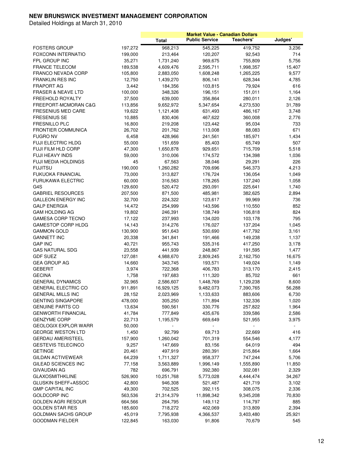|                                             |         |              |                       | <b>Market Value - Canadian Dollars</b> |         |
|---------------------------------------------|---------|--------------|-----------------------|----------------------------------------|---------|
|                                             |         | <b>Total</b> | <b>Public Service</b> | Teachers'                              | Judges' |
| <b>FOSTERS GROUP</b>                        | 197,272 | 968,213      | 545,225               | 419,752                                | 3,236   |
| <b>FOXCONN INTERNATIO</b>                   | 199,000 | 213,464      | 120,207               | 92,543                                 | 714     |
| FPL GROUP INC                               | 35,271  | 1,731,240    | 969,675               | 755,809                                | 5,756   |
| <b>FRANCE TELECOM</b>                       | 189,538 | 4,609,476    | 2,595,711             | 1,998,357                              | 15,407  |
| FRANCO NEVADA CORP                          | 105,800 | 2,883,050    | 1,608,248             | 1,265,225                              | 9,577   |
| <b>FRANKLIN RES INC</b>                     | 12,750  | 1,439,270    | 806,141               | 628,344                                | 4,785   |
| <b>FRAPORT AG</b>                           | 3,442   | 184,356      | 103,815               | 79,924                                 | 616     |
| <b>FRASER &amp; NEAVE LTD</b>               |         | 348,326      |                       |                                        |         |
|                                             | 100,000 |              | 196,151               | 151,011                                | 1,164   |
| FREEHOLD ROYALTY                            | 37,500  | 639,000      | 356,864               | 280,011                                | 2,126   |
| FREEPORT-MCMORAN C&G                        | 113,856 | 9,652,972    | 5,347,654             | 4,273,530                              | 31,789  |
| <b>FRESENIUS MED CARE</b>                   | 19,622  | 1,121,408    | 631,493               | 486,167                                | 3,748   |
| <b>FRESENIUS SE</b>                         | 10,885  | 830,406      | 467,622               | 360,008                                | 2,776   |
| <b>FRESNILLO PLC</b>                        | 16,800  | 219,208      | 123,442               | 95,034                                 | 733     |
| <b>FRONTIER COMMUNICA</b>                   | 26,702  | 201,762      | 113,008               | 88,083                                 | 671     |
| <b>FUGRO NV</b>                             | 6,458   | 428,966      | 241,561               | 185,971                                | 1,434   |
| <b>FUJI ELECTRIC HLDG</b>                   | 55,000  | 151,659      | 85,403                | 65,749                                 | 507     |
| <b>FUJI FILM HLD CORP</b>                   | 47,300  | 1,650,878    | 929,651               | 715,709                                | 5,518   |
| FUJI HEAVY INDS                             | 59,000  | 310,006      | 174,572               | 134,398                                | 1,036   |
| <b>FUJI MEDIA HOLDINGS</b>                  | 45      | 67,563       | 38,046                | 29,291                                 | 226     |
| <b>FUJITSU</b>                              | 190,000 | 1,260,282    | 709,696               | 546,373                                | 4,213   |
| <b>FUKUOKA FINANCIAL</b>                    | 73,000  | 313,827      | 176,724               | 136,054                                | 1,049   |
| <b>FURUKAWA ELECTRIC</b>                    | 60,000  | 316,563      | 178,265               | 137,240                                | 1,058   |
| G4S                                         | 129,600 | 520,472      | 293,091               | 225,641                                | 1,740   |
| <b>GABRIEL RESOURCES</b>                    | 207,500 | 871,500      | 485,981               | 382,625                                | 2,894   |
| <b>GALLEON ENERGY INC</b>                   | 32,700  | 224,322      | 123,617               | 99,969                                 | 736     |
| <b>GALP ENERGIA</b>                         | 14,472  | 254,999      | 143,596               | 110,550                                | 852     |
| <b>GAM HOLDING AG</b>                       | 19,802  | 246,391      | 138,749               | 106,818                                | 824     |
| <b>GAMESA CORP TECNO</b>                    | 17,122  | 237,993      | 134,020               | 103,178                                | 795     |
| <b>GAMESTOP CORP HLDG</b>                   | 14,143  | 314,276      | 176,027               | 137,204                                | 1,045   |
| <b>GAMMON GOLD</b>                          | 130,900 | 951,643      | 530,690               | 417,792                                | 3,161   |
| <b>GANNETT INC</b>                          | 20,338  | 341,841      | 191,466               | 149,238                                | 1,137   |
| <b>GAP INC</b>                              | 40,721  | 955,743      | 535,316               | 417,250                                | 3,178   |
| <b>GAS NATURAL SDG</b>                      | 23,558  | 441,939      | 248,867               | 191,595                                | 1,477   |
| <b>GDF SUEZ</b>                             | 127,081 | 4,988,670    | 2,809,245             | 2,162,750                              | 16,675  |
| <b>GEA GROUP AG</b>                         | 14,660  | 343,745      | 193,571               | 149,024                                | 1,149   |
| <b>GEBERIT</b>                              | 3,974   | 722,368      | 406,783               | 313,170                                | 2,415   |
| <b>GECINA</b>                               | 1,758   | 197,683      | 111,320               | 85,702                                 | 661     |
| <b>GENERAL DYNAMICS</b>                     | 32,965  | 2,586,607    | 1,448,769             | 1,129,238                              | 8,600   |
| <b>GENERAL ELECTRIC CO</b>                  | 911,891 | 16,929,125   | 9,482,073             | 7,390,765                              | 56,288  |
| <b>GENERAL MILLS INC</b>                    | 28,152  | 2,023,969    | 1,133,633             | 883,606                                | 6,730   |
| <b>GENTING SINGAPORE</b>                    | 478,000 | 305,250      | 171,894               | 132,336                                | 1,020   |
| <b>GENUINE PARTS CO</b>                     | 13,634  | 590,561      | 330,776               | 257,822                                | 1,964   |
| <b>GENWORTH FINANCIAL</b>                   | 41,784  | 777,849      | 435,676               | 339,586                                | 2,586   |
| <b>GENZYME CORP</b>                         | 22,713  | 1,195,579    | 669,649               | 521,955                                | 3,975   |
| <b>GEOLOGIX EXPLOR WARR</b>                 | 50,000  |              |                       |                                        |         |
| <b>GEORGE WESTON LTD</b>                    | 1,450   | 92,799       | 69,713                | 22,669                                 | 416     |
| <b>GERDAU AMERISTEEL</b>                    | 157,900 | 1,260,042    | 701,319               | 554,546                                | 4,177   |
|                                             |         |              |                       |                                        |         |
| <b>GESTEVIS TELECINCO</b><br><b>GETINGE</b> | 9,257   | 147,669      | 83,156                | 64,019                                 | 494     |
|                                             | 20,461  | 497,919      | 280,391               | 215,864                                | 1,664   |
| <b>GILDAN ACTIVEWEAR</b>                    | 64,239  | 1,711,327    | 958,377               | 747,244                                | 5,706   |
| GILEAD SCIENCES INC                         | 77,158  | 3,563,889    | 1,996,149             | 1,555,890                              | 11,850  |
| <b>GIVAUDAN AG</b>                          | 782     | 696,791      | 392,380               | 302,081                                | 2,329   |
| <b>GLAXOSMITHKLINE</b>                      | 526,900 | 10,251,768   | 5,773,028             | 4,444,474                              | 34,267  |
| GLUSKIN SHEFF+ASSOC                         | 42,800  | 946,308      | 521,487               | 421,719                                | 3,102   |
| <b>GMP CAPITAL INC</b>                      | 49,300  | 702,525      | 392,115               | 308,075                                | 2,336   |
| <b>GOLDCORP INC</b>                         | 563,536 | 21,314,379   | 11,898,342            | 9,345,208                              | 70,830  |
| <b>GOLDEN AGRI RESOUR</b>                   | 664,566 | 264,795      | 149,112               | 114,797                                | 885     |
| <b>GOLDEN STAR RES</b>                      | 185,600 | 718,272      | 402,069               | 313,809                                | 2,394   |
| GOLDMAN SACHS GROUP                         | 45,019  | 7,795,938    | 4,366,537             | 3,403,480                              | 25,921  |
| <b>GOODMAN FIELDER</b>                      | 122,845 | 163,030      | 91,806                | 70,679                                 | 545     |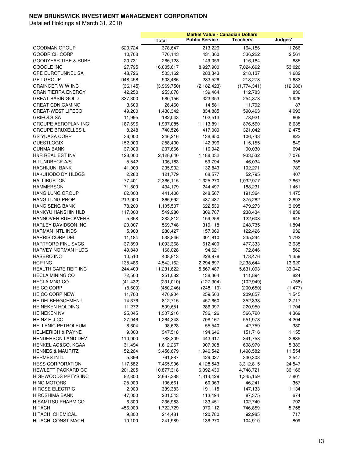|                                                   |                  |                      | <b>Market Value - Canadian Dollars</b> |                      |                 |
|---------------------------------------------------|------------------|----------------------|----------------------------------------|----------------------|-----------------|
|                                                   |                  | <b>Total</b>         | <b>Public Service</b>                  | Teachers'            | Judges'         |
| <b>GOODMAN GROUP</b>                              | 620,724          | 378,647              | 213,226                                | 164,156              | 1,266           |
| <b>GOODRICH CORP</b>                              | 10,708           | 770,143              | 431,360                                | 336,222              | 2,561           |
| <b>GOODYEAR TIRE &amp; RUBR</b>                   | 20,731           | 266,128              | 149,059                                | 116,184              | 885             |
| <b>GOOGLE INC</b>                                 | 27,795           | 16,005,617           | 8,927,900                              | 7,024,692            | 53,026          |
| <b>GPE EUROTUNNEL SA</b>                          | 48,726           | 503,162              | 283,343                                | 218,137              | 1,682           |
| <b>GPT GROUP</b>                                  | 948,458          | 503,486              | 283,526                                | 218,278              | 1,683           |
| <b>GRAINGER W W INC</b>                           | (36, 145)        | (3,969,750)          | (2, 182, 423)                          | (1,774,341)          | (12,986)        |
| <b>GRAN TIERRA ENERGY</b>                         | 42,250           | 253,078              | 139,464                                | 112,783              | 830             |
| <b>GREAT BASIN GOLD</b>                           | 337,300          | 580,156              | 323,353                                | 254,878              | 1,926           |
| <b>GREAT CDN GAMING</b>                           | 3,600            | 26,460               | 14,581                                 | 11,792               | 87              |
| <b>GREAT-WEST LIFECO</b>                          | 49,200           | 1,430,342            | 834,885                                | 590,463              | 4,993           |
| <b>GRIFOLS SA</b>                                 | 11,995           | 182,043              | 102,513                                | 78,921               | 608             |
| GROUPE AEROPLAN INC                               | 187,696          | 1,997,085            | 1,113,891                              | 876,560              | 6,635           |
| <b>GROUPE BRUXELLES L</b>                         | 8,248            | 740,526              | 417,009                                | 321,042              | 2,475           |
| <b>GS YUASA CORP</b>                              | 36,000           | 246,216              | 138,650                                | 106,743              | 823             |
| <b>GUESTLOGIX</b>                                 | 152,000          | 258,400              | 142,396                                | 115,155              | 849             |
| <b>GUNMA BANK</b>                                 | 37,000           | 207,666              | 116,942                                | 90,030               | 694             |
| H&R REAL EST INV                                  | 128,000          | 2,128,640            | 1,188,032                              | 933,532              | 7,076           |
| H.LUNDBECK A/S                                    | 5,542            | 106,183              | 59,794                                 | 46,034               | 355             |
| <b>HACHIJUNI BANK</b>                             | 41,000           | 235,902              | 132,843                                | 102,271              | 789             |
| HAKUHODO DY HLDGS                                 | 2,280            | 121,779              | 68,577                                 | 52,795               | 407             |
| <b>HALLIBURTON</b>                                | 77,401           | 2,366,115            | 1,325,270                              | 1,032,977            | 7,867           |
| <b>HAMMERSON</b>                                  | 71,800           | 434,179              | 244,497                                | 188,231              | 1,451           |
| <b>HANG LUNG GROUP</b>                            | 82,000           | 441,406              | 248,567                                | 191,364              | 1,475           |
| <b>HANG LUNG PROP</b>                             | 212,000          | 865,592              | 487,437                                | 375,262              | 2,893           |
| <b>HANG SENG BANK</b>                             | 78,200           | 1,105,507            | 622,539                                | 479,273              | 3,695           |
| HANKYU HANSHIN HLD                                | 117,000          | 549,980              | 309,707                                | 238,434              | 1,838           |
| HANNOVER RUECKVERS                                | 5,658            | 282,812              | 159,258                                | 122,608              | 945             |
| HARLEY DAVIDSON INC                               | 20,007           | 569,748              | 319,118                                | 248,735              | 1,894           |
| <b>HARMAN INTL INDS</b>                           | 5,900            | 280,427              | 157,069                                | 122,426              | 932             |
| <b>HARRIS CORP DEL</b>                            | 11,184           | 538,846              | 301,810                                | 235,244              | 1,792           |
| <b>HARTFORD FINL SVCS</b>                         | 37,890           | 1,093,368            | 612,400                                | 477,333              | 3,635           |
| HARVEY NORMAN HLDG                                | 49,840           | 168,028              | 94,621                                 | 72,846               | 562             |
| <b>HASBRO INC</b>                                 | 10,510           | 408,813              | 228,978                                | 178,476              | 1,359           |
| HCP INC                                           | 135,486          | 4,542,162            | 2,294,897                              | 2,233,644            | 13,620          |
| HEALTH CARE REIT INC                              | 244,400          | 11,231,622           | 5,567,487                              | 5,631,093            | 33,042          |
| <b>HECLA MINING CO</b>                            | 72,500           | 251,082              | 138,364                                | 111,894              | 824             |
| <b>HECLA MNG CO</b>                               | (41, 432)        | (231, 010)           | (127, 304)                             | (102, 949)           | (758)           |
| <b>HEICO CORP</b>                                 | (8,600)          | (450, 246)           | (248, 119)                             | (200, 650)           | (1, 477)        |
| <b>HEICO CORP NEW</b>                             | 11,700           | 470,904              | 259,503                                | 209,857              | 1,545           |
| HEIDELBERGCEMENT                                  | 14,376           | 812,715              | 457,660                                | 352,338              | 2,717           |
| <b>HEINEKEN HOLDING</b>                           | 11,272           | 509,651              | 286,997                                | 220,950              | 1,704           |
| <b>HEINEKEN NV</b>                                | 25,045           | 1,307,216            | 736,126                                | 566,720              | 4,369           |
| HEINZ H J CO                                      | 27,046           | 1,264,348            | 708,167                                | 551,978              | 4,204           |
| <b>HELLENIC PETROLEUM</b>                         | 8,604            | 98,628               | 55,540                                 | 42,759               | 330             |
| <b>HELMERICH &amp; PAYNE</b>                      | 9,000            | 347,518              | 194,646                                | 151,716              | 1,155           |
| HENDERSON LAND DEV                                | 110,000          | 788,309              | 443,917                                | 341,758              | 2,635           |
| HENKEL AG&CO. KGAA                                | 31,494           | 1,612,267            | 907,908                                | 698,970              | 5,389           |
| <b>HENNES &amp; MAURITZ</b><br><b>HERMES INTL</b> | 52,264           | 3,456,679            | 1,946,542                              | 1,498,582            | 11,554          |
| <b>HESS CORPORATION</b>                           | 5,396<br>117,582 | 761,887<br>7,465,906 | 429,037<br>4,128,543                   | 330,303<br>3,312,815 | 2,547<br>24,547 |
| HEWLETT PACKARD CO                                |                  |                      |                                        |                      |                 |
|                                                   | 201,205          | 10,877,318           | 6,092,430                              | 4,748,721            | 36,166          |
| <b>HIGHWOODS PPTYS INC</b><br><b>HINO MOTORS</b>  | 82,800           | 2,667,388            | 1,314,429                              | 1,345,159            | 7,801           |
| <b>HIROSE ELECTRIC</b>                            | 25,000           | 106,661              | 60,063                                 | 46,241               | 357             |
| <b>HIROSHIMA BANK</b>                             | 2,900<br>47,000  | 339,383<br>201,543   | 191,115<br>113,494                     | 147,133<br>87,375    | 1,134<br>674    |
| <b>HISAMITSU PHARM CO</b>                         | 6,300            | 236,983              | 133,451                                | 102,740              | 792             |
| HITACHI                                           | 456,000          | 1,722,729            | 970,112                                | 746,859              | 5,758           |
| <b>HITACHI CHEMICAL</b>                           | 9,800            | 214,481              | 120,780                                | 92,985               | 717             |
| HITACHI CONST MACH                                | 10,100           | 241,989              | 136,270                                | 104,910              | 809             |
|                                                   |                  |                      |                                        |                      |                 |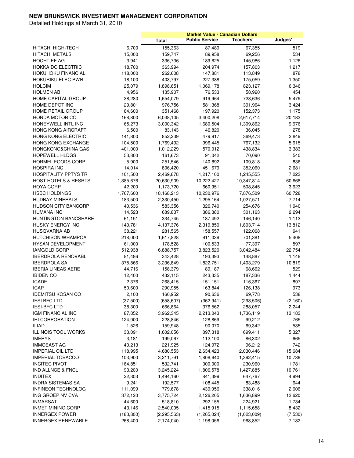|                                 |            |                    |                       | <b>Market Value - Canadian Dollars</b> |          |
|---------------------------------|------------|--------------------|-----------------------|----------------------------------------|----------|
|                                 |            | <b>Total</b>       | <b>Public Service</b> | Teachers'                              | Judges'  |
| HITACHI HIGH-TECH               | 6,700      | 155,363            | 87,489                | 67,355                                 | 519      |
| HITACHI METALS                  | 15,000     | 159,747            | 89,958                | 69,256                                 | 534      |
| <b>HOCHTIEF AG</b>              | 3,941      | 336,736            | 189,625               | 145,986                                | 1,126    |
| <b>HOKKAIDO ELECTRIC</b>        | 18,700     | 363,994            | 204,974               |                                        | 1,217    |
|                                 |            | 262,608            |                       | 157,803                                |          |
| HOKUHOKU FINANCIAL              | 118,000    |                    | 147,881               | 113,849                                | 878      |
| HOKURIKU ELEC PWR               | 18,100     | 403,797            | 227,388               | 175,059                                | 1,350    |
| <b>HOLCIM</b>                   | 25,079     | 1,898,651          | 1,069,178             | 823,127                                | 6,346    |
| <b>HOLMEN AB</b>                | 4,956      | 135,907            | 76,533                | 58,920                                 | 454      |
| HOME CAPITAL GROUP              | 38,280     | 1,654,079          | 919,964               | 728,636                                | 5,479    |
| HOME DEPOT INC                  | 29,801     | 976,756            | 581,368               | 391,964                                | 3,424    |
| HOME RETAIL GROUP               | 84,600     | 351,468            | 197,920               | 152,373                                | 1,175    |
| HONDA MOTOR CO                  | 168,800    | 6,038,105          | 3,400,208             | 2,617,714                              | 20,183   |
| HONEYWELL INTL INC              | 65,273     | 3,000,342          | 1,680,504             | 1,309,862                              | 9,976    |
| HONG KONG AIRCRAFT              | 6,500      | 83,143             | 46,820                | 36,045                                 | 278      |
| HONG KONG ELECTRIC              | 141,800    | 852,239            | 479,917               | 369,473                                | 2,849    |
| HONG KONG EXCHANGE              | 104,500    | 1,769,492          | 996,445               | 767,132                                | 5,915    |
| HONGKONG&CHINA GAS              | 401,000    | 1,012,229          | 570,012               | 438,834                                | 3,383    |
| <b>HOPEWELL HLDGS</b>           | 53,800     | 161,673            | 91,042                | 70,090                                 | 540      |
| <b>HORMEL FOODS CORP</b>        | 5,900      | 251,546            | 140,892               | 109,818                                | 836      |
| HOSPIRA INC                     | 14,014     | 806,420            | 451,679               | 352,060                                | 2,681    |
| <b>HOSPITALITY PPTYS TR</b>     |            |                    |                       |                                        |          |
|                                 | 101,500    | 2,469,878          | 1,217,100             | 1,245,555                              | 7,223    |
| <b>HOST HOTELS &amp; RESRTS</b> | 1,385,676  | 20,630,909         | 10,222,427            | 10,347,814                             | 60,668   |
| <b>HOYA CORP</b>                | 42,200     | 1,173,720          | 660,951               | 508,845                                | 3,923    |
| <b>HSBC HOLDINGS</b>            | 1,767,600  | 18,168,213         | 10,230,976            | 7,876,509                              | 60,728   |
| <b>HUDBAY MINERALS</b>          | 183,500    | 2,330,450          | 1,295,164             | 1,027,571                              | 7,714    |
| <b>HUDSON CITY BANCORP</b>      | 40,536     | 583,356            | 326,740               | 254,676                                | 1,940    |
| <b>HUMANA INC</b>               | 14,523     | 689,837            | 386,380               | 301,163                                | 2,294    |
| <b>HUNTINGTON BANCSHARE</b>     | 61,151     | 334,745            | 187,492               | 146,140                                | 1,113    |
| HUSKY ENERGY INC                | 140,781    | 4,137,376          | 2,319,850             | 1,803,714                              | 13,812   |
| HUSQVARNA AB                    | 38,221     | 281,565            | 158,557               | 122,068                                | 941      |
| HUTCHISON WHAMPOA               | 218,000    | 1,617,828          | 911,039               | 701,381                                | 5,408    |
| <b>HYSAN DEVELOPMENT</b>        | 61,000     | 178,528            | 100,533               | 77,397                                 | 597      |
| <b>IAMGOLD CORP</b>             | 512,938    | 6,888,757          | 3,823,520             | 3,042,484                              | 22,754   |
| <b>IBERDROLA RENOVABL</b>       | 81,486     | 343,428            | 193,393               | 148,887                                | 1,148    |
| <b>IBERDROLA SA</b>             | 375,866    | 3,236,849          | 1,822,751             | 1,403,279                              | 10,819   |
| <b>IBERIA LINEAS AERE</b>       | 44,716     | 158,379            | 89,187                | 68,662                                 | 529      |
| <b>IBIDEN CO</b>                | 12,400     | 432,115            | 243,335               | 187,336                                | 1,444    |
| ICADE                           | 2,376      |                    |                       |                                        | 897      |
|                                 |            | 268,415<br>290,955 | 151,151               | 116,367                                | 973      |
| <b>ICAP</b>                     | 50,600     |                    | 163,844               | 126,138                                |          |
| <b>IDEMITSU KOSAN CO</b>        | 2,100      | 160,952            | 90,636                | 69,778                                 | 538      |
| <b>IESI BFC LTD</b>             | (37,500)   | (658, 607)         | (362, 941)            | (293, 506)                             | (2, 160) |
| <b>IESI-BFC LTD</b>             | 38,300     | 666,864            | 376,562               | 288,057                                | 2,244    |
| IGM FINANCIAL INC               | 87,852     | 3,962,345          | 2,213,043             | 1,736,119                              | 13,183   |
| <b>IHI CORPORATION</b>          | 124,000    | 228,846            | 128,869               | 99,212                                 | 765      |
| <b>ILIAD</b>                    | 1,526      | 159,948            | 90,070                | 69,342                                 | 535      |
| ILLINOIS TOOL WORKS             | 33,091     | 1,602,056          | 897,318               | 699,411                                | 5,327    |
| <b>IMERYS</b>                   | 3,181      | 199,067            | 112,100               | 86,302                                 | 665      |
| <b>IMMOEAST AG</b>              | 40,213     | 221,925            | 124,972               | 96,212                                 | 742      |
| <b>IMPERIAL OIL LTD</b>         | 118,995    | 4,680,553          | 2,634,423             | 2,030,446                              | 15,684   |
| <b>IMPERIAL TOBACCO</b>         | 103,900    | 3,211,791          | 1,808,640             | 1,392,415                              | 10,736   |
| <b>INCITEC PIVOT</b>            | 164,851    | 532,741            | 300,000               | 230,960                                | 1,781    |
| <b>IND ALLNCE &amp; FNCL</b>    | 93,200     | 3,245,224          | 1,806,578             | 1,427,885                              | 10,761   |
| <b>INDITEX</b>                  | 22,303     | 1,494,160          | 841,399               | 647,767                                | 4,994    |
| <b>INDRA SISTEMAS SA</b>        | 9,241      | 192,577            | 108,445               | 83,488                                 | 644      |
| <b>INFINEON TECHNOLOG</b>       |            |                    |                       |                                        |          |
|                                 | 111,099    | 779,678            | 439,056               | 338,016                                | 2,606    |
| ING GROEP NV CVA                | 372,120    | 3,775,724          | 2,126,205             | 1,636,899                              | 12,620   |
| <b>INMARSAT</b>                 | 44,600     | 518,810            | 292,155               | 224,921                                | 1,734    |
| <b>INMET MINING CORP</b>        | 43,146     | 2,540,005          | 1,415,915             | 1,115,658                              | 8,432    |
| <b>INNERGEX POWER</b>           | (183, 800) | (2, 295, 563)      | (1,265,024)           | (1,023,009)                            | (7,530)  |
| <b>INNERGEX RENEWABLE</b>       | 268,400    | 2,174,040          | 1,198,056             | 968,852                                | 7,132    |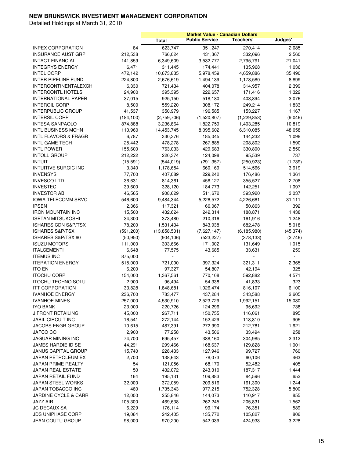|                                 |            |                | <b>Market Value - Canadian Dollars</b> |               |           |
|---------------------------------|------------|----------------|----------------------------------------|---------------|-----------|
|                                 |            | <b>Total</b>   | <b>Public Service</b>                  | Teachers'     | Judges'   |
| <b>INPEX CORPORATION</b>        | 84         | 623,747        | 351,247                                | 270,414       | 2,085     |
| <b>INSURANCE AUST GRP</b>       | 212,538    | 766,024        | 431,367                                | 332,096       | 2,560     |
| <b>INTACT FINANCIAL</b>         | 141,859    | 6,349,609      | 3,532,777                              | 2,795,791     | 21,041    |
| <b>INTEGRYS ENERGY</b>          | 6,471      | 311,445        |                                        | 135,968       | 1,036     |
|                                 |            |                | 174,441                                |               |           |
| <b>INTEL CORP</b>               | 472,142    | 10,673,835     | 5,978,459                              | 4,659,886     | 35,490    |
| INTER PIPELINE FUND             | 224,800    | 2,676,619      | 1,494,139                              | 1,173,580     | 8,899     |
| INTERCONTINENTALEXCH            | 6,330      | 721,434        | 404,078                                | 314,957       | 2,399     |
| <b>INTERCONTL HOTELS</b>        | 24,900     | 395,395        | 222,657                                | 171,416       | 1,322     |
| <b>INTERNATIONAL PAPER</b>      | 37,015     | 925,150        | 518,180                                | 403,894       | 3,076     |
| <b>INTEROIL CORP</b>            | 8,500      | 559,220        | 308,172                                | 249,214       | 1,833     |
| <b>INTERPUBLIC GROUP</b>        | 41,537     | 350,979        | 196,585                                | 153,227       | 1,167     |
| <b>INTERSIL CORP</b>            | (184, 100) | (2,759,706)    | (1,520,807)                            | (1, 229, 853) | (9,046)   |
| INTESA SANPAOLO                 | 874,888    | 3,236,864      | 1,822,759                              | 1,403,285     | 10,819    |
| <b>INTL BUSINESS MCHN</b>       | 110,960    | 14,453,745     | 8,095,602                              | 6,310,085     | 48,058    |
| <b>INTL FLAVORS &amp; FRAGR</b> | 6,787      | 330,376        | 185,045                                | 144,232       | 1,098     |
| INTL GAME TECH                  | 25,442     | 478,278        | 267,885                                | 208,802       | 1,590     |
| <b>INTL POWER</b>               | 155,600    | 763,033        | 429,683                                | 330,800       | 2,550     |
| <b>INTOLL GROUP</b>             | 212,222    | 220,374        | 124,098                                | 95,539        | 737       |
| <b>INTUIT</b>                   | (15, 591)  | (544, 019)     | (291, 357)                             | (250, 923)    | (1,739)   |
| INTUITIVE SURGIC INC            |            | 1,178,654      | 660,169                                | 514,566       |           |
|                                 | 3,340      |                |                                        |               | 3,919     |
| <b>INVENSYS</b>                 | 77,700     | 407,089        | 229,242                                | 176,486       | 1,361     |
| <b>INVESCO LTD</b>              | 36,631     | 814,361        | 456,127                                | 355,527       | 2,708     |
| <b>INVESTEC</b>                 | 39,600     | 328,120        | 184,773                                | 142,251       | 1,097     |
| <b>INVESTOR AB</b>              | 46,565     | 908,629        | 511,672                                | 393,920       | 3,037     |
| <b>IOWA TELECOMM SRVC</b>       | 546,600    | 9,484,344      | 5,226,572                              | 4,226,661     | 31,111    |
| <b>IPSEN</b>                    | 2,366      | 117,321        | 66,067                                 | 50,863        | 392       |
| <b>IRON MOUNTAIN INC</b>        | 15,500     | 432,624        | 242,314                                | 188,871       | 1,438     |
| <b>ISETAN MITSUKOSHI</b>        | 34,300     | 373,480        | 210,316                                | 161,916       | 1,248     |
| <b>ISHARES CDN S&amp;P/TSX</b>  | 78,200     | 1,531,434      | 843,938                                | 682,478       | 5,018     |
| ISHARES S&P/TSX                 | (591, 200) | (13,858,501)   | (7,627,147)                            | (6, 185, 980) | (45, 374) |
| ISHARES S&P/TSX 60              | (50, 950)  | (904, 106)     | (523, 227)                             | (378, 133)    | (2,746)   |
| <b>ISUZU MOTORS</b>             | 111,000    | 303,666        | 171,002                                | 131,649       | 1,015     |
| <b>ITALCEMENTI</b>              | 6,648      | 77,575         | 43,685                                 | 33,631        | 259       |
| <b>ITEMUS INC</b>               | 875,000    | $\overline{a}$ |                                        |               |           |
| <b>ITERATION ENERGY</b>         | 515,000    | 721,000        | 397,324                                | 321,311       | 2,365     |
| <b>ITO EN</b>                   | 6,200      | 97,327         | 54,807                                 | 42,194        | 325       |
| <b>ITOCHU CORP</b>              | 154,000    | 1,367,561      | 770,108                                | 592,882       | 4,571     |
| <b>ITOCHU TECHNO SOLU</b>       |            |                | 54,338                                 |               | 323       |
|                                 | 2,900      | 96,494         |                                        | 41,833        |           |
| <b>ITT CORPORATION</b>          | 33,828     | 1,848,681      | 1,026,474                              | 816,107       | 6,100     |
| <b>IVANHOE ENERGY</b>           | 236,700    | 783,477        | 437,284                                | 343,588       | 2,605     |
| <b>IVANHOE MINES</b>            | 257,000    | 4,530,910      | 2,523,729                              | 1,992,151     | 15,030    |
| IYO BANK                        | 23,000     | 220,726        | 124,296                                | 95,692        | 738       |
| J FRONT RETAILING               | 45,000     | 267,711        | 150,755                                | 116,061       | 895       |
| <b>JABIL CIRCUIT INC</b>        | 16,541     | 272,144        | 152,429                                | 118,810       | 905       |
| <b>JACOBS ENGR GROUP</b>        | 10,615     | 487,391        | 272,990                                | 212,781       | 1,621     |
| JAFCO CO                        | 2,900      | 77,258         | 43,506                                 | 33,494        | 258       |
| JAGUAR MINING INC               | 74,700     | 695,457        | 388,160                                | 304,985       | 2,312     |
| JAMES HARDIE ID SE              | 44,291     | 299,466        | 168,637                                | 129,828       | 1,001     |
| <b>JANUS CAPITAL GROUP</b>      | 15,740     | 228,433        | 127,946                                | 99,727        | 760       |
| JAPAN PETROLEUM EX              | 2,700      | 138,643        | 78,073                                 | 60,106        | 463       |
| JAPAN PRIME REALTY              | 54         | 121,056        | 68,170                                 | 52,482        | 405       |
| JAPAN REAL ESTATE               | 50         | 432,072        | 243,310                                | 187,317       | 1,444     |
| JAPAN RETAIL FUND               | 164        | 195,131        | 109,883                                | 84,596        | 652       |
| JAPAN STEEL WORKS               |            |                |                                        |               |           |
|                                 | 32,000     | 372,059        | 209,516                                | 161,300       | 1,244     |
| JAPAN TOBACCO INC               | 460        | 1,735,343      | 977,215                                | 752,328       | 5,800     |
| <b>JARDINE CYCLE &amp; CARR</b> | 12,000     | 255,846        | 144,073                                | 110,917       | 855       |
| JAZZ AIR                        | 105,300    | 469,638        | 262,245                                | 205,831       | 1,562     |
| <b>JC DECAUX SA</b>             | 6,229      | 176,114        | 99,174                                 | 76,351        | 589       |
| <b>JDS UNIPHASE CORP</b>        | 19,064     | 242,405        | 135,772                                | 105,827       | 806       |
| JEAN COUTU GROUP                | 98,000     | 970,200        | 542,039                                | 424,933       | 3,228     |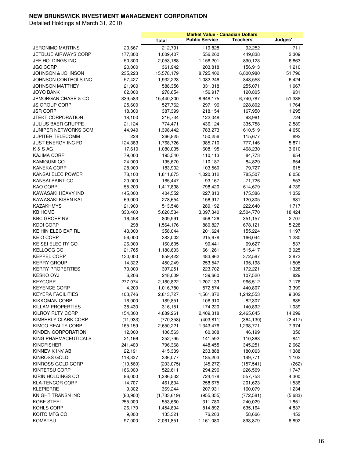|                                |           |              |                       | <b>Market Value - Canadian Dollars</b> |          |
|--------------------------------|-----------|--------------|-----------------------|----------------------------------------|----------|
|                                |           | <b>Total</b> | <b>Public Service</b> | Teachers'                              | Judges'  |
| <b>JERONIMO MARTINS</b>        | 20,667    | 212,791      | 119,828               | 92,252                                 | 711      |
| <b>JETBLUE AIRWAYS CORP</b>    | 177,800   | 1,009,407    | 556,260               | 449,838                                | 3,309    |
| JFE HOLDINGS INC               | 50,300    | 2,053,188    | 1,156,201             | 890,123                                | 6,863    |
| <b>JGC CORP</b>                | 20,000    | 361,942      | 203,818               | 156,913                                | 1,210    |
| <b>JOHNSON &amp; JOHNSON</b>   | 235,223   | 15,578,179   | 8,725,402             | 6,800,980                              | 51,796   |
| JOHNSON CONTROLS INC           | 57,427    | 1,932,223    | 1,082,246             | 843,553                                | 6,424    |
| JOHNSON MATTHEY                |           |              |                       |                                        |          |
|                                | 21,900    | 588,356      | 331,318               | 255,071                                | 1,967    |
| <b>JOYO BANK</b>               | 62,000    | 278,654      | 156,917               | 120,805                                | 931      |
| <b>JPMORGAN CHASE &amp; CO</b> | 339,583   | 15,440,300   | 8,648,175             | 6,740,787                              | 51,338   |
| JS GROUP CORP                  | 25,600    | 527,762      | 297,196               | 228,802                                | 1,764    |
| <b>JSR CORP</b>                | 18,300    | 387,399      | 218,154               | 167,950                                | 1,295    |
| <b>JTEKT CORPORATION</b>       | 18,100    | 216,734      | 122,048               | 93,961                                 | 724      |
| <b>JULIUS BAER GRUPPE</b>      | 21,124    | 774,471      | 436,124               | 335,758                                | 2,589    |
| JUNIPER NETWORKS COM           | 44,940    | 1,398,442    | 783,273               | 610,519                                | 4,650    |
| JUPITER TELECOMM               | 228       | 266,825      | 150,256               | 115,677                                | 892      |
| <b>JUST ENERGY INC FD</b>      | 124,383   | 1,768,726    | 985,710               | 777,146                                | 5,871    |
| K & S AG                       | 17,610    | 1,080,035    | 608,195               | 468,230                                | 3,610    |
| <b>KAJIMA CORP</b>             | 79,000    | 195,540      | 110,113               | 84,773                                 | 654      |
| <b>KAMIGUMI CO</b>             | 24,000    | 195,670      | 110,187               | 84,829                                 | 654      |
| <b>KANEKA CORP</b>             | 28,000    | 183,902      | 103,560               | 79,727                                 | 615      |
| KANSAI ELEC POWER              | 78,100    | 1,811,875    | 1,020,312             | 785,507                                | 6,056    |
| KANSAI PAINT CO                | 20,000    | 165,447      | 93,167                | 71,726                                 | 553      |
| <b>KAO CORP</b>                | 55,200    | 1,417,838    | 798,420               | 614,679                                | 4,739    |
| KAWASAKI HEAVY IND             | 145,000   | 404,552      | 227,813               | 175,386                                | 1,352    |
| KAWASAKI KISEN KAI             | 69,000    | 278,654      | 156,917               | 120,805                                | 931      |
| KAZAKHMYS                      | 21,900    | 513,548      | 289,192               | 222,640                                | 1,717    |
| <b>KB HOME</b>                 | 330,400   | 5,620,534    | 3,097,340             | 2,504,770                              | 18,424   |
| KBC GROEP NV                   | 16,458    | 809,991      | 456,126               | 351,157                                | 2,707    |
| <b>KDDI CORP</b>               | 298       | 1,564,176    | 880,827               | 678,121                                | 5,228    |
| KEIHIN ELEC EXP RL             | 43,000    | 358,044      | 201,624               | 155,224                                | 1,197    |
| <b>KEIO CORP</b>               | 56,000    | 383,002      | 215,678               | 166,044                                | 1,280    |
| KEISEI ELEC RY CO              | 26,000    | 160,605      | 90,441                | 69,627                                 | 537      |
| <b>KELLOGG CO</b>              | 21,765    | 1,180,603    | 661,261               | 515,417                                | 3,925    |
| <b>KEPPEL CORP</b>             | 130,000   | 859,422      | 483,962               | 372,587                                | 2,873    |
| <b>KERRY GROUP</b>             | 14,322    | 450,249      | 253,547               | 195,198                                | 1,505    |
| <b>KERRY PROPERTIES</b>        | 73,000    | 397,251      | 223,702               | 172,221                                | 1,328    |
| <b>KESKO OYJ</b>               | 6,206     | 248,009      | 139,660               | 107,520                                | 829      |
| <b>KEYCORP</b>                 | 277,074   | 2,180,822    | 1,207,133             | 966,512                                | 7,176    |
| <b>KEYENCE CORP</b>            | 4,200     | 1,016,780    | 572,574               | 440,807                                | 3,399    |
| <b>KEYERA FACILITIES</b>       | 103,746   | 2,813,727    | 1,561,872             | 1,242,553                              | 9,302    |
| KIKKOMAN CORP                  | 16,000    | 189,851      | 106,910               | 82,307                                 | 635      |
| KILLAM PROPERTIES              | 38,430    | 316,151      | 174,220               | 140,892                                | 1,039    |
| KILROY RLTY CORP               | 154,300   | 4,889,261    | 2,409,318             | 2,465,645                              | 14,299   |
| KIMBERLY CLARK CORP            | (11, 933) | (770, 358)   | (403, 811)            | (364, 130)                             | (2, 417) |
| KIMCO REALTY CORP              | 165,159   | 2,650,221    | 1,343,476             | 1,298,771                              | 7,974    |
| KINDEN CORPORATION             | 12,000    | 106,563      | 60,008                | 46,199                                 | 356      |
| KING PHARMACEUTICALS           | 21,166    | 252,795      | 141,592               | 110,363                                | 841      |
| KINGFISHER                     | 241,400   | 796,368      | 448,455               | 345,251                                | 2,662    |
| KINNEVIK INV AB                | 22,191    | 415,339      | 233,888               | 180,063                                | 1,388    |
| <b>KINROSS GOLD</b>            | 118,337   |              |                       |                                        |          |
| KINROSS GOLD CORP              |           | 336,077      | 185,203               | 149,771                                | 1,102    |
|                                | (10, 560) | (203, 075)   | (45, 272)             | (157, 541)                             | (262)    |
| <b>KINTETSU CORP</b>           | 166,000   | 522,611      | 294,296               | 226,569                                | 1,747    |
| KIRIN HOLDINGS CO              | 86,000    | 1,286,532    | 724,478               | 557,753                                | 4,300    |
| <b>KLA-TENCOR CORP</b>         | 14,707    | 461,834      | 258,675               | 201,623                                | 1,536    |
| <b>KLEPIERRE</b>               | 9,302     | 369,244      | 207,931               | 160,079                                | 1,234    |
| KNIGHT TRANSN INC              | (80,900)  | (1,733,619)  | (955, 355)            | (772, 581)                             | (5,683)  |
| <b>KOBE STEEL</b>              | 255,000   | 553,660      | 311,780               | 240,029                                | 1,851    |
| KOHLS CORP                     | 26,170    | 1,454,894    | 814,892               | 635,164                                | 4,837    |
| KOITO MFG CO                   | 9,000     | 135,321      | 76,203                | 58,666                                 | 452      |
| <b>KOMATSU</b>                 | 97,000    | 2,061,851    | 1,161,080             | 893,879                                | 6,892    |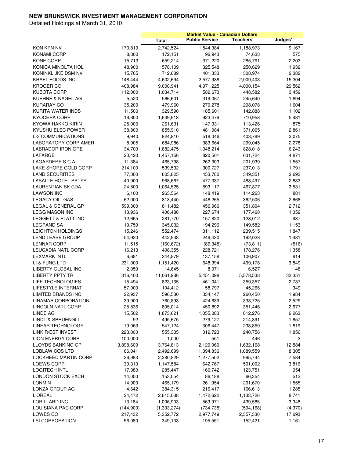|                               |              |                    | <b>Market Value - Canadian Dollars</b> |                    |                |
|-------------------------------|--------------|--------------------|----------------------------------------|--------------------|----------------|
|                               |              | <b>Total</b>       | <b>Public Service</b>                  | Teachers'          | Judges'        |
| KON KPN NV                    | 170,819      | 2,742,524          | 1,544,384                              | 1,188,973          | 9,167          |
| KONAMI CORP                   | 8,800        | 172,151            | 96,943                                 | 74,633             | 575            |
| <b>KONE CORP</b>              | 15,713       | 659,214            | 371,220                                | 285,791            | 2,203          |
| KONICA MINOLTA HOL            | 48,900       | 578,109            | 325,548                                | 250,629            | 1,932          |
| KONINKLIJKE DSM NV            | 15,765       | 712,689            | 401,333                                | 308,974            | 2,382          |
| <b>KRAFT FOODS INC</b>        | 148,444      | 4,602,694          | 2,577,988                              | 2,009,403          | 15,304         |
| <b>KROGER CO</b>              | 408,984      | 9,000,941          | 4,971,225                              | 4,000,154          | 29,562         |
| <b>KUBOTA CORP</b>            | 112,000      | 1,034,714          | 582,673                                | 448,582            | 3,459          |
| KUEHNE & NAGEL AG             | 5,520        | 566,601            | 319,067                                | 245,640            | 1,894          |
| KURARAY CO                    | 35,200       | 479,960            | 270,278                                | 208,078            | 1,604          |
| KURITA WATER INDS             | 11,500       | 329,590            | 185,601                                | 142,888            | 1,102          |
| <b>KYOCERA CORP</b>           | 16,600       | 1,639,918          | 923,479                                | 710,958            | 5,481          |
| KYOWA HAKKO KIRIN             | 25,000       | 261,631            | 147,331                                | 113,426            | 875            |
| KYUSHU ELEC POWER             | 38,800       | 855,910            | 481,984                                | 371,065            | 2,861          |
| <b>L-3 COMMUNICATIONS</b>     | 9,940        | 924,910            | 518,046                                | 403,789            | 3,075          |
| LABORATORY CORP AMER          | 8,905        | 684,986            | 383,664                                | 299,045            | 2,278          |
| <b>LABRADOR IRON ORE</b>      | 34,700       | 1,882,475          | 1,048,214                              | 828,018            | 6,243          |
| LAFARGE                       | 20,420       | 1,457,156          | 820,561                                | 631,724            | 4,871          |
| LAGARDERE S.C.A.              | 11,384       | 465,798            | 262,303                                | 201,939            | 1,557          |
| LAKE SHORE GOLD CORP          | 214,100      | 539,532            | 300,727                                | 237,013            | 1,791          |
| <b>LAND SECURITIES</b>        | 77,300       | 805,825            | 453,780                                | 349,351            | 2,693          |
| <b>LASALLE HOTEL PPTYS</b>    | 40,900       | 968,667            | 477,337                                | 488,497            | 2,833          |
| LAURENTIAN BK CDA             | 24,500       | 1,064,525          | 593,117                                | 467,877            | 3,531          |
| <b>LAWSON INC</b>             | 6,100        | 263,564            | 148,419                                | 114,263            | 881            |
| LEGACY OIL+GAS                | 62,000       | 813,440            | 448,265                                | 362,506            | 2,668          |
| LEGAL & GENERAL GP            | 599,300      | 811,482            | 456,966                                | 351,804            | 2,712          |
| <b>LEGG MASON INC</b>         | 13,936       | 406,486            | 227,674                                | 177,460            | 1,352          |
| LEGGETT & PLATT INC           | 12,665       | 281,770            | 157,820                                | 123,012            | 937            |
| <b>LEGRAND SA</b>             | 10,759       | 345,032            | 194,296                                | 149,582            | 1,153          |
| LEIGHTON HOLDINGS             | 15,246       | 552,474            | 311,112                                | 239,515            | 1,847          |
| LEND LEASE GROUP              | 54,920       | 442,938            | 249,430                                | 192,028            | 1,481          |
| <b>LENNAR CORP</b>            | 11,515       | (160, 672)         | (86, 345)                              | (73, 811)          | (516)          |
| LEUCADIA NATL CORP            | 16,213       | 408,355            | 228,721                                | 178,276            | 1,358          |
| <b>LEXMARK INTL</b>           | 6,681        | 244,879            | 137,158                                | 106,907            | 814            |
| LI & FUNG LTD                 | 231,000      | 1,151,420          | 648,394                                | 499,178            | 3,849          |
| LIBERTY GLOBAL INC            | 2,059        | 14,645             | 8,071                                  | 6,527              | 48             |
| <b>LIBERTY PPTY TR</b>        | 316,400      | 11,061,986         | 5,451,098                              | 5,578,538          | 32,351         |
| LIFE TECHNOLOGIES             | 15,494       | 823,135            | 461,041                                | 359,357            | 2,737          |
| <b>LIFESTYLE INTERNAT</b>     | 57,000       | 104,412            | 58,797                                 | 45,266             | 349            |
| <b>LIMITED BRANDS INC</b>     | 22,937       | 596,580            | 334,147                                | 260,450            | 1,984          |
| LINAMAR CORPORATION           | 39,900       | 760,893            | 424,639                                | 333,725            | 2,529          |
| LINCOLN NATL CORP<br>LINDE AG | 25,836       | 805,014            | 450,892                                | 351,446            | 2,677          |
| <b>LINDT &amp; SPRUENGLI</b>  | 15,502       | 1,873,621          | 1,055,083                              | 812,276            | 6,263          |
| LINEAR TECHNOLOGY             | 92<br>19,063 | 495,675<br>547,124 | 279,127<br>306,447                     | 214,891<br>238,859 | 1,657<br>1,819 |
| LINK R/EST INVEST             | 223,000      | 555,335            | 312,723                                | 240,756            | 1,856          |
| <b>LION ENERGY CORP</b>       | 100,000      | 1,000              | 551                                    | 446                | 3              |
| LLOYDS BANKING GP             | 3,898,600    | 3,764,813          | 2,120,060                              | 1,632,168          | 12,584         |
| <b>LOBLAW COS LTD</b>         | 66,041       | 2,492,699          | 1,394,836                              | 1,089,559          | 8,305          |
| LOCKHEED MARTIN CORP          | 26,983       | 2,280,829          | 1,277,502                              | 995,744            | 7,584          |
| LOEWS CORP                    | 30,310       | 1,147,584          | 642,767                                | 501,002            | 3,816          |
| <b>LOGITECH INTL</b>          | 17,080       | 285,447            | 160,742                                | 123,751            | 954            |
| LONDON STOCK EXCH             | 14,000       | 153,054            | 86,188                                 | 66,354             | 512            |
| <b>LONMIN</b>                 | 14,900       | 465,179            | 261,954                                | 201,670            | 1,555          |
| LONZA GROUP AG                | 4,642        | 384,315            | 216,417                                | 166,613            | 1,285          |
| <b>L'OREAL</b>                | 24,472       | 2,615,088          | 1,472,622                              | 1,133,726          | 8,741          |
| LORILLARD INC                 | 13,184       | 1,006,903          | 563,971                                | 439,585            | 3,348          |
| LOUISIANA PAC CORP            | (144,900)    | (1,333,274)        | (734, 735)                             | (594, 168)         | (4,370)        |
| LOWES CO                      | 217,432      | 5,352,772          | 2,977,749                              | 2,357,330          | 17,693         |
| <b>LSI CORPORATION</b>        | 56,080       | 349,133            | 195,551                                | 152,421            | 1,161          |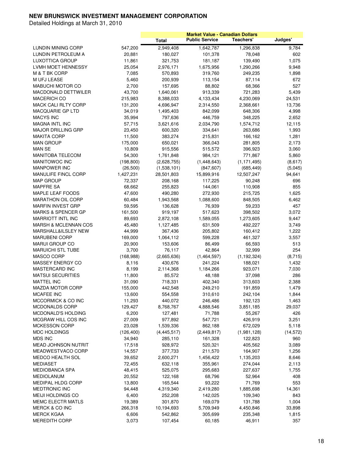|                                 |            |               | <b>Market Value - Canadian Dollars</b> |               |           |
|---------------------------------|------------|---------------|----------------------------------------|---------------|-----------|
|                                 |            | <b>Total</b>  | <b>Public Service</b>                  | Teachers'     | Judges'   |
| LUNDIN MINING CORP              | 547,200    | 2,949,408     | 1,642,787                              | 1,296,838     | 9,784     |
| LUNDIN PETROLEUM A              | 20,881     | 180,027       | 101,378                                | 78,048        | 602       |
| <b>LUXOTTICA GROUP</b>          | 11,861     | 321,753       | 181,187                                | 139,490       | 1,075     |
| LVMH MOET HENNESSY              | 25,054     | 2,976,171     | 1,675,956                              | 1,290,266     | 9,948     |
| M & T BK CORP                   | 7,085      | 570,893       | 319,760                                | 249,235       | 1,898     |
| <b>M UFJ LEASE</b>              | 5,460      | 200,939       | 113,154                                | 87,114        | 672       |
| <b>MABUCHI MOTOR CO</b>         | 2,700      | 157,695       | 88,802                                 | 68,366        | 527       |
| MACDONALD DETTWILER             | 43,700     | 1,640,061     | 913,339                                | 721,283       | 5,439     |
| <b>MACERICH CO</b>              | 215,983    | 8,388,033     | 4,133,434                              | 4,230,069     | 24,531    |
| <b>MACK CALI RLTY CORP</b>      | 131,200    | 4,696,947     | 2,314,550                              | 2,368,661     | 13,736    |
| <b>MACQUARIE GP LTD</b>         | 34,019     | 1,495,403     | 842,099                                | 648,306       | 4,998     |
| <b>MACYS INC</b>                | 35,994     | 797,636       | 446,759                                | 348,225       | 2,652     |
| <b>MAGNA INTL INC</b>           | 57,715     | 3,621,616     | 2,034,790                              | 1,574,712     | 12,115    |
| <b>MAJOR DRILLING GRP</b>       | 23,450     | 600,320       | 334,641                                | 263,686       | 1,993     |
| <b>MAKITA CORP</b>              | 11,500     | 383,274       | 215,831                                | 166,162       | 1,281     |
| <b>MAN GROUP</b>                | 175,000    | 650,021       | 366,043                                | 281,805       | 2,173     |
| <b>MAN SE</b>                   | 10,809     | 915,556       | 515,572                                | 396,923       | 3,060     |
| <b>MANITOBA TELECOM</b>         | 54,300     | 1,761,848     | 984,121                                | 771,867       | 5,860     |
| <b>MANITOWOC INC</b>            | (198, 800) | (2,628,755)   | (1,448,643)                            | (1, 171, 495) | (8,617)   |
| <b>MANPOWER INC</b>             | (26, 500)  | (1,538,101)   | (847, 607)                             | (685, 449)    | (5,045)   |
| MANULIFE FINCL CORP             | 1,427,231  | 28,501,803    | 15,899,916                             | 12,507,247    | 94,641    |
| <b>MAP GROUP</b>                | 72,337     | 208,168       | 117,225                                | 90,248        | 696       |
| <b>MAPFRE SA</b>                | 68,662     | 255,823       | 144,061                                | 110,908       | 855       |
| MAPLE LEAF FOODS                | 47,600     | 490,280       | 272,930                                | 215,725       | 1,625     |
| <b>MARATHON OIL CORP</b>        | 60,484     | 1,943,568     | 1,088,600                              | 848,505       | 6,462     |
| <b>MARFIN INVEST GRP</b>        | 59,595     | 136,628       | 76,939                                 | 59,233        | 457       |
| <b>MARKS &amp; SPENCER GP</b>   | 161,500    | 919,197       | 517,623                                | 398,502       | 3,072     |
| <b>MARRIOTT INTL INC</b>        | 89,693     | 2,872,108     | 1,589,055                              | 1,273,605     | 9,447     |
| <b>MARSH &amp; MCLENNAN COS</b> | 45,480     | 1,127,485     | 631,509                                | 492,227       | 3,749     |
| MARSHALL&ILSLEY NEW             | 44,999     | 367,436       | 205,802                                | 160,412       | 1,222     |
| <b>MARUBENI CORP</b>            | 169,000    | 1,064,112     | 599,228                                | 461,327       | 3,557     |
| <b>MARUI GROUP CO</b>           | 20,900     | 153,606       | 86,499                                 | 66,593        | 513       |
| <b>MARUICHI STL TUBE</b>        | 3,700      | 76,117        | 42,864                                 | 32,999        | 254       |
| MASCO CORP                      | (168, 988) | (2,665,636)   | (1,464,597)                            | (1, 192, 324) | (8,715)   |
| MASSEY ENERGY CO                | 8,116      | 430,676       | 241,224                                | 188,021       | 1,432     |
| <b>MASTERCARD INC</b>           | 8,199      | 2,114,368     | 1,184,266                              | 923,071       | 7,030     |
| <b>MATSUI SECURITIES</b>        | 11,800     | 85,572        | 48,188                                 | 37,098        | 286       |
| MATTEL INC                      | 31,090     | 718,331       | 402,340                                | 313,603       | 2,388     |
| <b>MAZDA MOTOR CORP</b>         | 155,000    | 442,548       | 249,210                                | 191,859       | 1,479     |
| <b>MCAFEE INC</b>               | 13,600     | 554,558       | 310,610                                | 242,104       | 1,844     |
| MCCORMICK & CO INC              | 11,293     | 440,072       | 246,486                                | 192,123       | 1,463     |
| MCDONALDS CORP                  | 129,427    | 8,768,767     | 4,888,546                              | 3,851,185     | 29,037    |
| MCDONALD'S HOLDING              | 6,200      | 127,481       | 71,788                                 | 55,267        | 426       |
| MCGRAW HILL COS INC             | 27,009     | 977,892       | 547,721                                | 426,919       | 3,251     |
| <b>MCKESSON CORP</b>            | 23,028     | 1,539,336     | 862,188                                | 672,029       | 5,118     |
| MDC HOLDINGS                    | (126, 400) | (4, 445, 517) | (2,449,817)                            | (1,981,128)   | (14, 572) |
| <b>MDS INC</b>                  | 34,940     | 285,110       | 161,328                                | 122,823       | 960       |
| <b>MEAD JOHNSON NUTRIT</b>      | 17,518     | 928,972       | 520,321                                | 405,562       | 3,089     |
| MEADWESTVACO CORP               | 14,557     | 377,733       | 211,570                                | 164,907       | 1,256     |
| MEDCO HEALTH SOL                | 39,652     | 2,600,271     | 1,456,422                              | 1,135,203     | 8,646     |
| <b>MEDIASET</b>                 | 72,455     | 632,118       | 355,961                                | 274,044       | 2,113     |
| <b>MEDIOBANCA SPA</b>           | 48,415     | 525,075       | 295,683                                | 227,637       | 1,755     |
| <b>MEDIOLANUM</b>               | 20,552     | 122,168       | 68,796                                 | 52,964        | 408       |
| MEDIPAL HLDG CORP               | 13,800     | 165,544       | 93,222                                 | 71,769        | 553       |
| MEDTRONIC INC                   | 94,448     | 4,319,340     | 2,419,280                              | 1,885,698     | 14,361    |
| MEIJI HOLDINGS CO               | 6,400      | 252,208       | 142,025                                | 109,340       | 843       |
| MEMC ELECTR MATLS               | 19,389     | 301,870       | 169,079                                | 131,788       | 1,004     |
| MERCK & CO INC                  | 266,318    | 10,194,693    | 5,709,949                              | 4,450,846     | 33,898    |
| <b>MERCK KGAA</b>               | 6,606      | 542,862       | 305,699                                | 235,348       | 1,815     |
| <b>MEREDITH CORP</b>            | 3,073      | 107,454       | 60,185                                 | 46,911        | 357       |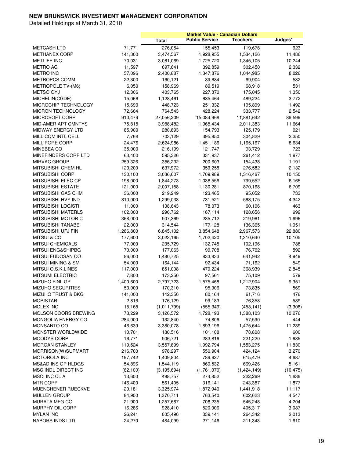|                                       |           |                      |                       | <b>Market Value - Canadian Dollars</b> |            |
|---------------------------------------|-----------|----------------------|-----------------------|----------------------------------------|------------|
|                                       |           | <b>Total</b>         | <b>Public Service</b> | Teachers'                              | Judges'    |
| <b>METCASH LTD</b>                    | 71,771    | 276,054              | 155,453               | 119,678                                | 923        |
| <b>METHANEX CORP</b>                  | 141,300   | 3,474,567            | 1,928,955             | 1,534,126                              | 11,486     |
| <b>METLIFE INC</b>                    | 70,031    | 3,081,069            | 1,725,720             | 1,345,105                              | 10,244     |
| <b>METRO AG</b>                       | 11,597    | 697,641              | 392,859               | 302,450                                | 2,332      |
| <b>METRO INC</b>                      | 57,096    | 2,400,887            | 1,347,876             | 1,044,985                              | 8,026      |
| METROPCS COMM                         | 22,300    | 160,121              | 89,684                | 69,904                                 | 532        |
| METROPOLE TV-(M6)                     | 6,050     | 158,969              | 89,519                | 68,918                                 | 531        |
| <b>METSO OYJ</b>                      | 12,306    | 403,765              | 227,370               | 175,045                                | 1,350      |
| MICHELIN(CGDE)                        | 15,066    | 1,128,461            | 635,464               | 489,224                                | 3,772      |
| MICROCHIP TECHNOLOGY                  | 15,690    | 448,723              | 251,332               | 195,899                                | 1,492      |
| <b>MICRON TECHNOLOGY</b>              | 72,664    | 764,543              | 428,224               | 333,777                                | 2,542      |
| MICROSOFT CORP                        | 910,479   | 27,056,209           | 15,084,968            | 11,881,642                             | 89,599     |
| <b>MID-AMER APT CMNTYS</b>            | 75,815    | 3,988,482            | 1,965,434             | 2,011,383                              | 11,664     |
| MIDWAY ENERGY LTD                     | 85,900    | 280,893              | 154,793               | 125,179                                | 921        |
| MILLICOM INTL CELL                    | 7,768     | 703,129              | 395,950               | 304,829                                | 2,350      |
| <b>MILLIPORE CORP</b>                 | 24,476    | 2,624,986            | 1,451,186             | 1,165,167                              | 8,634      |
| <b>MINEBEA CO</b>                     | 35,000    | 216,199              | 121,747               | 93,729                                 | 723        |
| MINEFINDERS CORP LTD                  | 63,400    | 595,326              | 331,937               | 261,412                                | 1,977      |
| MIRVAC GROUP                          | 259,326   | 356,232              | 200,603               | 154,438                                | 1,191      |
| MITSUBISHI CHEM HL                    | 123,200   | 637,972              | 359,258               | 276,582                                | 2,132      |
| <b>MITSUBISHI CORP</b>                | 130,100   | 3,036,607            | 1,709,989             | 1,316,467                              | 10,150     |
| MITSUBISHI ELEC CP                    | 198,000   | 1,844,273            | 1,038,556             | 799,552                                | 6,165      |
| <b>MITSUBISHI ESTATE</b>              | 121,000   | 2,007,158            | 1,130,281             | 870,168                                | 6,709      |
| MITSUBISHI GAS CHM                    | 36,000    | 219,249              | 123,465               | 95,052                                 | 733        |
| MITSUBISHI HVY IND                    | 310,000   | 1,299,038            | 731,521               | 563,175                                | 4,342      |
| MITSUBISHI LOGISTI                    | 11,000    | 138,643              | 78,073                | 60,106                                 | 463        |
| <b>MITSUBISHI MATERLS</b>             | 102,000   | 296,762              | 167,114               | 128,656                                | 992        |
| MITSUBISHI MOTOR C                    | 368,000   | 507,369              | 285,712               | 219,961                                | 1,696      |
| MITSUBISHI TANABE                     | 22,000    | 314,544              | 177,128               | 136,365                                | 1,051      |
| MITSUBISHI UFJ FIN                    | 1,286,800 | 6,845,102            | 3,854,648             | 2,967,573                              | 22,880     |
| <b>MITSUI &amp; CO</b>                | 177,600   | 3,023,165            | 1,702,420             | 1,310,640                              | 10,105     |
| <b>MITSUI CHEMICALS</b>               | 77,000    | 235,729              | 132,745               | 102,196                                | 788        |
| MITSUI ENG&SHIPBG                     | 70,000    | 177,063              | 99,708                | 76,762                                 | 592        |
| MITSUI FUDOSAN CO                     | 86,000    | 1,480,725            | 833,833               | 641,942                                | 4,949      |
| <b>MITSUI MINING &amp; SM</b>         | 54,000    | 164,144              | 92,434                | 71,162                                 | 549        |
| MITSUI O.S.K.LINES                    | 117,000   |                      | 479,224               | 368,939                                | 2,845      |
| <b>MITSUMI ELECTRIC</b>               | 7,800     | 851,008<br>173,250   | 97,561                | 75,109                                 | 579        |
| MIZUHO FINL GP                        | 1,400,600 | 2,797,723            | 1,575,468             | 1,212,904                              | 9,351      |
| <b>MIZUHO SECURITIES</b>              | 53,000    |                      | 95,906                | 73,835                                 | 569        |
|                                       |           | 170,310              |                       |                                        |            |
| MIZUHO TRUST & BKG<br><b>MOBISTAR</b> | 141,000   | 142,356              | 80,164                | 61,716                                 | 476<br>589 |
| MOLEX INC                             | 2,816     | 176,129              | 99,183                | 76,358                                 |            |
| MOLSON COORS BREWING                  | 15,168    | (1,011,799)          | (555, 349)            | (453, 141)                             | (3,308)    |
| MONGOLIA ENERGY CO                    | 73,229    | 3,126,572            | 1,728,193             | 1,388,103<br>57,590                    | 10,276     |
| MONSANTO CO                           | 284,000   | 132,840<br>3,380,078 | 74,806                |                                        | 444        |
|                                       | 46,639    |                      | 1,893,196             | 1,475,644                              | 11,239     |
| MONSTER WORLDWIDE                     | 10,701    | 180,516              | 101,108               | 78,808                                 | 600        |
| MOODYS CORP                           | 16,771    | 506,721              | 283,816               | 221,220                                | 1,685      |
| MORGAN STANLEY                        | 119,524   | 3,557,899            | 1,992,794             | 1,553,275                              | 11,830     |
| MORRISON(W)SUPMART                    | 216,700   | 978,297              | 550,904               | 424,124                                | 3,270      |
| <b>MOTOROLA INC</b>                   | 197,742   | 1,409,804            | 789,637               | 615,479                                | 4,687      |
| MS&AD INS GP HLDGS                    | 54,896    | 1,544,119            | 869,532               | 669,426                                | 5,161      |
| MSC INDL DIRECT INC                   | (62, 100) | (3, 195, 694)        | (1,761,070)           | (1,424,149)                            | (10, 475)  |
| MSCI INC CL A                         | 13,600    | 498,757              | 274,852               | 222,269                                | 1,636      |
| <b>MTR CORP</b>                       | 146,400   | 561,405              | 316,141               | 243,387                                | 1,877      |
| MUENCHENER RUECKVE                    | 20,181    | 3,325,974            | 1,872,940             | 1,441,918                              | 11,117     |
| MULLEN GROUP                          | 84,900    | 1,370,711            | 763,540               | 602,623                                | 4,547      |
| <b>MURATA MFG CO</b>                  | 21,900    | 1,257,687            | 708,235               | 545,248                                | 4,204      |
| MURPHY OIL CORP                       | 16,266    | 928,410              | 520,006               | 405,317                                | 3,087      |
| <b>MYLAN INC</b>                      | 26,241    | 605,496              | 339,141               | 264,342                                | 2,013      |
| NABORS INDS LTD                       | 24,270    | 484,099              | 271,146               | 211,343                                | 1,610      |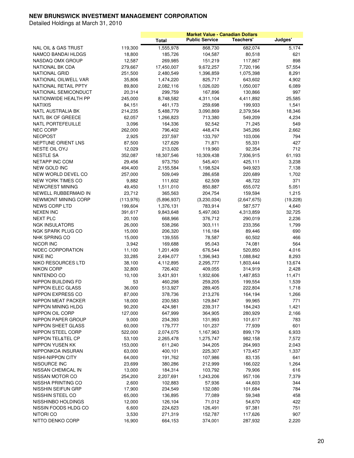|                                                |            |              | <b>Market Value - Canadian Dollars</b> |             |           |
|------------------------------------------------|------------|--------------|----------------------------------------|-------------|-----------|
|                                                |            | <b>Total</b> | <b>Public Service</b>                  | Teachers'   | Judges'   |
| <b>NAL OIL &amp; GAS TRUST</b>                 | 119,300    | 1,555,978    | 868,730                                | 682,074     | 5,174     |
| NAMCO BANDAI HLDGS                             | 18,800     | 185,726      | 104,587                                | 80,518      | 621       |
| NASDAQ OMX GROUP                               | 12,587     | 269,985      | 151,219                                | 117,867     | 898       |
| NATIONAL BK CDA                                | 279,667    | 17,450,007   | 9,672,257                              | 7,720,196   | 57,554    |
| <b>NATIONAL GRID</b>                           | 251,500    | 2,480,549    | 1,396,859                              | 1,075,398   | 8,291     |
| NATIONAL OILWELL VAR                           | 35,806     | 1,474,220    | 825,717                                | 643,602     | 4,902     |
| NATIONAL RETAIL PPTY                           | 89,800     | 2,082,116    | 1,026,020                              | 1,050,007   | 6,089     |
| NATIONAL SEMICONDUCT                           | 20,314     | 299,759      | 167,896                                | 130,866     | 997       |
| NATIONWIDE HEALTH PP                           | 245,000    | 8,748,582    | 4,311,104                              | 4,411,892   | 25,585    |
| <b>NATIXIS</b>                                 | 84,151     | 461,173      | 259,698                                | 199,933     | 1,541     |
| NATL AUSTRALIA BK                              | 214,235    | 5,488,779    | 3,090,869                              | 2,379,564   | 18,346    |
| NATL BK OF GREECE                              | 62,057     | 1,266,823    | 713,380                                | 549,209     | 4,234     |
| NATL PORTEFEUILLE                              | 3,096      | 164,336      | 92,542                                 | 71,245      | 549       |
| <b>NEC CORP</b>                                | 262,000    | 796,402      | 448,474                                | 345,266     | 2,662     |
| <b>NEOPOST</b>                                 | 2,925      | 237,597      | 133,797                                | 103,006     | 794       |
| NEPTUNE ORIENT LNS                             | 87,500     | 127,629      | 71,871                                 | 55,331      | 427       |
| NESTE OIL OYJ                                  | 12,029     | 213,026      | 119,960                                | 92,354      | 712       |
| <b>NESTLE SA</b>                               | 352,087    | 18,307,546   | 10,309,438                             | 7,936,915   | 61,193    |
| <b>NETAPP INC COM</b>                          | 29,456     | 973,750      | 545,401                                | 425,111     | 3,238     |
| <b>NEW GOLD INC</b>                            |            |              |                                        |             |           |
|                                                | 494,400    | 2,155,584    | 1,198,524                              | 949,923     | 7,138     |
| NEW WORLD DEVEL CO<br><b>NEW YORK TIMES CO</b> | 257,000    | 509,049      | 286,658                                | 220,689     | 1,702     |
| <b>NEWCREST MINING</b>                         | 9,882      | 111,602      | 62,509<br>850,887                      | 48,722      | 371       |
|                                                | 49,450     | 1,511,010    |                                        | 655,072     | 5,051     |
| NEWELL RUBBERMAID IN                           | 23,712     | 365,563      | 204,754                                | 159,594     | 1,215     |
| NEWMONT MINING CORP                            | (113, 976) | (5,896,937)  | (3,230,034)                            | (2,647,675) | (19, 228) |
| NEWS CORP LTD                                  | 199,604    | 1,376,131    | 783,914                                | 587,577     | 4,640     |
| <b>NEXEN INC</b>                               | 391,617    | 9,843,648    | 5,497,063                              | 4,313,859   | 32,725    |
| <b>NEXT PLC</b>                                | 20,100     | 668,966      | 376,712                                | 290,019     | 2,236     |
| <b>NGK INSULATORS</b>                          | 26,000     | 538,266      | 303,111                                | 233,356     | 1,799     |
| NGK SPARK PLUG CO                              | 15,000     | 206,320      | 116,184                                | 89,446      | 690       |
| NHK SPRING CO                                  | 15,000     | 139,555      | 78,587                                 | 60,502      | 466       |
| NICOR INC                                      | 3,942      | 169,688      | 95,043                                 | 74,081      | 564       |
| NIDEC CORPORATION                              | 11,100     | 1,201,409    | 676,544                                | 520,850     | 4,016     |
| <b>NIKE INC</b>                                | 33,285     | 2,494,077    | 1,396,943                              | 1,088,842   | 8,293     |
| <b>NIKO RESOURCES LTD</b>                      | 38,100     | 4,112,895    | 2,295,777                              | 1,803,444   | 13,674    |
| <b>NIKON CORP</b>                              | 32,800     | 726,402      | 409,055                                | 314,919     | 2,428     |
| NINTENDO CO                                    | 10,100     | 3,431,931    | 1,932,606                              | 1,487,853   | 11,471    |
| NIPPON BUILDING FD                             | 53         | 460,298      | 259,205                                | 199,554     | 1,539     |
| NIPPON ELEC GLASS                              | 36,000     | 513,927      | 289,405                                | 222,804     | 1,718     |
| NIPPON EXPRESS CO                              | 87,000     | 378,736      | 213,276                                | 164,194     | 1,266     |
| NIPPON MEAT PACKER                             | 18,000     | 230,583      | 129,847                                | 99,965      | 771       |
| NIPPON MINING HLDG                             | 90,200     | 424,981      | 239,317                                | 184,243     | 1,421     |
| NIPPON OIL CORP                                | 127,000    | 647,999      | 364,905                                | 280,929     | 2,166     |
| NIPPON PAPER GROUP                             | 9,000      | 234,393      | 131,993                                | 101,617     | 783       |
| NIPPON SHEET GLASS                             | 60,000     | 179,777      | 101,237                                | 77,939      | 601       |
| NIPPON STEEL CORP                              | 522,000    | 2,074,075    | 1,167,963                              | 899,179     | 6,933     |
| NIPPON TEL&TEL CP                              | 53,100     | 2,265,478    | 1,275,747                              | 982,158     | 7,572     |
| NIPPON YUSEN KK                                | 153,000    | 611,240      | 344,205                                | 264,993     | 2,043     |
| NIPPONKOA INSURAN                              | 63,000     | 400,101      | 225,307                                | 173,457     | 1,337     |
| NISHI-NIPPON CITY                              | 64,000     | 191,762      | 107,986                                | 83,135      | 641       |
| NISOURCE INC                                   | 23,699     | 380,286      | 212,999                                | 166,022     | 1,264     |
| NISSAN CHEMICAL IN                             | 13,000     | 184,314      | 103,792                                | 79,906      | 616       |
| NISSAN MOTOR CO                                | 254,200    | 2,207,691    | 1,243,206                              | 957,106     | 7,379     |
| NISSHA PRINTING CO                             | 2,600      | 102,883      | 57,936                                 | 44,603      | 344       |
| NISSHIN SEIFUN GRP                             | 17,900     | 234,549      | 132,080                                | 101,684     | 784       |
| NISSHIN STEEL CO                               | 65,000     | 136,895      | 77,089                                 | 59,348      | 458       |
| NISSHINBO HOLDINGS                             | 12,000     | 126,104      | 71,012                                 | 54,670      | 422       |
| NISSIN FOODS HLDG CO                           | 6,600      | 224,623      | 126,491                                | 97,381      | 751       |
| NITORI CO                                      | 3,530      | 271,319      | 152,787                                | 117,626     | 907       |
| NITTO DENKO CORP                               | 16,900     | 664,153      | 374,001                                | 287,932     | 2,220     |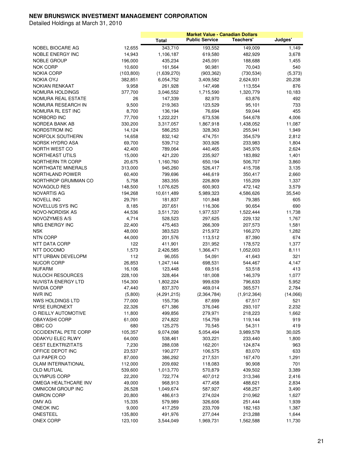|                             |            |                      | <b>Market Value - Canadian Dollars</b> |                      |          |
|-----------------------------|------------|----------------------|----------------------------------------|----------------------|----------|
|                             |            | <b>Total</b>         | <b>Public Service</b>                  | Teachers'            | Judges'  |
| NOBEL BIOCARE AG            | 12,655     | 343,710              | 193,552                                | 149,009              | 1,149    |
| NOBLE ENERGY INC            | 14,943     | 1,106,187            | 619,580                                | 482,929              | 3,678    |
| <b>NOBLE GROUP</b>          | 196,000    | 435,234              | 245,091                                | 188,688              | 1,455    |
| <b>NOK CORP</b>             | 10,600     | 161,564              | 90,981                                 | 70,043               | 540      |
| <b>NOKIA CORP</b>           | (103, 800) | (1,639,270)          | (903, 362)                             | (730, 534)           | (5, 373) |
| <b>NOKIA OYJ</b>            | 382,851    | 6,054,752            | 3,409,582                              | 2,624,931            | 20,238   |
| <b>NOKIAN RENKAAT</b>       | 9,958      | 261,928              | 147,498                                | 113,554              | 876      |
| NOMURA HOLDINGS             | 377,700    | 3,046,552            | 1,715,590                              | 1,320,779            | 10,183   |
| NOMURA REAL ESTATE          | 26         | 147,339              | 82,970                                 | 63,876               | 492      |
| NOMURA RESEARCH IN          | 9,500      | 219,363              | 123,529                                | 95,101               | 733      |
| NOMURA RL EST INC           | 8,700      | 136,194              | 76,694                                 | 59,044               | 455      |
| NORBORD INC                 | 77,700     | 1,222,221            | 673,536                                | 544,678              | 4,006    |
| NORDEA BANK AB              | 330,200    |                      |                                        |                      | 11,087   |
| NORDSTROM INC               | 14,124     | 3,317,057<br>586,253 | 1,867,918<br>328,363                   | 1,438,052<br>255,941 | 1,949    |
|                             |            |                      |                                        |                      |          |
| NORFOLK SOUTHERN            | 14,658     | 832,142              | 474,751                                | 354,579              | 2,812    |
| NORSK HYDRO ASA             | 69,700     | 539,712              | 303,926                                | 233,983              | 1,804    |
| NORTH WEST CO               | 42,400     | 789,064              | 440,465                                | 345,976              | 2,624    |
| NORTHEAST UTILS             | 15,000     | 421,220              | 235,927                                | 183,892              | 1,401    |
| NORTHERN TR CORP            | 20,675     | 1,160,760            | 650,194                                | 506,707              | 3,860    |
| NORTHGATE MINERALS          | 313,000    | 945,260              | 526,417                                | 415,708              | 3,135    |
| NORTHLAND POWER             | 60,400     | 799,696              | 446,619                                | 350,417              | 2,660    |
| NORTHROP GRUMMAN CO         | 5,758      | 383,355              | 226,809                                | 155,209              | 1,337    |
| <b>NOVAGOLD RES</b>         | 148,500    | 1,076,625            | 600,903                                | 472,142              | 3,579    |
| <b>NOVARTIS AG</b>          | 194,268    | 10,611,489           | 5,989,323                              | 4,586,626            | 35,540   |
| NOVELL INC                  | 29,791     | 181,837              | 101,848                                | 79,385               | 605      |
| NOVELLUS SYS INC            | 8,185      | 207,651              | 116,306                                | 90,654               | 690      |
| NOVO-NORDISK AS             | 44,536     | 3,511,720            | 1,977,537                              | 1,522,444            | 11,738   |
| NOVOZYMES A/S               | 4,714      | 528,523              | 297,625                                | 229,132              | 1,767    |
| NRG ENERGY INC              | 22,400     | 475,463              | 266,309                                | 207,573              | 1,581    |
| <b>NSK</b>                  | 48,000     | 383,523              | 215,972                                | 166,270              | 1,282    |
| <b>NTN CORP</b>             | 44,000     | 201,576              | 113,512                                | 87,390               | 674      |
| <b>NTT DATA CORP</b>        | 122        | 411,901              | 231,952                                | 178,572              | 1,377    |
| NTT DOCOMO                  | 1,573      | 2,426,585            | 1,366,471                              | 1,052,003            | 8,111    |
| NTT URBAN DEVELOPM          | 112        | 96,055               | 54,091                                 | 41,643               | 321      |
| <b>NUCOR CORP</b>           | 26,853     | 1,247,144            | 698,531                                | 544,467              | 4,147    |
| <b>NUFARM</b>               | 16,106     | 123,448              | 69,516                                 | 53,518               | 413      |
| <b>NULOCH RESOURCES</b>     | 228,100    | 328,464              | 181,008                                | 146,379              | 1,077    |
| NUVISTA ENERGY LTD          | 154,300    | 1,802,224            | 999,639                                | 796,633              | 5,952    |
| <b>NVIDIA CORP</b>          | 47,440     | 837,370              | 469,014                                | 365,571              | 2,784    |
| NVR INC                     | (5,800)    | (4, 291, 215)        | (2, 364, 784)                          | (1,912,364)          | (14,066) |
| <b>NWS HOLDINGS LTD</b>     | 77,000     | 155,736              | 87,699                                 | 67,517               | 521      |
| <b>NYSE EURONEXT</b>        | 22,326     | 671,386              | 376,046                                | 293,107              | 2,232    |
| O REILLY AUTOMOTIVE         | 11,800     | 499,856              | 279,971                                | 218,223              | 1,662    |
| <b>OBAYASHI CORP</b>        | 61,000     | 274,822              | 154,759                                | 119,144              | 919      |
| OBIC CO                     | 680        | 125,275              | 70,545                                 | 54,311               | 419      |
| <b>OCCIDENTAL PETE CORP</b> | 105,357    | 9,074,098            | 5,054,494                              | 3,989,578            | 30,025   |
| ODAKYU ELEC RLWY            | 64,000     | 538,461              | 303,221                                | 233,440              | 1,800    |
| <b>OEST ELEKTRIZITATS</b>   | 7,230      | 288,038              | 162,201                                | 124,874              | 963      |
| OFFICE DEPOT INC            | 23,537     | 190,277              | 106,575                                | 83,070               | 633      |
| OJI PAPER CO                | 87,000     | 386,292              | 217,531                                | 167,470              | 1,291    |
| <b>OLAM INTERNATIONAL</b>   | 112,000    | 209,692              | 118,083                                | 90,908               | 701      |
| OLD MUTUAL                  | 539,600    | 1,013,770            | 570,879                                | 439,502              | 3,389    |
| <b>OLYMPUS CORP</b>         | 22,200     | 722,774              |                                        |                      |          |
|                             |            |                      | 407,012                                | 313,346              | 2,416    |
| OMEGA HEALTHCARE INV        | 49,000     | 968,913              | 477,458                                | 488,621              | 2,834    |
| OMNICOM GROUP INC           | 26,528     | 1,049,674            | 587,927                                | 458,257              | 3,490    |
| <b>OMRON CORP</b>           | 20,800     | 486,613              | 274,024                                | 210,962              | 1,627    |
| OMV AG                      | 15,335     | 579,989              | 326,606                                | 251,444              | 1,939    |
| <b>ONEOK INC</b>            | 9,000      | 417,259              | 233,709                                | 182,163              | 1,387    |
| ONESTEEL                    | 135,800    | 491,976              | 277,044                                | 213,288              | 1,644    |
| <b>ONEX CORP</b>            | 123,100    | 3,544,049            | 1,969,731                              | 1,562,588            | 11,730   |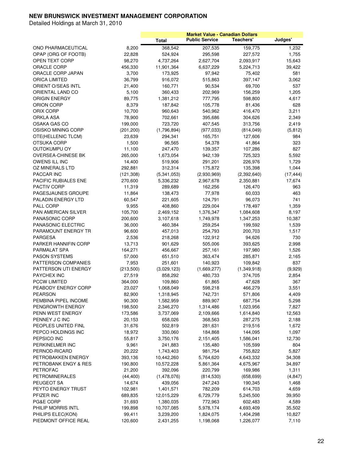|                           |                     |                        | <b>Market Value - Canadian Dollars</b> |                        |                |
|---------------------------|---------------------|------------------------|----------------------------------------|------------------------|----------------|
|                           |                     | <b>Total</b>           | <b>Public Service</b>                  | Teachers'              | Judges'        |
| ONO PHARMACEUTICAL        | 8,200               | 368,542                | 207,535                                | 159,775                | 1,232          |
| OPAP (ORG OF FOOTB)       | 22,828              | 524,924                | 295,598                                | 227,572                | 1,755          |
| OPEN TEXT CORP            | 98,270              | 4,737,264              | 2,627,704                              | 2,093,917              | 15,643         |
| ORACLE CORP               | 456,330             | 11,901,364             | 6,637,229                              | 5,224,713              | 39,422         |
| ORACLE CORP JAPAN         | 3,700               | 173,925                | 97,942                                 | 75,402                 | 581            |
| ORICA LIMITED             | 36,799              | 916,072                | 515,863                                | 397,147                | 3,062          |
| ORIENT O/SEAS INTL        | 21,400              | 160,771                | 90,534                                 | 69,700                 | 537            |
| ORIENTAL LAND CO          | 5,100               | 360,433                | 202,969                                | 156,259                | 1,205          |
| ORIGIN ENERGY             | 89,775              | 1,381,212              | 777,795                                | 598,800                | 4,617          |
| ORION CORP                | 8,379               | 187,842                | 105,778                                | 81,436                 | 628            |
| ORIX CORP                 | 10,700              | 960,643                | 540,962                                | 416,470                | 3,211          |
| ORKLA ASA                 | 78,900              | 702,661                | 395,686                                | 304,626                | 2,349          |
| OSAKA GAS CO              | 199,000             | 723,720                | 407,545                                | 313,756                | 2,419          |
| OSISKO MINING CORP        | (201, 200)          | (1,796,894)            | (977, 033)                             | (814, 049)             | (5, 812)       |
| OTE(HELLENIC TLCM)        | 23,639              | 294,341                | 165,751                                | 127,606                | 984            |
| <b>OTSUKA CORP</b>        | 1,500               | 96,565                 | 54,378                                 | 41,864                 | 323            |
| <b>OUTOKUMPU OY</b>       | 11,100              | 247,470                | 139,357                                | 107,286                | 827            |
| OVERSEA-CHINESE BK        | 265,000             | 1,673,054              | 942,139                                | 725,323                | 5,592          |
| OWENS ILL INC             | 14,400              | 519,906                | 291,201                                | 226,976                | 1.729          |
| <b>OZ MINERALS LTD</b>    | 292,881             | 312,314                | 175,872                                | 135,398                | 1,044          |
| PACCAR INC                | (121, 308)          | (5,341,053)            | (2,930,969)                            | (2,392,640)            | (17, 444)      |
| PACIFIC RUBIALES ENE      | 270,600             | 5,336,232              | 2,967,678                              | 2,350,881              | 17,674         |
| <b>PACTIV CORP</b>        | 11,319              | 289,689                | 162,256                                | 126,470                | 963            |
| <b>PAGESJAUNES GROUPE</b> | 11,864              | 138,473                | 77,978                                 | 60,033                 | 463            |
| PALADIN ENERGY LTD        | 60,547              | 221,605                | 124,791                                | 96,073                 | 741            |
| PALL CORP                 | 9,955               | 408,860                | 229,004                                | 178,497                | 1,359          |
| PAN AMERICAN SILVER       | 105,700             | 2,469,152              | 1,376,347                              |                        | 8,197          |
| PANASONIC CORP            | 200,600             | 3,107,618              | 1,749,978                              | 1,084,608<br>1,347,253 | 10,387         |
| PANASONIC ELECTRIC        | 36,000              | 460,384                | 259,254                                | 199,592                | 1,539          |
| PARAMOUNT ENERGY TR       | 96,600              | 457,013                | 254,793                                | 200,703                | 1,517          |
| PARGESA                   | 2,536               | 218,268                | 122,912                                | 94,626                 | 730            |
| PARKER HANNIFIN CORP      | 13,713              | 901,629                | 505,006                                | 393,625                | 2,998          |
| PARMALAT SPA              | 164,271             |                        |                                        |                        |                |
| <b>PASON SYSTEMS</b>      |                     | 456,667                | 257,161<br>363,474                     | 197,980                | 1,526<br>2,165 |
| PATTERSON COMPANIES       | 57,000<br>7,953     | 651,510<br>251,601     | 140,923                                | 285,871<br>109,842     | 837            |
| PATTERSON UTI ENERGY      |                     |                        | (1,669,277)                            |                        |                |
| <b>PAYCHEX INC</b>        | (213,500)<br>27,519 | (3,029,123)<br>858,292 | 480,733                                | (1,349,918)            | (9,929)        |
| <b>PCCW LIMITED</b>       | 364,000             |                        |                                        | 374,705                | 2,854<br>367   |
| PEABODY ENERGY CORP       | 23,027              | 109,860<br>1,068,049   | 61,865<br>598,218                      | 47,628<br>466,279      | 3,551          |
| <b>PEARSON</b>            |                     |                        |                                        |                        |                |
| PEMBINA PIPEL INCOME      | 82,900              | 1,318,945<br>1,582,959 | 742,731<br>889,907                     | 571,806                | 4,409          |
| PENGROWTH ENERGY          | 90,300              |                        | 1,314,486                              | 687,754<br>1,023,956   | 5,298          |
|                           | 198,500             | 2,346,270              |                                        |                        | 7,827          |
| PENN WEST ENERGY          | 173,586             | 3,737,069              | 2,109,666                              | 1,614,840              | 12,563         |
| PENNEY J C INC            | 20,153              | 658,026                | 368,563                                | 287,275                | 2,188          |
| PEOPLES UNITED FINL       | 31,676              | 502,819                | 281,631                                | 219,516                | 1,672          |
| PEPCO HOLDINGS INC        | 18,972              | 330,060                | 184,868                                | 144,095                | 1,097          |
| PEPSICO INC               | 55,817              | 3,750,176              | 2,151,405                              | 1,586,041              | 12,730         |
| PERKINELMER INC           | 9,961               | 241,883                | 135,480                                | 105,599                | 804            |
| PERNOD-RICARD             | 20,222              | 1,743,403              | 981,754                                | 755,822                | 5,827          |
| PETROBAKKEN ENERGY        | 393,136             | 10,442,260             | 5,764,620                              | 4,643,332              | 34,308         |
| PETROBANK ENGY & RES      | 190,800             | 10,572,228             | 5,861,364                              | 4,675,967              | 34,897         |
| <b>PETROFAC</b>           | 21,200              | 392,096                | 220,799                                | 169,986                | 1,311          |
| PETROMINERALES            | (44, 400)           | (1,478,076)            | (814, 530)                             | (658, 699)             | (4, 847)       |
| PEUGEOT SA                | 14,674              | 439,056                | 247,243                                | 190,345                | 1,468          |
| PEYTO ENERGY TRUST        | 102,981             | 1,401,571              | 782,209                                | 614,703                | 4,659          |
| PFIZER INC                | 689,835             | 12,015,229             | 6,729,779                              | 5,245,500              | 39,950         |
| PG&E CORP                 | 31,693              | 1,380,035              | 772,963                                | 602,483                | 4,589          |
| PHILIP MORRIS INTL        | 199,898             | 10,707,085             | 5,978,174                              | 4,693,409              | 35,502         |
| PHILIPS ELEC(KON)         | 99,411              | 3,239,200              | 1,824,075                              | 1,404,298              | 10,827         |
| PIEDMONT OFFICE REAL      | 120,600             | 2,431,255              | 1,198,068                              | 1,226,077              | 7,110          |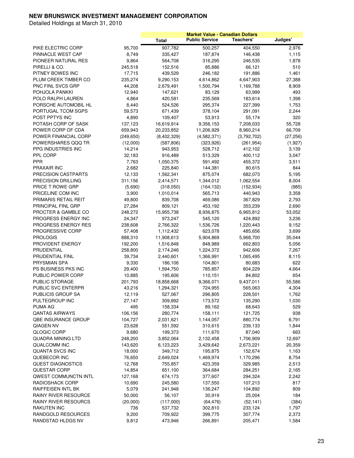|                                          |                    |                         |                       | <b>Market Value - Canadian Dollars</b> |                 |
|------------------------------------------|--------------------|-------------------------|-----------------------|----------------------------------------|-----------------|
|                                          |                    | <b>Total</b>            | <b>Public Service</b> | Teachers'                              | Judges'         |
| PIKE ELECTRIC CORP                       | 95,700             | 907,782                 | 500,257               | 404,550                                | 2,976           |
| PINNACLE WEST CAP                        | 8,749              | 335,427                 | 187,874               | 146,438                                | 1,115           |
| PIONEER NATURAL RES                      | 9,864              | 564,708                 | 316,295               | 246,535                                | 1,878           |
| PIRELLI & CO.                            | 245,518            | 152,516                 | 85,886                | 66,121                                 | 510             |
| PITNEY BOWES INC                         | 17,715             | 439,529                 | 246,182               | 191,886                                | 1,461           |
| PLUM CREEK TIMBER CO                     | 235,274            | 9,290,153               | 4,614,862             | 4,647,903                              | 27,388          |
| PNC FINL SVCS GRP                        | 44,208             | 2,679,491               | 1,500,794             | 1,169,788                              | 8,909           |
| POHJOLA PANKKI                           | 12,940             | 147,621                 | 83,129                | 63,999                                 | 493             |
| POLO RALPH LAUREN                        | 4,864              | 420,581                 | 235,569               | 183,614                                | 1,398           |
| PORSCHE AUTOMOBIL HL                     | 8,440              | 524,526                 | 295,374               | 227,399                                | 1,753           |
| PORTUGAL TCOM SGPS                       | 59,573             | 671,439                 | 378,104               | 291,091                                | 2,244           |
| POST PPTYS INC                           | 4,890              | 109,407                 | 53,913                | 55,174                                 | 320             |
| POTASH CORP OF SASK                      | 137,123            | 16,619,914              | 9,356,153             | 7,208,033                              | 55,728          |
| POWER CORP OF CDA                        | 659,943            | 20,233,852              | 11,206,929            | 8,960,214                              | 66,709          |
| POWER FINANCIAL CORP                     | (249, 650)         | (8,402,329)             | (4,582,371)           | (3,792,702)                            | (27, 256)       |
| POWERSHARES QQQ TR                       | (12,000)           | (587, 806)              | (323, 926)            | (261, 954)                             | (1,927)         |
| PPG INDUSTRIES INC                       | 14,214             | 943,953                 | 528,712               | 412,102                                | 3,139           |
| PPL CORP                                 | 32,183             | 916,489                 | 513,329               | 400,112                                | 3,047           |
| <b>PPR</b>                               | 7,763              | 1,050,375               | 591,492               | 455,372                                | 3,511           |
| PRAXAIR INC                              | 2,682              | 225,840                 | 144,381               | 80,615                                 | 844             |
| PRECISION CASTPARTS                      | 12,133             | 1,562,341               | 875,074               | 682,073                                | 5,195           |
| PRECISION DRILLING                       | 311,156            | 2,414,571               | 1,344,012             | 1,062,554                              | 8,004           |
| PRICE T ROWE GRP                         | (5,690)            | (318,050)               | (164, 132)            | (152, 934)                             | (985)           |
| PRICELINE COM INC                        | 3,900              | 1,010,014               | 565,713               | 440,943                                | 3,358           |
| PRIMARIS RETAIL REIT                     | 49,800             | 839,708                 | 469,086               | 367,829                                | 2,793           |
| PRINCIPAL FINL GRP                       | 27,284             | 809,121                 | 453,192               | 353,239                                | 2,690           |
| PROCTER & GAMBLE CO                      | 248,272            | 15,955,738              |                       | 6,965,812                              |                 |
| PROGRESS ENERGY INC                      | 24,347             | 973,247                 | 8,936,875<br>545,120  | 424,892                                | 53,052<br>3,236 |
| PROGRESS ENERGY RES                      | 238,608            | 2,766,322               | 1,536,726             | 1,220,443                              | 9,152           |
| PROGRESSIVE CORP                         | 57,408             | 1,112,432               | 623,078               | 485,656                                | 3,699           |
| <b>PROLOGIS</b>                          | 888,310            |                         |                       | 5,968,700                              | 35,044          |
| PROVIDENT ENERGY                         |                    | 11,908,613              | 5,904,869             | 662,803                                | 5,056           |
| PRUDENTIAL                               | 192,200<br>258,800 | 1,516,848               | 848,989               |                                        |                 |
| PRUDENTIAL FINL                          | 39,734             | 2,174,246               | 1,224,372             | 942,606                                | 7,267           |
| PRYSMIAN SPA                             | 9,330              | 2,440,601<br>186,106    | 1,366,991<br>104,801  | 1,065,495<br>80,683                    | 8,115<br>622    |
| <b>PS BUSINESS PKS INC</b>               | 29,400             |                         | 785,857               | 804,229                                | 4,664           |
| PUBLIC POWER CORP                        |                    | 1,594,750<br>195,606    | 110,151               |                                        | 654             |
| PUBLIC STORAGE                           | 10,885             |                         |                       | 84,802                                 | 55,586          |
| PUBLIC SVC ENTERPR                       | 201,793<br>43,216  | 18,858,668<br>1,294,321 | 9,366,071<br>724,955  | 9,437,011                              | 4,304           |
|                                          |                    |                         | 296,805               | 565,063                                |                 |
| PUBLICIS GROUP SA<br>PULTEGROUP INC      | 12,119             | 527,067<br>309,892      | 173,572               | 228,501<br>135,290                     | 1,762<br>1,030  |
| <b>PUMA AG</b>                           | 27,147<br>495      | 158,334                 | 89,162                | 68,643                                 | 529             |
| <b>QANTAS AIRWAYS</b>                    | 106,156            | 280,774                 | 158,111               | 121,725                                | 938             |
| QBE INSURANCE GROUP                      |                    |                         |                       |                                        |                 |
| QIAGEN NV                                | 104,727            | 2,031,621<br>551,592    | 1,144,057             | 880,774<br>239,133                     | 6,791<br>1,844  |
| <b>QLOGIC CORP</b>                       | 23,628             |                         | 310,615               |                                        |                 |
|                                          | 9,680              | 199,373<br>3,852,064    | 111,670               | 87,040                                 | 663             |
| QUADRA MINING LTD<br><b>QUALCOMM INC</b> | 248,200            |                         | 2,132,458             | 1,706,909                              | 12,697          |
| <b>QUANTA SVCS INC</b>                   | 143,620            | 6,123,223               | 3,429,642             | 2,673,221                              | 20,359          |
|                                          | 18,000             | 349,712                 | 195,875               | 152,674                                | 1,163           |
| QUEBECOR INC                             | 76,650             | 2,649,024               | 1,469,974             | 1,170,296                              | 8,754           |
| QUEST DIAGNOSTICS                        | 12,768             | 755,857                 | 423,359               | 329,985                                | 2,513           |
| <b>QUESTAR CORP</b>                      | 14,854             | 651,100                 | 364,684               | 284,251                                | 2,165           |
| QWEST COMMUNCTN INTL                     | 127,168            | 674,173                 | 377,607               | 294,324                                | 2,242           |
| RADIOSHACK CORP                          | 10,690             | 245,580                 | 137,550               | 107,213                                | 817             |
| RAIFFEISEN INTL BK                       | 5,079              | 241,948                 | 136,247               | 104,892                                | 809             |
| RAINY RIVER RESOURCE                     | 50,000             | 56,107                  | 30,919                | 25,004                                 | 184             |
| RAINY RIVER RESOURCS                     | (20,000)           | (117,000)               | (64, 476)             | (52, 141)                              | (384)           |
| RAKUTEN INC                              | 736                | 537,732                 | 302,810               | 233,124                                | 1,797           |
| RANDGOLD RESOURCES                       | 9,200              | 709,922                 | 399,775               | 307,774                                | 2,373           |
| RANDSTAD HLDGS NV                        | 9,812              | 473,946                 | 266,891               | 205,471                                | 1,584           |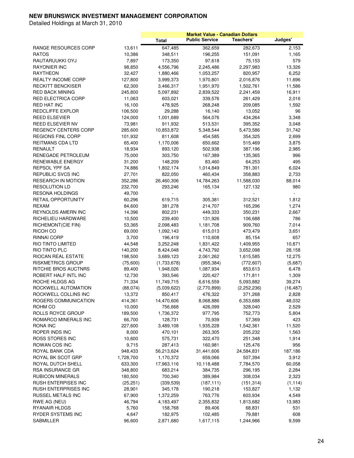|                           |           |              |                       | <b>Market Value - Canadian Dollars</b> |           |
|---------------------------|-----------|--------------|-----------------------|----------------------------------------|-----------|
|                           |           | <b>Total</b> | <b>Public Service</b> | Teachers'                              | Judges'   |
| RANGE RESOURCES CORP      | 13,611    | 647,485      | 362,659               | 282,673                                | 2,153     |
| <b>RATOS</b>              | 10,386    | 348,511      | 196,255               | 151,091                                | 1,165     |
| RAUTARUUKKI OYJ           | 7,897     | 173,350      | 97,618                | 75,153                                 | 579       |
| <b>RAYONIER INC</b>       | 98,850    | 4,556,796    | 2,245,486             | 2,297,983                              | 13,326    |
| <b>RAYTHEON</b>           | 32,427    | 1,880,466    | 1,053,257             | 820,957                                | 6,252     |
| <b>REALTY INCOME CORP</b> | 127,800   | 3,999,373    | 1,970,801             | 2,016,876                              | 11,696    |
| <b>RECKITT BENCKISER</b>  | 62,300    | 3,466,317    | 1,951,970             | 1,502,761                              | 11,586    |
| <b>RED BACK MINING</b>    | 245,800   | 5,097,892    | 2,839,522             | 2,241,459                              | 16,911    |
| <b>RED ELECTRICA CORP</b> | 11,063    | 603,021      | 339,576               | 261,429                                | 2,016     |
| <b>RED HAT INC</b>        | 16,100    | 478,925      | 268,248               | 209,085                                | 1,592     |
| REDCLIFFE EXPLOR          | 106,500   | 29,288       | 16,140                | 13,052                                 | 96        |
| REED ELSEVIER             | 124,000   |              |                       |                                        | 3,348     |
|                           |           | 1,001,689    | 564,076               | 434,264                                |           |
| REED ELSEVIER NV          | 73,981    | 911,932      | 513,531               | 395,352                                | 3,048     |
| REGENCY CENTERS CORP      | 285,600   | 10,853,872   | 5,348,544             | 5,473,586                              | 31,742    |
| <b>REGIONS FINL CORP</b>  | 101,932   | 811,608      | 454,585               | 354,325                                | 2,699     |
| REITMANS CDA LTD          | 65,400    | 1,170,006    | 650,662               | 515,469                                | 3,875     |
| RENAULT                   | 18,934    | 893,120      | 502,938               | 387,196                                | 2,985     |
| RENEGADE PETROLEUM        | 75,000    | 303,750      | 167,389               | 135,365                                | 996       |
| <b>RENEWABLE ENERGY</b>   | 31,200    | 148,209      | 83,460                | 64,253                                 | 495       |
| <b>REPSOL YPF SA</b>      | 74,886    | 1,802,174    | 1,014,849             | 781,301                                | 6,024     |
| REPUBLIC SVCS INC         | 27,701    | 822,050      | 460,434               | 358,883                                | 2,733     |
| <b>RESEARCH IN MOTION</b> | 352,286   | 26,460,306   | 14,784,263            | 11,588,030                             | 88,014    |
| <b>RESOLUTION LD</b>      | 232,700   | 293,246      | 165,134               | 127,132                                | 980       |
| <b>RESONA HOLDINGS</b>    | 49,700    |              |                       |                                        |           |
| <b>RETAIL OPPORTUNITY</b> | 60,296    | 619,715      | 305,381               | 312,521                                | 1,812     |
| REXAM                     | 84,600    | 381,278      | 214,707               | 165,296                                | 1,274     |
| REYNOLDS AMERN INC        | 14,396    | 802,231      | 449,333               | 350,231                                | 2,667     |
| RICHELIEU HARDWARE        | 10,500    | 239,400      | 131,926               | 106,688                                | 786       |
| RICHEMONT(CIE FIN)        | 53,365    | 2,098,483    | 1,181,708             | 909,760                                | 7,014     |
| RICOH CO                  | 69,000    | 1,092,143    | 615,013               | 473,479                                | 3,651     |
| RINNAI CORP               | 3,700     | 196,419      | 110,608               | 85,154                                 | 657       |
| RIO TINTO LIMITED         | 44,548    | 3,252,248    | 1,831,422             | 1,409,955                              | 10,871    |
| RIO TINTO PLC             | 140,200   | 8,424,048    | 4,743,792             | 3,652,098                              | 28,158    |
| RIOCAN REAL ESTATE        | 198,500   | 3,689,123    | 2,061,262             | 1,615,585                              | 12,275    |
| <b>RISKMETRICS GROUP</b>  | (75,600)  | (1,733,678)  | (955, 384)            | (772, 607)                             | (5,687)   |
| RITCHIE BROS AUCTNRS      | 89,400    | 1,948,026    | 1,087,934             | 853,613                                | 6,478     |
| ROBERT HALF INTL INC      | 12,730    | 393,546      | 220,427               | 171,811                                | 1,309     |
| ROCHE HLDGS AG            | 71,334    | 11,749,715   | 6,616,559             | 5,093,882                              | 39,274    |
| ROCKWELL AUTOMATION       | (88,074)  | (5,039,622)  | (2,770,899)           | (2,252,236)                            | (16, 487) |
| ROCKWELL COLLINS INC      | 13,372    | 850,417      | 476,322               | 371,268                                | 2,828     |
| ROGERS COMMUNICATION      | 414,361   | 14,470,606   | 8,068,886             | 6,353,688                              | 48,032    |
| ROHM CO                   | 10,000    | 756,668      | 426,099               | 328,040                                | 2,529     |
| ROLLS ROYCE GROUP         | 189,500   | 1,736,372    | 977,795               | 752,773                                | 5,804     |
| ROMARCO MINERALS INC      |           |              |                       |                                        |           |
|                           | 66,700    | 128,731      | 70,939                | 57,369                                 | 423       |
| <b>RONA INC</b>           | 227,600   | 3,489,108    | 1,935,228             | 1,542,361                              | 11,520    |
| ROPER INDS INC            | 8,000     | 470,101      | 263,305               | 205,232                                | 1,563     |
| <b>ROSS STORES INC</b>    | 10,600    | 575,731      | 322,470               | 251,348                                | 1,914     |
| <b>ROWAN COS INC</b>      | 9,715     | 287,413      | 160,981               | 125,476                                | 956       |
| ROYAL BANK CDA            | 948,433   | 56,213,624   | 31,441,606            | 24,584,831                             | 187,186   |
| ROYAL BK SCOT GRP         | 1,728,700 | 1,170,372    | 659,066               | 507,394                                | 3,912     |
| ROYAL DUTCH SHELL         | 633,300   | 17,963,116   | 10,118,488            | 7,784,570                              | 60,058    |
| <b>RSA INSURANCE GR</b>   | 348,800   | 683,214      | 384,735               | 296,195                                | 2,284     |
| <b>RUBICON MINERALS</b>   | 180,500   | 700,340      | 389,984               | 308,034                                | 2,323     |
| RUSH ENTERPISES INC       | (25, 251) | (339, 539)   | (187, 111)            | (151, 314)                             | (1, 114)  |
| RUSH ENTERPRISES INC      | 28,901    | 345,178      | 190,218               | 153,827                                | 1,132     |
| RUSSEL METALS INC         | 67,900    | 1,372,259    | 763,776               | 603,934                                | 4,549     |
| RWE AG (NEU)              | 46,794    | 4,183,497    | 2,355,832             | 1,813,682                              | 13,983    |
| RYANAIR HLDGS             | 5,760     | 158,768      | 89,406                | 68,831                                 | 531       |
| RYDER SYSTEMS INC         | 4,647     | 182,975      | 102,485               | 79,881                                 | 608       |
| SABMILLER                 | 96,600    | 2,871,680    | 1,617,115             | 1,244,966                              | 9,599     |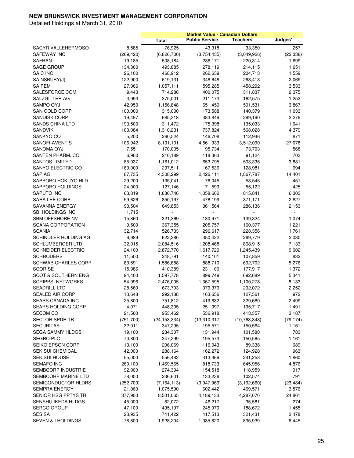|                                |            |                          | <b>Market Value - Canadian Dollars</b> |                |           |
|--------------------------------|------------|--------------------------|----------------------------------------|----------------|-----------|
|                                |            | <b>Total</b>             | <b>Public Service</b>                  | Teachers'      | Judges'   |
| SACYR VALLEHERMOSO             | 8,585      | 76,925                   | 43,318                                 | 33,350         | 257       |
| SAFEWAY INC                    | (269, 420) | (6,826,700)              | (3,754,435)                            | (3,049,926)    | (22, 338) |
| SAFRAN                         | 19,185     | 508,184                  | 286,171                                | 220,314        | 1,699     |
| <b>SAGE GROUP</b>              | 134,300    | 493,885                  | 278,119                                | 214,115        | 1,651     |
| <b>SAIC INC</b>                | 26,100     | 468,912                  | 262,639                                | 204,713        | 1,559     |
| SAINSBURY(J)                   | 122,900    | 619,131                  | 348,648                                | 268,413        | 2,069     |
| <b>SAIPEM</b>                  | 27,066     | 1,057,111                | 595,285                                | 458,292        | 3,533     |
| SALESFORCE.COM                 | 9,443      | 714,286                  | 400,075                                | 311,837        | 2,375     |
| SALZGITTER AG                  | 3,993      | 375,001                  | 211,173                                | 162,575        | 1,253     |
| SAMPO OYJ                      | 42,950     | 1,156,848                | 651,450                                | 501,531        | 3,867     |
|                                | 100,000    |                          |                                        |                |           |
| SAN GOLD CORP                  |            | 315,000                  | 173,588                                | 140,379        | 1,033     |
| SANDISK CORP                   | 19,497     | 685,318                  | 383,849                                | 299,190        | 2,279     |
| SANDS CHINA LTD                | 193,500    | 311,472                  | 175,398                                | 135,033        | 1,041     |
| SANDVIK                        | 103,084    | 1,310,231                | 737,824                                | 568,028        | 4,379     |
| SANKYO CO                      | 5,200      | 260,524                  | 146,708                                | 112,946        | 871       |
| SANOFI-AVENTIS                 | 106,942    | 8,101,101                | 4,561,933                              | 3,512,090      | 27,078    |
| SANOMA OYJ                     | 7,551      | 170,005                  | 95,734                                 | 73,703         | 568       |
| SANTEN PHARM. CO.              | 6,900      | 210,189                  | 118,363                                | 91,124         | 703       |
| <b>SANTOS LIMITED</b>          | 85,037     | 1,161,012                | 653,795                                | 503,336        | 3,881     |
| SANYO ELECTRIC CO              | 189,000    | 297,511                  | 167,536                                | 128,981        | 994       |
| SAP AG                         | 87,735     | 4,308,299                | 2,426,111                              | 1,867,787      | 14,401    |
| SAPPORO HOKUYO HLD             | 29,200     | 135,041                  | 76,045                                 | 58,545         | 451       |
| SAPPORO HOLDINGS               | 24,000     | 127,146                  | 71,599                                 | 55,122         | 425       |
| <b>SAPUTO INC</b>              | 63,819     | 1,880,746                | 1,058,602                              | 815,841        | 6,303     |
| <b>SARA LEE CORP</b>           | 59,626     | 850,197                  | 476,199                                | 371,171        | 2,827     |
| SAVANNA ENERGY                 | 93,504     | 649,853                  | 361,564                                | 286,136        | 2,153     |
| <b>SBI HOLDINGS INC</b>        | 1,715      | $\overline{\phantom{a}}$ | ÷                                      | $\sim$         | $\sim$    |
| <b>SBM OFFSHORE NV</b>         | 15,860     | 321,369                  | 180,971                                | 139,324        | 1,074     |
| <b>SCANA CORPORATION</b>       | 9,500      | 367,355                  | 205,757                                | 160,377        | 1,221     |
| SCANIA                         | 32,714     | 526,733                  | 296,617                                | 228,356        | 1,761     |
| SCHINDLER HOLDING AG           | 6,989      | 622,280                  | 350,422                                | 269,779        | 2,080     |
| SCHLUMBERGER LTD               | 32,015     | 2,084,516                | 1,208,468                              | 868,915        | 7,133     |
| <b>SCHNEIDER ELECTRIC</b>      | 24,100     | 2,872,770                | 1,617,729                              | 1,245,439      | 9,602     |
| <b>SCHRODERS</b>               | 11,500     | 248,791                  | 140,101                                | 107,859        | 832       |
| <b>SCHWAB CHARLES CORP</b>     | 83,591     | 1,586,688                | 888,710                                | 692,702        | 5,276     |
| SCOR SE                        | 15,986     | 410,389                  | 231,100                                | 177,917        | 1,372     |
| <b>SCOT &amp; SOUTHERN ENG</b> | 94,400     | 1,597,778                | 899,749                                | 692,689        | 5,341     |
| <b>SCRIPPS NETWORKS</b>        | 54,996     | 2,476,005                | 1,367,595                              | 1,100,278      | 8,133     |
| <b>SEADRILL LTD</b>            | 28,560     | 673,703                  | 379,379                                | 292,072        | 2,252     |
| SEALED AIR CORP                | 13,648     | 292,188                  | 163,656                                | 127,561        | 972       |
| SEARS CANADA INC               | 25,800     | 751,812                  | 419,632                                | 329,680        | 2,499     |
| <b>SEARS HOLDING CORP</b>      | 4,071      | 448,305                  | 251,097                                | 195,717        | 1,491     |
| <b>SECOM CO</b>                | 21,500     | 953,462                  | 536,918                                | 413,357        | 3,187     |
| <b>SECTOR SPDR TR</b>          | (751, 700) | (24, 153, 334)           | (13,310,317)                           | (10, 763, 843) | (79, 174) |
| <b>SECURITAS</b>               | 32,011     | 347,295                  | 195,571                                | 150,564        | 1,161     |
| <b>SEGA SAMMY HLDGS</b>        | 19,100     | 234,307                  | 131,944                                | 101,580        | 783       |
| <b>SEGRO PLC</b>               | 70,800     | 347,299                  | 195,573                                | 150,565        | 1,161     |
| SEIKO EPSON CORP               | 13,100     | 206,069                  | 116,043                                | 89,338         | 689       |
| <b>SEKISUI CHEMICAL</b>        |            |                          |                                        |                | 963       |
|                                | 42,000     | 288,164                  | 162,272                                | 124,928        |           |
| <b>SEKISUI HOUSE</b>           | 55,000     | 556,482                  | 313,369                                | 241,253        | 1,860     |
| <b>SEMAFO INC</b>              | 260,100    | 1,469,565                | 818,733                                | 645,956        | 4,876     |
| SEMBCORP INDUSTRIE             | 92,000     | 274,394                  | 154,518                                | 118,959        | 917       |
| SEMBCORP MARINE LTD            | 78,000     | 236,601                  | 133,236                                | 102,574        | 791       |
| SEMICONDUCTOR HLDRS            | (252,700)  | (7, 164, 113)            | (3,947,969)                            | (3, 192, 660)  | (23, 484) |
| <b>SEMPRA ENERGY</b>           | 21,060     | 1,075,590                | 602,442                                | 469,571        | 3,576     |
| SENIOR HSG PPTYS TR            | 377,900    | 8,501,065                | 4,189,133                              | 4,287,070      | 24,861    |
| SENSHU IKEDA HLDGS             | 45,000     | 82,072                   | 46,217                                 | 35,581         | 274       |
| SERCO GROUP                    | 47,100     | 435,197                  | 245,070                                | 188,672        | 1,455     |
| <b>SES SA</b>                  | 28,935     | 741,422                  | 417,513                                | 321,431        | 2,478     |
| SEVEN & I HOLDINGS             | 78,800     | 1,928,204                | 1,085,820                              | 835,939        | 6,445     |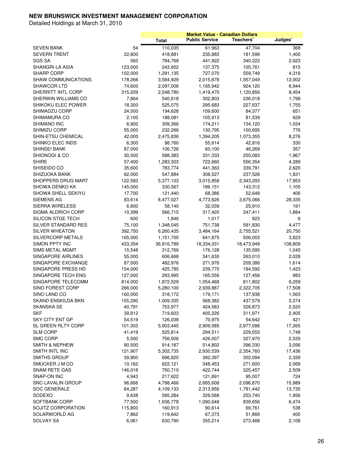|                                            |         |              |                       | <b>Market Value - Canadian Dollars</b> |         |
|--------------------------------------------|---------|--------------|-----------------------|----------------------------------------|---------|
|                                            |         | <b>Total</b> | <b>Public Service</b> | Teachers'                              | Judges' |
| <b>SEVEN BANK</b>                          | 54      | 110,035      | 61,963                | 47,704                                 | 368     |
| <b>SEVERN TRENT</b>                        | 22,800  | 418,881      | 235,883               | 181,599                                | 1,400   |
| SGS SA                                     | 560     | 784,768      | 441,922               | 340,222                                | 2,623   |
| SHANGRI-LA ASIA                            | 123,000 | 243,952      | 137,375               | 105,761                                | 815     |
| <b>SHARP CORP</b>                          | 102,000 | 1,291,135    | 727,070               | 559,749                                | 4,316   |
| <b>SHAW COMMUNICATIONS</b>                 | 178,266 | 3,584,929    | 2,015,878             | 1,557,049                              | 12,002  |
| SHAWCOR LTD                                | 74,600  | 2,097,006    | 1,165,942             | 924,120                                | 6,944   |
| SHERRITT INTL CORP                         | 315,209 | 2,548,780    | 1,419,470             | 1,120,856                              | 8,454   |
| SHERWIN WILLIAMS CO                        | 7,864   | 540,618      | 302,803               | 236,018                                | 1,798   |
| SHIKOKU ELEC POWER                         | 18,300  | 525,075      | 295,683               | 227,637                                | 1,755   |
| SHIMADZU CORP                              | 24,000  | 194,628      | 109,600               | 84,377                                 | 651     |
| SHIMAMURA CO                               | 2,100   | 188,081      | 105,913               | 81,539                                 | 629     |
| SHIMANO INC                                | 6,900   | 309,366      | 174,211               | 134,120                                | 1,034   |
| SHIMIZU CORP                               | 55,000  | 232,266      | 130,795               | 100,695                                | 776     |
| SHIN-ETSU CHEMICAL                         | 42,000  | 2,475,836    | 1,394,205             | 1,073,355                              | 8,276   |
| SHINKO ELEC INDS                           | 6,300   | 98,760       | 55,614                | 42,816                                 | 330     |
| SHINSEI BANK                               | 87,000  | 106,726      | 60,100                | 46,269                                 | 357     |
| SHIONOGI & CO                              | 30,500  | 588,383      | 331,333               | 255,083                                | 1,967   |
| <b>SHIRE</b>                               | 57,400  | 1,283,303    | 722,660               | 556,354                                | 4,289   |
| SHISEIDO CO                                | 35,600  | 783,774      | 441,363               | 339,791                                | 2,620   |
| SHIZUOKA BANK                              | 62,000  | 547,884      | 308,527               | 237,526                                | 1,831   |
| <b>SHOPPERS DRUG MART</b>                  | 122,583 | 5,377,103    | 3,015,858             | 2,343,293                              | 17,953  |
| SHOWA DENKO KK                             | 145,000 | 330,567      |                       |                                        | 1,105   |
| SHOWA SHELL SEKIYU                         | 17,700  | 121,440      | 186,151<br>68,386     | 143,312                                | 406     |
| <b>SIEMENS AG</b>                          | 83,614  | 8,477,027    | 4,773,626             | 52,648                                 | 28,335  |
| <b>SIERRA WIRELESS</b>                     | 6,800   |              | 32,039                | 3,675,066                              |         |
|                                            |         | 58,140       |                       | 25,910                                 | 191     |
| SIGMA ALDRICH CORP                         | 10,399  | 566,715      | 317,420               | 247,411                                | 1,884   |
| SILICON STGE TECH                          | 600     | 1,846        | 1,017                 | 823                                    | 6       |
| SILVER STANDARD RES                        | 75,100  | 1,348,045    | 751,738               | 591,830                                | 4,477   |
| <b>SILVER WHEATON</b>                      | 392,750 | 6,260,435    | 3,484,164             | 2,755,521                              | 20,750  |
| SILVERCORP METALS<br><b>SIMON PPTY INC</b> | 165,000 | 1,151,700    | 641,875               | 506,003                                | 3,823   |
|                                            | 433,354 | 36,916,789   | 18,334,031            | 18,473,949                             | 108,809 |
| SIMS METAL MGMT                            | 15,548  | 312,769      | 176,128               | 135,595                                | 1,045   |
| SINGAPORE AIRLINES                         | 55,000  | 606,668      | 341,630               | 263,010                                | 2,028   |
| SINGAPORE EXCHANGE                         | 87,000  | 482,976      | 271,976               | 209,386                                | 1,614   |
| SINGAPORE PRESS HD                         | 154,000 | 425,785      | 239,770               | 184,592                                | 1,423   |
| SINGAPORE TECH ENG                         | 127,000 | 293,995      | 165,556               | 127,456                                | 983     |
| SINGAPORE TELECOMM                         | 814,000 | 1,872,529    | 1,054,468             | 811,802                                | 6,259   |
| SINO FOREST CORP                           | 266,000 | 5,280,100    | 2,939,887             | 2,322,705                              | 17,508  |
| SINO LAND CO                               | 160,000 | 318,172      | 179,171               | 137,938                                | 1,063   |
| SKAND ENSKILDA BKN                         | 155,290 | 1,009,335    | 568,382               | 437,579                                | 3,374   |
| SKANSKA SE                                 | 40,791  | 753,977      | 424,583               | 326,873                                | 2,520   |
| <b>SKF</b>                                 | 39,812  | 719,603      | 405,226               | 311,971                                | 2,405   |
| SKY CITY ENT GP                            | 54,519  | 126,038      | 70,975                | 54,642                                 | 421     |
| SL GREEN RLTY CORP                         | 101,303 | 5,903,445    | 2,909,085             | 2,977,096                              | 17,265  |
| SLM CORP                                   | 41,419  | 525,814      | 294,511               | 229,555                                | 1,748   |
| <b>SMC CORP</b>                            | 5,500   | 756,506      | 426,007               | 327,970                                | 2,529   |
| SMITH & NEPHEW                             | 90,500  | 914,187      | 514,802               | 396,330                                | 3,056   |
| SMITH INTL INC                             | 121,907 | 5,302,735    | 2,930,539             | 2,354,760                              | 17,436  |
| <b>SMITHS GROUP</b>                        | 39,900  | 696,820      | 392,397               | 302,094                                | 2,329   |
| SMUCKER J M CO                             | 10,162  | 622,121      | 348,453               | 271,600                                | 2,069   |
| SNAM RETE GAS                              | 146,018 | 750,710      | 422,744               | 325,457                                | 2,509   |
| SNAP-ON INC                                | 4,943   | 217,622      | 121,891               | 95,007                                 | 724     |
| SNC-LAVALIN GROUP                          | 96,666  | 4,798,466    | 2,685,608             | 2,096,870                              | 15,989  |
| <b>SOC GENERALE</b>                        | 64,287  | 4,109,133    | 2,313,956             | 1,781,442                              | 13,735  |
| SODEXO                                     | 9,638   | 585,284      | 329,588               | 253,740                                | 1,956   |
| SOFTBANK CORP                              | 77,500  | 1,936,778    | 1,090,648             | 839,656                                | 6,474   |
| SOJITZ CORPORATION                         | 115,800 | 160,913      | 90,614                | 69,761                                 | 538     |
| SOLARWORLD AG                              | 7,862   | 119,642      | 67,373                | 51,869                                 | 400     |
| SOLVAY SA                                  | 6,061   | 630,790      | 355,214               | 273,468                                | 2,108   |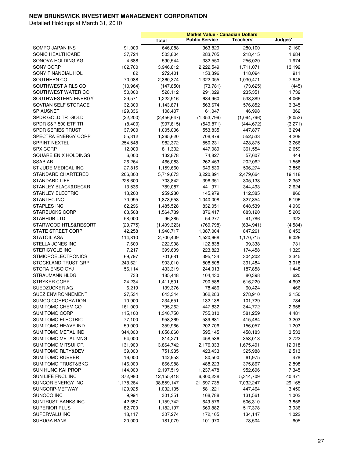|                               |           |              |                       | <b>Market Value - Canadian Dollars</b> |          |
|-------------------------------|-----------|--------------|-----------------------|----------------------------------------|----------|
|                               |           | <b>Total</b> | <b>Public Service</b> | Teachers'                              | Judges'  |
| SOMPO JAPAN INS               | 91,000    | 646,088      | 363,829               | 280,100                                | 2,160    |
| <b>SONIC HEALTHCARE</b>       | 37,724    | 503,804      | 283,705               | 218,415                                | 1,684    |
| SONOVA HOLDING AG             | 4,688     | 590,544      | 332,550               | 256,020                                | 1,974    |
| <b>SONY CORP</b>              | 102,700   | 3,946,812    | 2,222,549             | 1,711,071                              | 13,192   |
| SONY FINANCIAL HOL            | 82        | 272,401      | 153,396               | 118,094                                | 911      |
| SOUTHERN CO                   | 70,088    | 2,360,374    | 1,322,055             | 1,030,471                              | 7,848    |
| SOUTHWEST AIRLS CO            | (10, 964) | (147, 850)   | (73, 781)             | (73, 625)                              | (445)    |
| SOUTHWEST WATER CO            | 50,000    | 528,112      | 291,029               | 235,351                                | 1,732    |
| SOUTHWESTERN ENERGY           | 29,571    | 1,222,916    | 684,960               | 533,889                                | 4,066    |
| SOVRAN SELF STORAGE           | 32,300    | 1,143,871    | 563,674               | 576,852                                | 3,345    |
| <b>SP AUSNET</b>              | 129,336   | 108,407      | 61,047                | 46,998                                 | 362      |
| SPDR GOLD TR GOLD             | (22, 200) | (2,456,647)  | (1,353,799)           | (1,094,796)                            | (8,053)  |
| SPDR S&P 500 ETF TR           | (8,400)   | (997, 815)   | (549, 871)            | (444, 672)                             | (3,271)  |
| <b>SPDR SERIES TRUST</b>      | 37,900    | 1,005,006    | 553,835               | 447,877                                | 3,294    |
| SPECTRA ENERGY CORP           | 55,312    |              | 708,879               |                                        | 4,208    |
|                               |           | 1,265,620    |                       | 552,533                                |          |
| <b>SPRINT NEXTEL</b>          | 254,548   | 982,372      | 550,231               | 428,875                                | 3,266    |
| <b>SPX CORP</b>               | 12,000    | 811,302      | 447,089               | 361,554                                | 2,659    |
| SQUARE ENIX HOLDINGS          | 6,000     | 132,878      | 74,827                | 57,607                                 | 444      |
| <b>SSAB AB</b>                | 26,264    | 466,083      | 262,463               | 202,062                                | 1,558    |
| ST JUDE MEDICAL INC           | 27,816    | 1,159,660    | 649,530               | 506,274                                | 3,856    |
| STANDARD CHARTERED            | 206,800   | 5,719,673    | 3,220,891             | 2,479,664                              | 19,118   |
| <b>STANDARD LIFE</b>          | 228,600   | 703,842      | 396,351               | 305,138                                | 2,353    |
| STANLEY BLACK&DECKR           | 13,536    | 789,087      | 441,971               | 344,493                                | 2,624    |
| <b>STANLEY ELECTRIC</b>       | 13,200    | 259,230      | 145,979               | 112,385                                | 866      |
| <b>STANTEC INC</b>            | 70,995    | 1,873,558    | 1,040,008             | 827,354                                | 6,196    |
| <b>STAPLES INC</b>            | 62,296    | 1,485,528    | 832,051               | 648,539                                | 4,939    |
| <b>STARBUCKS CORP</b>         | 63,508    | 1,564,739    | 876,417               | 683,120                                | 5,203    |
| <b>STARHUB LTD</b>            | 58,000    | 96,385       | 54,277                | 41,786                                 | 322      |
| STARWOOD HTLS&RESORT          | (29, 775) | (1,409,323)  | (769, 798)            | (634, 941)                             | (4, 584) |
| <b>STATE STREET CORP</b>      | 42,258    | 1,940,717    | 1,087,004             | 847,261                                | 6,453    |
| STATOIL ASA                   | 114,810   | 2,700,409    | 1,520,668             | 1,170,715                              | 9,026    |
| STELLA JONES INC              | 7,600     | 222,908      | 122,838               | 99,338                                 | 731      |
| <b>STERICYCLE INC</b>         | 7,217     | 399,609      | 223,823               | 174,458                                | 1,329    |
| <b>STMICROELECTRONICS</b>     | 69,797    | 701,681      | 395,134               | 304,202                                | 2,345    |
| STOCKLAND TRUST GRP           | 243,621   | 903,010      | 508,508               | 391,484                                | 3,018    |
| STORA ENSO OYJ                | 56,114    | 433,319      | 244,013               | 187,858                                | 1,448    |
| STRAUMANN HLDG                | 733       | 185,448      | 104,430               | 80,398                                 | 620      |
| STRYKER CORP                  | 24,234    | 1,411,501    | 790,588               | 616,220                                | 4,693    |
| SUEDZUCKER AG                 | 6,219     | 139,376      | 78,486                | 60,424                                 | 466      |
| SUEZ ENVIRONNEMENT            | 27,534    | 643,344      | 362,283               | 278,910                                | 2,150    |
| SUMCO CORPORATION             | 10,900    | 234,651      | 132,138               | 101,729                                | 784      |
| SUMITOMO CHEM CO              | 161,000   | 795,262      | 447,832               | 344,772                                | 2,658    |
| SUMITOMO CORP                 | 115,100   | 1,340,750    | 755,010               | 581,259                                | 4,481    |
| SUMITOMO ELECTRIC             | 77,100    | 958,369      | 539,681               | 415,484                                | 3,203    |
| SUMITOMO HEAVY IND            | 59,000    | 359,966      | 202,706               | 156,057                                | 1,203    |
| SUMITOMO METAL IND            | 344,000   | 1,056,860    | 595,145               | 458,183                                | 3,533    |
| SUMITOMO METAL MNG            | 54,000    | 814,271      | 458,536               | 353,013                                | 2,722    |
| SUMITOMO MITSUI GR            | 131,900   | 3,864,742    | 2,176,333             | 1,675,491                              | 12,918   |
| SUMITOMO RLTY&DEV             | 39,000    | 751,935      | 423,433               | 325,988                                | 2,513    |
| <b>SUMITOMO RUBBER</b>        | 16,000    | 142,953      | 80,500                | 61,975                                 | 478      |
| <b>SUMITOMO TRUST&amp;BKG</b> | 146,000   | 866,988      | 488,223               | 375,867                                | 2,898    |
| SUN HUNG KAI PROP             | 144,000   | 2,197,519    | 1,237,478             | 952,696                                | 7,345    |
| SUN LIFE FNCL INC             | 372,980   | 12,155,418   | 6,800,238             | 5,314,709                              | 40,471   |
| SUNCOR ENERGY INC             | 1,178,264 | 38,859,147   | 21,697,735            | 17,032,247                             | 129,165  |
| SUNCORP-METWAY                |           |              |                       |                                        |          |
|                               | 129,925   | 1,032,135    | 581,221               | 447,464                                | 3,450    |
| SUNOCO INC                    | 9,994     | 301,351      | 168,788               | 131,561                                | 1,002    |
| SUNTRUST BANKS INC            | 42,657    | 1,159,742    | 649,576               | 506,310                                | 3,856    |
| SUPERIOR PLUS                 | 82,700    | 1,182,197    | 660,882               | 517,378                                | 3,936    |
| SUPERVALU INC                 | 18,117    | 307,274      | 172,105               | 134,147                                | 1,022    |
| <b>SURUGA BANK</b>            | 20,000    | 181,079      | 101,970               | 78,504                                 | 605      |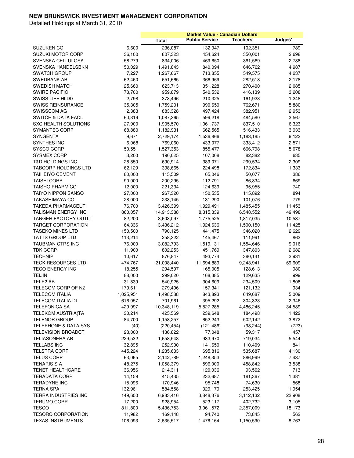|                                 |           |              | <b>Market Value - Canadian Dollars</b> |           |         |
|---------------------------------|-----------|--------------|----------------------------------------|-----------|---------|
|                                 |           | <b>Total</b> | <b>Public Service</b>                  | Teachers' | Judges' |
| SUZUKEN CO                      | 6,600     | 236,087      | 132,947                                | 102,351   | 789     |
| SUZUKI MOTOR CORP               | 36,100    | 807,323      | 454,624                                | 350,001   | 2,698   |
| SVENSKA CELLULOSA               | 58,279    | 834,006      | 469,650                                | 361,569   | 2,788   |
| SVENSKA HANDELSBKN              | 50,029    | 1,491,843    | 840,094                                | 646,762   | 4,987   |
| <b>SWATCH GROUP</b>             | 7,227     | 1,267,667    | 713,855                                | 549,575   | 4,237   |
| SWEDBANK AB                     | 62,460    | 651,665      |                                        | 282,518   | 2,178   |
|                                 |           |              | 366,969                                |           |         |
| <b>SWEDISH MATCH</b>            | 25,660    | 623,713      | 351,228                                | 270,400   | 2,085   |
| <b>SWIRE PACIFIC</b>            | 78,700    | 959,879      | 540,532                                | 416,139   | 3,208   |
| SWISS LIFE HLDG                 | 2,798     | 373,496      | 210,325                                | 161,923   | 1,248   |
| <b>SWISS REINSURANCE</b>        | 35,305    | 1,759,201    | 990,650                                | 762,671   | 5,880   |
| <b>SWISSCOM AG</b>              | 2,383     | 883,328      | 497,424                                | 382,951   | 2,953   |
| <b>SWITCH &amp; DATA FACL</b>   | 60,319    | 1,087,365    | 599,218                                | 484,580   | 3,567   |
| SXC HEALTH SOLUTIONS            | 27,900    | 1,905,570    | 1,061,737                              | 837,510   | 6,323   |
| SYMANTEC CORP                   | 68,880    | 1,182,931    | 662,565                                | 516,433   | 3,933   |
| <b>SYNGENTA</b>                 | 9,671     | 2,729,174    | 1,536,866                              | 1,183,185 | 9,122   |
| SYNTHES INC                     | 6,068     | 769,060      | 433,077                                | 333,412   | 2,571   |
| SYSCO CORP                      | 50,551    | 1,527,353    | 855,477                                | 666,798   | 5,078   |
| <b>SYSMEX CORP</b>              | 3,200     | 190,025      | 107,008                                | 82,382    | 635     |
| T&D HOLDINGS INC                | 28,850    | 690,914      | 389,071                                | 299,534   | 2,309   |
| TABCORP HOLDINGS LTD            | 62,129    | 398,665      | 224,498                                | 172,834   | 1,333   |
| <b>TAIHEIYO CEMENT</b>          | 80,000    | 115,509      | 65,046                                 | 50,077    | 386     |
| <b>TAISEI CORP</b>              | 90,000    | 200,295      | 112,791                                | 86,834    | 669     |
| <b>TAISHO PHARM CO</b>          | 12,000    | 221,334      | 124,639                                | 95,955    | 740     |
| <b>TAIYO NIPPON SANSO</b>       | 27,000    | 267,320      | 150,535                                | 115,892   | 894     |
| TAKASHIMAYA CO                  | 28,000    | 233,145      | 131,290                                | 101,076   | 779     |
| <b>TAKEDA PHARMACEUTI</b>       | 76,700    | 3,426,399    | 1,929,491                              | 1,485,455 | 11,453  |
| TALISMAN ENERGY INC             | 860,057   | 14,913,388   | 8,315,339                              | 6,548,552 | 49,498  |
| TANGER FACTORY OUTLT            | 82,200    | 3,603,097    | 1,775,525                              | 1,817,035 | 10,537  |
| <b>TARGET CORPORATION</b>       | 64,336    | 3,436,212    | 1,924,636                              | 1,500,150 | 11,425  |
| <b>TASEKO MINES LTD</b>         | 150,500   | 790,125      | 441,475                                | 346,020   | 2,629   |
| TATTS GROUP LTD                 | 113,214   | 258,322      | 145,467                                | 111,991   | 863     |
| TAUBMAN CTRS INC                | 76,000    | 3,082,793    | 1,519,131                              | 1,554,646 | 9,016   |
| <b>TDK CORP</b>                 | 11,900    | 802,253      | 451,769                                | 347,803   | 2,682   |
| <b>TECHNIP</b>                  | 10,617    | 876,847      | 493,774                                | 380,141   | 2,931   |
| <b>TECK RESOURCES LTD</b>       | 474,767   | 21,008,440   | 11,694,889                             | 9,243,941 | 69,609  |
| <b>TECO ENERGY INC</b>          | 18,255    | 294,597      | 165,005                                | 128,613   | 980     |
| <b>TEIJIN</b>                   | 88,000    | 299,020      | 168,385                                | 129,635   | 999     |
| TELE2 AB                        | 31,839    | 540,925      | 304,609                                | 234,509   | 1,808   |
| TELECOM CORP OF NZ              | 179,611   | 279,406      | 157,341                                | 121,132   | 934     |
| <b>TELECOM ITALIA</b>           | 1,025,951 | 1,498,588    | 843,893                                | 649,687   | 5,009   |
| <b>TELECOM ITALIA DI</b>        | 616,057   | 701,961      | 395,292                                | 304,323   | 2,346   |
| <b>TELEFONICA SA</b>            | 429,997   | 10,348,119   | 5,827,285                              | 4,486,245 | 34,589  |
| <b>TELEKOM AUSTRIA(TA</b>       | 30,214    | 425,569      | 239,648                                | 184,498   | 1,422   |
| <b>TELENOR GROUP</b>            | 84,700    | 1,158,257    | 652,243                                | 502,142   | 3,872   |
| <b>TELEPHONE &amp; DATA SYS</b> | (40)      | (220, 454)   | (121, 486)                             | (98, 244) | (723)   |
| <b>TELEVISION BROADCT</b>       | 28,000    | 136,822      | 77,048                                 | 59,317    | 457     |
| TELIASONERA AB                  | 229,532   | 1,658,548    | 933,970                                | 719,034   | 5,544   |
| TELLABS INC                     | 32,895    | 252,900      | 141,650                                | 110,409   | 841     |
| <b>TELSTRA CORP</b>             | 445,224   | 1,235,633    | 695,816                                | 535,687   | 4,130   |
| <b>TELUS CORP</b>               |           | 2,142,789    |                                        |           |         |
|                                 | 63,065    |              | 1,248,353                              | 886,999   | 7,437   |
| TENARIS S A                     | 48,275    | 1,058,379    | 596,000                                | 458,842   | 3,538   |
| TENET HEALTHCARE                | 36,956    | 214,311      | 120,036                                | 93,562    | 713     |
| <b>TERADATA CORP</b>            | 14,159    | 415,435      | 232,687                                | 181,367   | 1,381   |
| <b>TERADYNE INC</b>             | 15,096    | 170,946      | 95,748                                 | 74,630    | 568     |
| <b>TERNA SPA</b>                | 132,961   | 584,558      | 329,179                                | 253,425   | 1,954   |
| TERRA INDUSTRIES INC            | 149,600   | 6,983,416    | 3,848,376                              | 3,112,132 | 22,908  |
| <b>TERUMO CORP</b>              | 17,200    | 928,954      | 523,117                                | 402,732   | 3,105   |
| <b>TESCO</b>                    | 811,800   | 5,436,753    | 3,061,572                              | 2,357,009 | 18,173  |
| <b>TESORO CORPORATION</b>       | 11,982    | 169,148      | 94,740                                 | 73,845    | 562     |
| <b>TEXAS INSTRUMENTS</b>        | 106,093   | 2,635,517    | 1,476,164                              | 1,150,590 | 8,763   |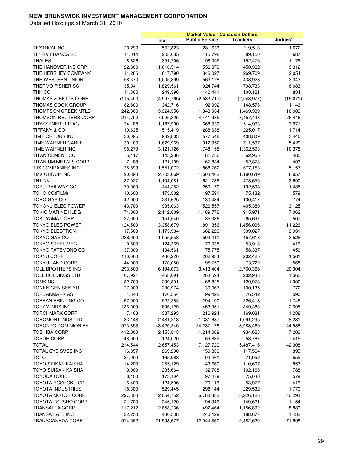|                                |            |              | <b>Market Value - Canadian Dollars</b> |             |          |
|--------------------------------|------------|--------------|----------------------------------------|-------------|----------|
|                                |            | <b>Total</b> | <b>Public Service</b>                  | Teachers'   | Judges'  |
| <b>TEXTRON INC</b>             | 23,299     | 502,823      | 281,633                                | 219,518     | 1,672    |
| <b>TF1-TV FRANCAISE</b>        | 11,014     | 205,635      | 115,798                                | 89,150      | 687      |
| <b>THALES</b>                  | 8,626      | 351,706      | 198,055                                | 152,476     | 1,176    |
| THE HANOVER INS GRP            | 22,800     | 1,010,514    | 556,870                                | 450,332     | 3,312    |
| THE HERSHEY COMPANY            | 14,206     | 617,790      | 346,027                                | 269,709     | 2,054    |
|                                |            |              |                                        |             |          |
| THE WESTERN UNION              | 58,370     | 1,005,399    | 563,128                                | 438,928     | 3,343    |
| THERMO FISHER SCI              | 35,041     | 1,829,561    | 1,024,744                              | 798,733     | 6,083    |
| THK CO                         | 11,300     | 249,396      | 140,441                                | 108,121     | 834      |
| <b>THOMAS &amp; BETTS CORP</b> | (115, 400) | (4,597,765)  | (2,533,717)                            | (2,048,977) | (15,071) |
| <b>THOMAS COOK GROUP</b>       | 82,800     | 342,716      | 192,992                                | 148,578     | 1,146    |
| THOMPSON CREEK MTLS            | 242,300    | 3,324,356    | 1,843,984                              | 1,469,389   | 10,983   |
| <b>THOMSON REUTERS CORP</b>    | 214,792    | 7,925,825    | 4,441,935                              | 3,457,443   | 26,446   |
| THYSSENKRUPP AG                | 34,188     | 1,187,900    | 668,936                                | 514,993     | 3,971    |
| <b>TIFFANY &amp; CO</b>        | 10,635     | 515,419      | 288,688                                | 225,017     | 1,714    |
| TIM HORTONS INC                | 30,095     | 989,803      | 577,548                                | 408,809     | 3,446    |
| TIME WARNER CABLE              | 30,100     | 1,629,969    | 912,952                                | 711,597     | 5,420    |
| TIME WARNER INC                | 98,279     | 3,121,126    | 1,748,155                              | 1,362,593   | 10,378   |
| TITAN CEMENT CO                | 5,417      | 145,236      | 81,786                                 | 62,965      | 485      |
| <b>TITANIUM METALS CORP</b>    | 7,188      | 121,109      | 67,834                                 | 52,873      | 403      |
| TJX COMPANIES INC              | 35,893     | 1,551,072    | 868,762                                | 677,153     | 5,157    |
| TMX GROUP INC                  | 90,890     | 2,703,069    | 1,503,462                              | 1,190,649   | 8,957    |
| TNT NV                         | 37,927     | 1,104,081    | 621,736                                | 478,655     | 3,690    |
| <b>TOBU RAILWAY CO</b>         | 79,000     | 444,252      | 250,170                                | 192,598     | 1,485    |
| TOHO CO(FILM)                  | 10,600     | 173,302      | 97,591                                 | 75,132      | 579      |
|                                |            |              |                                        |             |          |
| TOHO GAS CO                    | 42,000     | 231,625      | 130,434                                | 100,417     | 774      |
| TOHOKU ELEC POWER              | 43,700     | 935,063      | 526,557                                | 405,380     | 3,125    |
| <b>TOKIO MARINE HLDG</b>       | 74,000     | 2,112,809    | 1,189,776                              | 915,971     | 7,062    |
| <b>TOKUYAMA CORP</b>           | 27,000     | 151,540      | 85,336                                 | 65,697      | 507      |
| <b>TOKYO ELEC POWER</b>        | 124,500    | 3,358,679    | 1,891,356                              | 1,456,096   | 11,226   |
| <b>TOKYO ELECTRON</b>          | 17,500     | 1,175,984    | 662,226                                | 509,827     | 3,931    |
| <b>TOKYO GAS CO</b>            | 236,000    | 1,055,558    | 594,411                                | 457,618     | 3,528    |
| <b>TOKYO STEEL MFG</b>         | 9,800      | 124,369      | 70,035                                 | 53,918      | 416      |
| <b>TOKYO TATEMONO CO</b>       | 37,000     | 134,561      | 75,775                                 | 58,337      | 450      |
| <b>TOKYU CORP</b>              | 110,000    | 466,920      | 262,934                                | 202,425     | 1,561    |
| <b>TOKYU LAND CORP</b>         | 44,000     | 170,050      | 95,759                                 | 73,722      | 568      |
| TOLL BROTHERS INC              | 293,500    | 6,194,073    | 3,413,404                              | 2,760,366   | 20,304   |
| <b>TOLL HOLDINGS LTD</b>       | 67,921     | 468,091      | 263,594                                | 202,933     | 1,565    |
| <b>TOMKINS</b>                 | 82,700     | 299,801      | 168,825                                | 129,973     | 1,002    |
| TONEN GEN SEKIYU               | 27,000     | 230,974      | 130,067                                | 100,135     | 772      |
| <b>TOPDANMARK AS</b>           | 1,340      | 176,554      | 99,422                                 | 76,542      | 590      |
| <b>TOPPAN PRINTING CO</b>      | 57,000     | 522,264      | 294,100                                | 226,418     | 1,746    |
| TORAY INDS INC                 | 136,000    | 806,129      | 453,951                                | 349,483     | 2,695    |
| <b>TORCHMARK CORP</b>          | 7,108      | 387,293      | 216,924                                | 169,081     | 1,288    |
| <b>TOROMONT INDS LTD</b>       | 83,148     | 2,481,213    | 1,381,687                              | 1,091,295   | 8,231    |
| TORONTO DOMINION BK            |            |              |                                        |             | 144,588  |
|                                | 573,853    | 43,420,245   | 24,287,176                             | 18,988,480  |          |
| <b>TOSHIBA CORP</b>            | 412,000    | 2,155,843    | 1,214,009                              | 934,628     | 7,206    |
| <b>TOSOH CORP</b>              | 48,000     | 124,020      | 69,839                                 | 53,767      | 415      |
| <b>TOTAL</b>                   | 214,544    | 12,657,453   | 7,127,729                              | 5,487,416   | 42,308   |
| TOTAL SYS SVCS INC             | 16,857     | 269,290      | 150,830                                | 117,564     | 895      |
| <b>TOTO</b>                    | 24,000     | 165,968      | 93,461                                 | 71,952      | 555      |
| <b>TOYO SEIKAN KAISHA</b>      | 14,200     | 255,129      | 143,669                                | 110,607     | 853      |
| <b>TOYO SUISAN KAISHA</b>      | 9,000      | 235,664      | 132,708                                | 102,168     | 788      |
| <b>TOYODA GOSEI</b>            | 6,100      | 173,104      | 97,479                                 | 75,046      | 579      |
| <b>TOYOTA BOSHOKU CP</b>       | 6,400      | 124,506      | 70,113                                 | 53,977      | 416      |
| <b>TOYOTA INDUSTRIES</b>       | 18,300     | 529,445      | 298,144                                | 229,532     | 1,770    |
| <b>TOYOTA MOTOR CORP</b>       | 297,300    | 12,054,752   | 6,788,333                              | 5,226,126   | 40,293   |
| <b>TOYOTA TSUSHO CORP</b>      | 21,700     | 345,120      | 194,346                                | 149,621     | 1,154    |
| TRANSALTA CORP                 | 117,212    | 2,658,236    | 1,492,464                              | 1,156,892   | 8,880    |
| TRANSAT A.T. INC               | 32,250     | 430,538      | 240,429                                | 188,677     | 1,432    |
| <b>TRANSCANADA CORP</b>        | 574,562    | 21,598,677   | 12,044,360                             | 9,482,620   | 71,696   |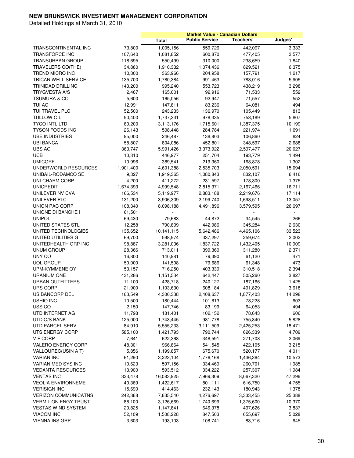|                             |                   |                      |                       | <b>Market Value - Canadian Dollars</b> |         |
|-----------------------------|-------------------|----------------------|-----------------------|----------------------------------------|---------|
|                             |                   | <b>Total</b>         | <b>Public Service</b> | Teachers'                              | Judges' |
| TRANSCONTINENTAL INC        | 73,800            | 1,005,156            | 559,726               | 442,097                                | 3,333   |
| TRANSFORCE INC              | 107,640           | 1,081,852            | 600,870               | 477,405                                | 3,577   |
| <b>TRANSURBAN GROUP</b>     | 118,695           | 550,499              | 310,000               | 238,659                                | 1,840   |
| TRAVELERS CO(THE)           | 34,880            | 1,910,332            | 1,074,436             | 829,521                                | 6,375   |
| TREND MICRO INC             | 10,300            | 363,966              | 204,958               | 157,791                                | 1,217   |
| TRICAN WELL SERVICE         | 135,700           | 1,780,384            | 991,463               | 783,016                                | 5,905   |
| TRINIDAD DRILLING           | 143,200           | 995,240              | 553,723               | 438,219                                | 3,298   |
| <b>TRYGVESTA A/S</b>        | 2,467             | 165,001              | 92,916                | 71,533                                 | 552     |
| <b>TSUMURA &amp; CO</b>     | 5,600             | 165,056              | 92,947                | 71,557                                 | 552     |
| <b>TUI AG</b>               | 12,991            | 147,811              | 83,236                | 64,081                                 | 494     |
| <b>TUI TRAVEL PLC</b>       | 52,500            | 243,233              | 136,970               | 105,449                                | 813     |
| <b>TULLOW OIL</b>           | 90,400            | 1,737,331            | 978,335               | 753,189                                | 5,807   |
| <b>TYCO INTL LTD</b>        | 80,200            | 3,113,176            | 1,715,601             | 1,387,375                              | 10,199  |
| TYSON FOODS INC             | 26,143            | 508,448              | 284,784               | 221,974                                | 1,691   |
| <b>UBE INDUSTRIES</b>       | 95,000            | 246,487              | 138,803               | 106,860                                | 824     |
| <b>UBI BANCA</b>            |                   |                      |                       |                                        | 2,688   |
| <b>UBS AG</b>               | 58,807<br>363,747 | 804,086<br>5,991,426 | 452,801<br>3,373,922  | 348,597<br>2,597,477                   | 20,027  |
|                             |                   |                      |                       | 193,779                                |         |
| <b>UCB</b>                  | 10,310            | 446,977              | 251,704               |                                        | 1,494   |
| <b>UMICORE</b>              | 10,996            | 389,541              | 219,360               | 168,878                                | 1,302   |
| UNDERWORLD RESOURCES        | 1,901,400         | 4,601,388            | 2,535,703             | 2,050,591                              | 15,094  |
| UNIBAIL-RODAMCO SE          | 9,327             | 1,919,365            | 1,080,843             | 832,107                                | 6,416   |
| UNI-CHARM CORP              | 4,200             | 411,272              | 231,597               | 178,300                                | 1,375   |
| <b>UNICREDIT</b>            | 1,674,393         | 4,999,548            | 2,815,371             | 2,167,466                              | 16,711  |
| UNILEVER NV CVA             | 166,534           | 5,119,977            | 2,883,188             | 2,219,676                              | 17,114  |
| UNILEVER PLC                | 131,200           | 3,906,309            | 2,199,740             | 1,693,511                              | 13,057  |
| UNION PAC CORP              | 108,340           | 8,098,188            | 4,491,896             | 3,579,595                              | 26,697  |
| UNIONE DI BANCHE I          | 61,501            |                      |                       |                                        |         |
| <b>UNIPOL</b>               | 69,430            | 79,683               | 44,872                | 34,545                                 | 266     |
| UNITED STATES STL           | 12,258            | 790,899              | 442,986               | 345,284                                | 2,630   |
| UNITED TECHNOLOGIES         | 135,652           | 10,141,115           | 5,642,486             | 4,465,106                              | 33,523  |
| UNITED UTILITIES G          | 69,700            | 598,974              | 337,297               | 259,674                                | 2,002   |
| UNITEDHEALTH GRP INC        | 98,887            | 3,281,036            | 1,837,722             | 1,432,405                              | 10,909  |
| <b>UNUM GROUP</b>           | 28,366            | 713,011              | 399,360               | 311,280                                | 2,371   |
| UNY CO                      | 16,800            | 140,981              | 79,390                | 61,120                                 | 471     |
| <b>UOL GROUP</b>            | 50,000            | 141,508              | 79,686                | 61,348                                 | 473     |
| UPM-KYMMENE OY              | 53,157            | 716,250              | 403,339               | 310,518                                | 2,394   |
| <b>URANIUM ONE</b>          | 431,286           | 1,151,534            | 642,447               | 505,260                                | 3,827   |
| URBAN OUTFITTERS            | 11,100            | 428,718              | 240,127               | 187,166                                | 1,425   |
| <b>URS CORP</b>             | 21,900            | 1,103,630            | 608,184               | 491,829                                | 3,618   |
| US BANCORP DEL              | 163,549           | 4,300,338            | 2,408,637             | 1,877,403                              | 14,298  |
| <b>USHIO INC</b>            | 10,500            | 180,444              | 101,613               | 78,228                                 | 603     |
| USS CO                      | 2,150             | 147,746              | 83,199                | 64,053                                 | 494     |
| UTD INTERNET AG             | 11,798            | 181,401              | 102,152               | 78,643                                 | 606     |
| UTD O/S BANK                | 125,000           | 1,743,445            | 981,778               | 755,840                                | 5,828   |
| <b>UTD PARCEL SERV</b>      | 84,910            | 5,555,233            | 3,111,509             | 2,425,253                              | 18,471  |
| UTS ENERGY CORP             | 585,100           | 1,421,793            | 790,744               | 626,339                                | 4,709   |
| V F CORP                    | 7,641             | 622,368              | 348,591               | 271,708                                | 2,069   |
| <b>VALERO ENERGY CORP</b>   | 48,301            | 966,864              | 541,545               | 422,105                                | 3,215   |
| VALLOUREC(USIN A T)         | 5,856             | 1,199,857            | 675,670               | 520,177                                | 4,011   |
| <b>VARIAN INC</b>           | 61,290            | 3,223,104            | 1,776,168             | 1,436,364                              | 10,573  |
| VARIAN MED SYS INC          | 10,623            | 597,156              | 334,469               | 260,701                                | 1,985   |
| <b>VEDANTA RESOURCES</b>    | 13,900            | 593,512              | 334,222               | 257,307                                | 1,984   |
| <b>VENTAS INC</b>           | 333,478           | 16,083,925           | 7,969,309             | 8,067,320                              | 47,296  |
| <b>VEOLIA ENVIRONNEME</b>   | 40,369            | 1,422,617            | 801,111               | 616,750                                | 4,755   |
| <b>VERISIGN INC</b>         |                   |                      |                       |                                        |         |
|                             | 15,690            | 414,463              | 232,143               | 180,943                                | 1,378   |
| <b>VERIZON COMMUNICATNS</b> | 242,368           | 7,635,540            | 4,276,697             | 3,333,455                              | 25,388  |
| <b>VERMILION ENGY TRUST</b> | 88,100            | 3,126,669            | 1,740,699             | 1,375,600                              | 10,370  |
| <b>VESTAS WIND SYSTEM</b>   | 20,825            | 1,147,841            | 646,378               | 497,626                                | 3,837   |
| <b>VIACOM INC</b>           | 52,109            | 1,508,228            | 847,503               | 655,697                                | 5,028   |
| <b>VIENNA INS GRP</b>       | 3,603             | 193,103              | 108,741               | 83,716                                 | 645     |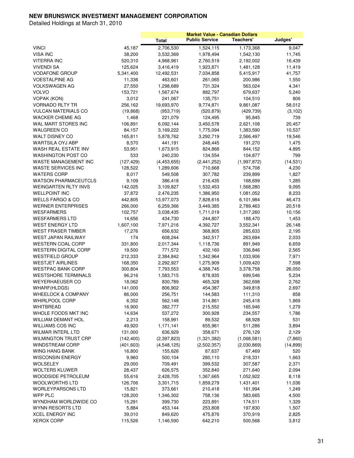|                                                        |                     |                      | <b>Market Value - Canadian Dollars</b> |                      |           |
|--------------------------------------------------------|---------------------|----------------------|----------------------------------------|----------------------|-----------|
|                                                        |                     | <b>Total</b>         | <b>Public Service</b>                  | Teachers'            | Judges'   |
| <b>VINCI</b>                                           | 45,187              | 2,706,530            | 1,524,115                              | 1,173,368            | 9,047     |
| <b>VISA INC</b>                                        | 38,200              | 3,532,369            | 1,978,494                              | 1,542,130            | 11,745    |
| VITERRA INC                                            | 520,310             | 4,968,961            | 2,760,519                              | 2,192,002            | 16,439    |
| VIVENDI SA                                             | 125,624             | 3,416,419            | 1,923,871                              | 1,481,128            | 11,419    |
| <b>VODAFONE GROUP</b>                                  | 5,341,400           | 12,492,531           | 7,034,858                              | 5,415,917            | 41,757    |
| VOESTALPINE AG                                         | 11,336              | 463,601              | 261,065                                | 200,986              | 1,550     |
| VOLKSWAGEN AG                                          | 27,550              | 1,298,689            | 731,324                                | 563,024              | 4,341     |
| <b>VOLVO</b>                                           | 153,721             | 1,567,674            | 882,797                                | 679,637              | 5,240     |
| <b>VOPAK (KON)</b>                                     | 3,012               | 241,067              | 135,751                                | 104,510              | 806       |
| <b>VORNADO RLTY TR</b>                                 | 256,162             | 19,693,970           | 9,774,871                              | 9,861,087            | 58,012    |
| VULCAN MATERIALS CO                                    | (19, 868)           | (953, 719)           | (520, 879)                             | (429, 739)           | (3, 102)  |
| WACKER CHEMIE AG                                       | 1,468               | 221,079              | 124,495                                | 95,845               | 739       |
| WAL MART STORES INC                                    | 106,891             | 6,092,144            | 3,450,578                              | 2,621,108            | 20,457    |
| <b>WALGREEN CO</b>                                     | 84,157              | 3,169,222            | 1,775,094                              | 1,383,590            | 10,537    |
| <b>WALT DISNEY CO</b>                                  | 165,811             | 5,878,762            | 3,292,719                              | 2,566,497            | 19,546    |
| WARTSILA OYJ ABP                                       | 8,570               | 441,191              | 248,445                                | 191,270              | 1,475     |
| WASH REAL ESTATE INV                                   | 53,951              | 1,673,915            | 824,868                                | 844,152              | 4,895     |
| <b>WASHINGTON POST CO</b>                              | 533                 | 240,230              | 134,554                                | 104,877              | 799       |
| <b>WASTE MANAGEMENT INC</b>                            | (127, 429)          | (4,453,655)          | (2,441,252)                            | (1,997,872)          | (14, 531) |
| WASTE SERVICES INC                                     | 128,522             | 1,289,606            | 710,668                                | 574,708              | 4,230     |
| <b>WATERS CORP</b>                                     | 8,017               | 549,508              | 307,782                                | 239,899              | 1,827     |
| <b>WATSON PHARMACEUTCLS</b>                            | 9,109               | 386,418              | 216,435                                | 168,699              | 1,285     |
| <b>WEINGARTEN RLTY INVS</b>                            | 142,025             | 3,109,827            | 1,532,453                              | 1,568,280            | 9,095     |
| <b>WELLPOINT INC</b>                                   | 37,872              | 2,476,235            | 1,386,950                              | 1,081,052            | 8,233     |
| <b>WELLS FARGO &amp; CO</b>                            | 442,805             | 13,977,073           | 7,828,616                              | 6,101,984            | 46,473    |
| <b>WERNER ENTERPRISES</b>                              | 266,000             | 6,259,366            | 3,449,385                              | 2,789,463            | 20,518    |
| <b>WESFARMERS</b>                                      | 102,757             |                      |                                        |                      | 10,156    |
| <b>WESFARMERS LTD</b>                                  |                     | 3,038,435<br>434,730 | 1,711,019<br>244,807                   | 1,317,260<br>188,470 | 1,453     |
| <b>WEST ENERGY LTD</b>                                 | 14,656              |                      | 4,392,727                              | 3,552,341            | 26,148    |
| <b>WEST FRASER TIMBER</b>                              | 1,607,100<br>17,276 | 7,971,216<br>656,632 |                                        | 285,633              | 2,195     |
| WEST JAPAN RAILWAY                                     | 174                 | 608,244              | 368,805<br>342,517                     | 263,694              | 2,033     |
| <b>WESTERN COAL CORP</b>                               | 331,800             |                      |                                        |                      | 6,659     |
| <b>WESTERN DIGITAL CORP</b>                            |                     | 2,017,344            | 1,118,736                              | 891,949              | 2,565     |
| <b>WESTFIELD GROUP</b>                                 | 19,500              | 771,572              | 432,160                                | 336,846              |           |
| <b>WESTJET AIRLINES</b>                                | 212,333             | 2,384,842            | 1,342,964                              | 1,033,906            | 7,971     |
|                                                        | 168,350             | 2,292,927            | 1,275,909                              | 1,009,420            | 7,598     |
| <b>WESTPAC BANK CORP</b>                               | 300,804             | 7,793,553            | 4,388,745                              | 3,378,758            | 26,050    |
| <b>WESTSHORE TERMINALS</b><br><b>WEYERHAEUSER CO</b>   | 96,216              | 1,583,715            | 878,935                                | 699,546              | 5,234     |
|                                                        | 18,062<br>141,000   | 830,789              | 465,328                                | 362,698              | 2,762     |
| WHARF(HLDGS)                                           |                     | 806,902              | 454,387                                | 349,818              | 2,697     |
| <b>WHEELOCK &amp; COMPANY</b><br><b>WHIRLPOOL CORP</b> | 86,000              | 256,751              | 144,583                                | 111,310              | 858       |
|                                                        | 6,352               | 562,148              | 314,861                                | 245,418              | 1,869     |
| <b>WHITBREAD</b><br>WHOLE FOODS MKT INC                | 16,900              | 382,777<br>537,272   | 215,552                                | 165,946              | 1,279     |
|                                                        | 14,634              |                      | 300,928                                | 234,557              | 1,786     |
| <b>WILLIAM DEMANT HOL</b>                              | 2,213               | 158,991              | 89,532                                 | 68,928               | 531       |
| <b>WILLIAMS COS INC</b>                                | 49,920              | 1,171,141            | 655,961                                | 511,286              | 3,894     |
| <b>WILMAR INTERL LTD</b>                               | 131,000             | 636,929              | 358,671                                | 276,129              | 2,129     |
| <b>WILMINGTON TRUST CRP</b>                            | (142, 400)          | (2, 397, 823)        | (1,321,382)                            | (1,068,581)          | (7,860)   |
| <b>WINDSTREAM CORP</b>                                 | (401, 603)          | (4,548,125)          | (2,502,357)                            | (2,030,869)          | (14, 899) |
| WING HANG BANK                                         | 16,800              | 155,626              | 87,637                                 | 67,469               | 520       |
| <b>WISCONSIN ENERGY</b>                                | 9,960               | 500,104              | 280,110                                | 218,331              | 1,663     |
| <b>WOLSELEY</b>                                        | 29,000              | 709,491              | 399,532                                | 307,587              | 2,371     |
| <b>WOLTERS KLUWER</b>                                  | 28,437              | 626,575              | 352,840                                | 271,640              | 2,094     |
| WOODSIDE PETROLEUM                                     | 55,616              | 2,428,705            | 1,367,665                              | 1,052,922            | 8,118     |
| <b>WOOLWORTHS LTD</b>                                  | 126,706             | 3,301,715            | 1,859,279                              | 1,431,401            | 11,036    |
| <b>WORLEYPARSONS LTD</b>                               | 15,821              | 373,661              | 210,418                                | 161,994              | 1,249     |
| WPP PLC                                                | 128,200             | 1,346,302            | 758,136                                | 583,665              | 4,500     |
| WYNDHAM WORLDWIDE CO                                   | 15,291              | 399,730              | 223,891                                | 174,511              | 1,329     |
| WYNN RESORTS LTD                                       | 5,884               | 453,144              | 253,808                                | 197,830              | 1,507     |
| <b>XCEL ENERGY INC</b>                                 | 39,010              | 849,620              | 475,876                                | 370,919              | 2,825     |
| <b>XEROX CORP</b>                                      | 115,526             | 1,146,590            | 642,210                                | 500,568              | 3,812     |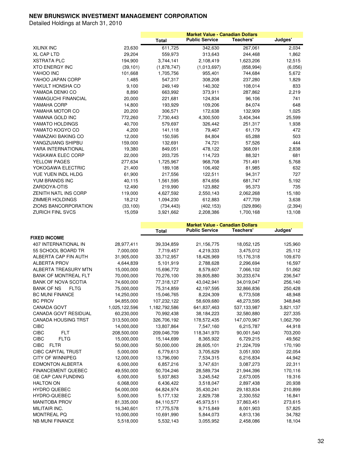|                             |           | <b>Market Value - Canadian Dollars</b> |                       |                  |          |
|-----------------------------|-----------|----------------------------------------|-----------------------|------------------|----------|
|                             |           | <b>Total</b>                           | <b>Public Service</b> | <b>Teachers'</b> | Judges'  |
| <b>XILINX INC</b>           | 23,630    | 611,725                                | 342,630               | 267,061          | 2,034    |
| <b>XL CAP LTD</b>           | 29,204    | 559,973                                | 313,643               | 244,468          | 1,862    |
| <b>XSTRATA PLC</b>          | 194,900   | 3,744,141                              | 2,108,419             | 1,623,206        | 12,515   |
| <b>XTO ENERGY INC</b>       | (39, 101) | (1,878,747)                            | (1,013,697)           | (858, 994)       | (6,056)  |
| YAHOO INC                   | 101,668   | 1,705,756                              | 955,401               | 744,684          | 5,672    |
| YAHOO JAPAN CORP            | 1,485     | 547,317                                | 308,208               | 237,280          | 1,829    |
| YAKULT HONSHA CO            | 9,100     | 249,149                                | 140,302               | 108,014          | 833      |
| YAMADA DENKI CO             | 8,890     | 663,992                                | 373,911               | 287,862          | 2,219    |
| YAMAGUCHI FINANCIAL         | 20,000    | 221,681                                | 124,834               | 96,106           | 741      |
| YAMAHA CORP                 | 14,800    | 193,929                                | 109,206               | 84,074           | 648      |
| YAMAHA MOTOR CO             | 20,200    | 306,571                                | 172,638               | 132,909          | 1,025    |
| YAMANA GOLD INC             | 772,260   | 7,730,443                              | 4,300,500             | 3,404,344        | 25,599   |
| YAMATO HOLDINGS             | 40,700    | 579,697                                | 326,442               | 251,317          | 1,938    |
| YAMATO KOGYO CO             | 4,200     | 141,118                                | 79,467                | 61,179           | 472      |
| YAMAZAKI BAKING CO          | 12,000    | 150,595                                | 84,804                | 65,288           | 503      |
| YANGZIJIANG SHIPBU          | 159,000   | 132,691                                | 74,721                | 57,526           | 444      |
| YARA INTERNATIONAL          | 19,380    | 849,051                                | 478,122               | 368,091          | 2,838    |
| YASKAWA ELEC CORP           | 22,000    | 203,725                                | 114,723               | 88,321           | 681      |
| <b>YELLOW PAGES</b>         | 277,634   | 1,725,967                              | 968,708               | 751,491          | 5,768    |
| YOKOGAWA ELECTRIC           | 21,400    | 189,108                                | 106,492               | 81,985           | 632      |
| YUE YUEN INDL HLDG          | 61,900    | 217,556                                | 122,511               | 94,317           | 727      |
| YUM BRANDS INC              | 40,115    | 1,561,595                              | 874,656               | 681,747          | 5,192    |
| ZARDOYA-OTIS                | 12,490    | 219,990                                | 123,882               | 95,373           | 735      |
| ZENITH NATL INS CORP        | 119,000   | 4,627,592                              | 2,550,143             | 2,062,268        | 15,180   |
| <b>ZIMMER HOLDINGS</b>      | 18,212    | 1,094,230                              | 612,883               | 477,709          | 3,638    |
| <b>ZIONS BANCORPORATION</b> | (33, 100) | (734, 443)                             | (402, 153)            | (329, 896)       | (2, 394) |
| <b>ZURICH FINL SVCS</b>     | 15,059    | 3,921,662                              | 2,208,386             | 1,700,168        | 13,108   |

|                                  |               |               | <b>Market Value - Canadian Dollars</b> |             |           |
|----------------------------------|---------------|---------------|----------------------------------------|-------------|-----------|
|                                  |               | <b>Total</b>  | <b>Public Service</b>                  | Teachers'   | Judges'   |
| <b>FIXED INCOME</b>              |               |               |                                        |             |           |
| 407 INTERNATIONAL IN             | 28,977,411    | 39,334,859    | 21,156,775                             | 18,052,125  | 125,960   |
| 55 SCHOOL BOARD TR               | 7,000,000     | 7,719,457     | 4,219,333                              | 3,475,012   | 25,112    |
| ALBERTA CAP FIN AUTH             | 31,905,000    | 33,712,957    | 18,426,969                             | 15,176,318  | 109,670   |
| <b>ALBERTA PROV</b>              | 4,644,839     | 5,101,919     | 2,788,628                              | 2,296,694   | 16,597    |
| ALBERTA TREASURY MTN             | 15,000,000    | 15,696,772    | 8,579,607                              | 7,066,102   | 51,062    |
| <b>BANK OF MONTREAL FLT</b>      | 70,000,000    | 70,276,100    | 39,805,880                             | 30,233,674  | 236,547   |
| <b>BANK OF NOVA SCOTIA</b>       | 74,600,000    | 77,318,127    | 43,042,941                             | 34,019,047  | 256,140   |
| <b>BANK OF NS</b><br><b>FLTG</b> | 75,000,000    | 75,314,859    | 42,197,595                             | 32,866,836  | 250,428   |
| <b>BC MUNI FINANCE</b>           | 14,250,000    | 15,046,765    | 8,224,309                              | 6,773,508   | 48,948    |
| <b>BC PROV</b>                   | 94,855,000    | 107,232,122   | 58,609,680                             | 48,273,595  | 348,848   |
| <b>CANADA GOVT</b>               | 1,025,122,596 | 1,182,792,586 | 641,837,463                            | 537,133,987 | 3,821,137 |
| <b>CANADA GOVT RESIDUAL</b>      | 60,230,000    | 70,992,438    | 38,184,223                             | 32,580,880  | 227,335   |
| <b>CANADA HOUSING TRST</b>       | 313,500,000   | 326,706,192   | 178,572,435                            | 147,070,967 | 1,062,790 |
| <b>CIBC</b>                      | 14,000,000    | 13,807,864    | 7,547,160                              | 6,215,787   | 44,918    |
| <b>CIBC</b><br><b>FLT</b>        | 208,500,000   | 209,046,709   | 118,341,970                            | 90,001,540  | 703,200   |
| <b>CIBC</b><br><b>FLTG</b>       | 15,000,000    | 15,144,699    | 8,365,922                              | 6,729,215   | 49,562    |
| <b>CIBC</b><br><b>FLTR</b>       | 50,000,000    | 50,000,000    | 28,605,101                             | 21,224,709  | 170,190   |
| <b>CIBC CAPITAL TRUST</b>        | 5,000,000     | 6,779,613     | 3,705,629                              | 3,051,930   | 22,054    |
| <b>CITY OF WINNIPEG</b>          | 12,000,000    | 13,796,090    | 7,534,315                              | 6,216,834   | 44,942    |
| <b>EDMONTON ALBERTA</b>          | 6,000,000     | 6,857,216     | 3,747,631                              | 3,087,273   | 22,311    |
| <b>FINANCEMENT QUEBEC</b>        | 49,550,000    | 50,704,246    | 28,589,734                             | 21,944,396  | 170,116   |
| <b>GE CAP CAN FUNDING</b>        | 6,000,000     | 5,937,863     | 3,245,542                              | 2,673,005   | 19,316    |
| <b>HALTON ON</b>                 | 6,068,000     | 6,436,422     | 3,518,047                              | 2,897,438   | 20,938    |
| <b>HYDRO QUEBEC</b>              | 54,000,000    | 64,824,974    | 35,430,241                             | 29,183,834  | 210,899   |
| <b>HYDRO-QUEBEC</b>              | 5,000,000     | 5,177,132     | 2,829,738                              | 2,330,552   | 16,841    |
| <b>MANITOBA PROV</b>             | 81,335,000    | 84,110,577    | 45,973,511                             | 37,863,451  | 273,615   |
| MILITAIR INC.                    | 16,340,601    | 17,775,578    | 9,715,849                              | 8,001,903   | 57,825    |
| <b>MONTREAL PQ</b>               | 10,000,000    | 10,691,990    | 5,844,073                              | 4,813,136   | 34,782    |
| <b>NB MUNI FINANCE</b>           | 5,518,000     | 5,532,143     | 3,055,952                              | 2,458,086   | 18,104    |